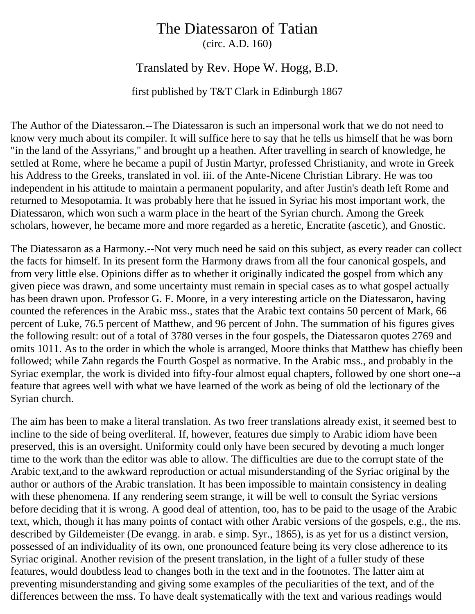# The Diatessaron of Tatian (circ. A.D. 160)

# Translated by Rev. Hope W. Hogg, B.D.

#### first published by T&T Clark in Edinburgh 1867

The Author of the Diatessaron.--The Diatessaron is such an impersonal work that we do not need to know very much about its compiler. It will suffice here to say that he tells us himself that he was born "in the land of the Assyrians," and brought up a heathen. After travelling in search of knowledge, he settled at Rome, where he became a pupil of Justin Martyr, professed Christianity, and wrote in Greek his Address to the Greeks, translated in vol. iii. of the Ante-Nicene Christian Library. He was too independent in his attitude to maintain a permanent popularity, and after Justin's death left Rome and returned to Mesopotamia. It was probably here that he issued in Syriac his most important work, the Diatessaron, which won such a warm place in the heart of the Syrian church. Among the Greek scholars, however, he became more and more regarded as a heretic, Encratite (ascetic), and Gnostic.

The Diatessaron as a Harmony.--Not very much need be said on this subject, as every reader can collect the facts for himself. In its present form the Harmony draws from all the four canonical gospels, and from very little else. Opinions differ as to whether it originally indicated the gospel from which any given piece was drawn, and some uncertainty must remain in special cases as to what gospel actually has been drawn upon. Professor G. F. Moore, in a very interesting article on the Diatessaron, having counted the references in the Arabic mss., states that the Arabic text contains 50 percent of Mark, 66 percent of Luke, 76.5 percent of Matthew, and 96 percent of John. The summation of his figures gives the following result: out of a total of 3780 verses in the four gospels, the Diatessaron quotes 2769 and omits 1011. As to the order in which the whole is arranged, Moore thinks that Matthew has chiefly been followed; while Zahn regards the Fourth Gospel as normative. In the Arabic mss., and probably in the Syriac exemplar, the work is divided into fifty-four almost equal chapters, followed by one short one--a feature that agrees well with what we have learned of the work as being of old the lectionary of the Syrian church.

The aim has been to make a literal translation. As two freer translations already exist, it seemed best to incline to the side of being overliteral. If, however, features due simply to Arabic idiom have been preserved, this is an oversight. Uniformity could only have been secured by devoting a much longer time to the work than the editor was able to allow. The difficulties are due to the corrupt state of the Arabic text,and to the awkward reproduction or actual misunderstanding of the Syriac original by the author or authors of the Arabic translation. It has been impossible to maintain consistency in dealing with these phenomena. If any rendering seem strange, it will be well to consult the Syriac versions before deciding that it is wrong. A good deal of attention, too, has to be paid to the usage of the Arabic text, which, though it has many points of contact with other Arabic versions of the gospels, e.g., the ms. described by Gildemeister (De evangg. in arab. e simp. Syr., 1865), is as yet for us a distinct version, possessed of an individuality of its own, one pronounced feature being its very close adherence to its Syriac original. Another revision of the present translation, in the light of a fuller study of these features, would doubtless lead to changes both in the text and in the footnotes. The latter aim at preventing misunderstanding and giving some examples of the peculiarities of the text, and of the differences between the mss. To have dealt systematically with the text and various readings would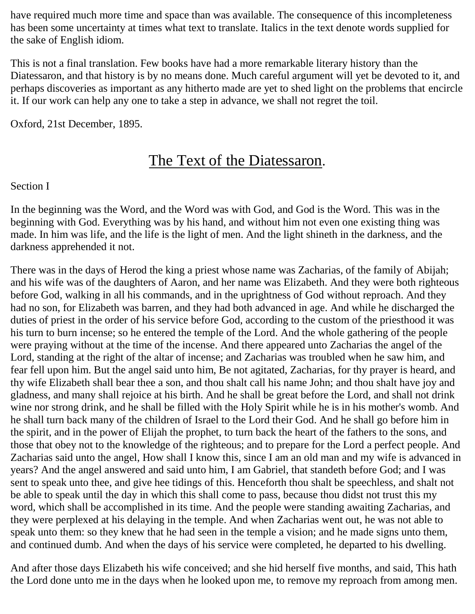have required much more time and space than was available. The consequence of this incompleteness has been some uncertainty at times what text to translate. Italics in the text denote words supplied for the sake of English idiom.

This is not a final translation. Few books have had a more remarkable literary history than the Diatessaron, and that history is by no means done. Much careful argument will yet be devoted to it, and perhaps discoveries as important as any hitherto made are yet to shed light on the problems that encircle it. If our work can help any one to take a step in advance, we shall not regret the toil.

Oxford, 21st December, 1895.

# The Text of the Diatessaron.

#### Section I

In the beginning was the Word, and the Word was with God, and God is the Word. This was in the beginning with God. Everything was by his hand, and without him not even one existing thing was made. In him was life, and the life is the light of men. And the light shineth in the darkness, and the darkness apprehended it not.

There was in the days of Herod the king a priest whose name was Zacharias, of the family of Abijah; and his wife was of the daughters of Aaron, and her name was Elizabeth. And they were both righteous before God, walking in all his commands, and in the uprightness of God without reproach. And they had no son, for Elizabeth was barren, and they had both advanced in age. And while he discharged the duties of priest in the order of his service before God, according to the custom of the priesthood it was his turn to burn incense; so he entered the temple of the Lord. And the whole gathering of the people were praying without at the time of the incense. And there appeared unto Zacharias the angel of the Lord, standing at the right of the altar of incense; and Zacharias was troubled when he saw him, and fear fell upon him. But the angel said unto him, Be not agitated, Zacharias, for thy prayer is heard, and thy wife Elizabeth shall bear thee a son, and thou shalt call his name John; and thou shalt have joy and gladness, and many shall rejoice at his birth. And he shall be great before the Lord, and shall not drink wine nor strong drink, and he shall be filled with the Holy Spirit while he is in his mother's womb. And he shall turn back many of the children of Israel to the Lord their God. And he shall go before him in the spirit, and in the power of Elijah the prophet, to turn back the heart of the fathers to the sons, and those that obey not to the knowledge of the righteous; and to prepare for the Lord a perfect people. And Zacharias said unto the angel, How shall I know this, since I am an old man and my wife is advanced in years? And the angel answered and said unto him, I am Gabriel, that standeth before God; and I was sent to speak unto thee, and give hee tidings of this. Henceforth thou shalt be speechless, and shalt not be able to speak until the day in which this shall come to pass, because thou didst not trust this my word, which shall be accomplished in its time. And the people were standing awaiting Zacharias, and they were perplexed at his delaying in the temple. And when Zacharias went out, he was not able to speak unto them: so they knew that he had seen in the temple a vision; and he made signs unto them, and continued dumb. And when the days of his service were completed, he departed to his dwelling.

And after those days Elizabeth his wife conceived; and she hid herself five months, and said, This hath the Lord done unto me in the days when he looked upon me, to remove my reproach from among men.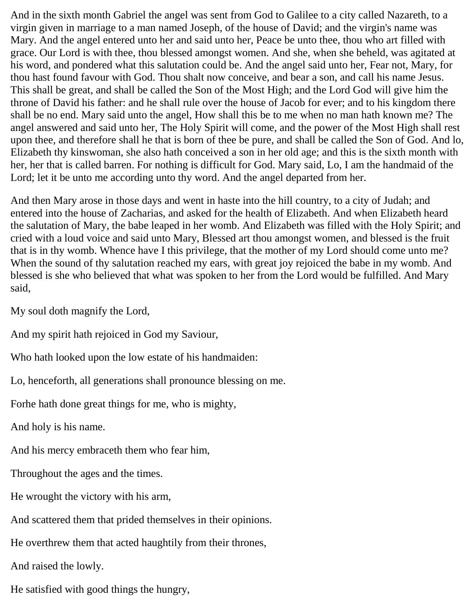And in the sixth month Gabriel the angel was sent from God to Galilee to a city called Nazareth, to a virgin given in marriage to a man named Joseph, of the house of David; and the virgin's name was Mary. And the angel entered unto her and said unto her, Peace be unto thee, thou who art filled with grace. Our Lord is with thee, thou blessed amongst women. And she, when she beheld, was agitated at his word, and pondered what this salutation could be. And the angel said unto her, Fear not, Mary, for thou hast found favour with God. Thou shalt now conceive, and bear a son, and call his name Jesus. This shall be great, and shall be called the Son of the Most High; and the Lord God will give him the throne of David his father: and he shall rule over the house of Jacob for ever; and to his kingdom there shall be no end. Mary said unto the angel, How shall this be to me when no man hath known me? The angel answered and said unto her, The Holy Spirit will come, and the power of the Most High shall rest upon thee, and therefore shall he that is born of thee be pure, and shall be called the Son of God. And lo, Elizabeth thy kinswoman, she also hath conceived a son in her old age; and this is the sixth month with her, her that is called barren. For nothing is difficult for God. Mary said, Lo, I am the handmaid of the Lord; let it be unto me according unto thy word. And the angel departed from her.

And then Mary arose in those days and went in haste into the hill country, to a city of Judah; and entered into the house of Zacharias, and asked for the health of Elizabeth. And when Elizabeth heard the salutation of Mary, the babe leaped in her womb. And Elizabeth was filled with the Holy Spirit; and cried with a loud voice and said unto Mary, Blessed art thou amongst women, and blessed is the fruit that is in thy womb. Whence have I this privilege, that the mother of my Lord should come unto me? When the sound of thy salutation reached my ears, with great joy rejoiced the babe in my womb. And blessed is she who believed that what was spoken to her from the Lord would be fulfilled. And Mary said,

My soul doth magnify the Lord,

And my spirit hath rejoiced in God my Saviour,

Who hath looked upon the low estate of his handmaiden:

Lo, henceforth, all generations shall pronounce blessing on me.

Forhe hath done great things for me, who is mighty,

And holy is his name.

And his mercy embraceth them who fear him,

Throughout the ages and the times.

He wrought the victory with his arm,

And scattered them that prided themselves in their opinions.

He overthrew them that acted haughtily from their thrones,

And raised the lowly.

He satisfied with good things the hungry,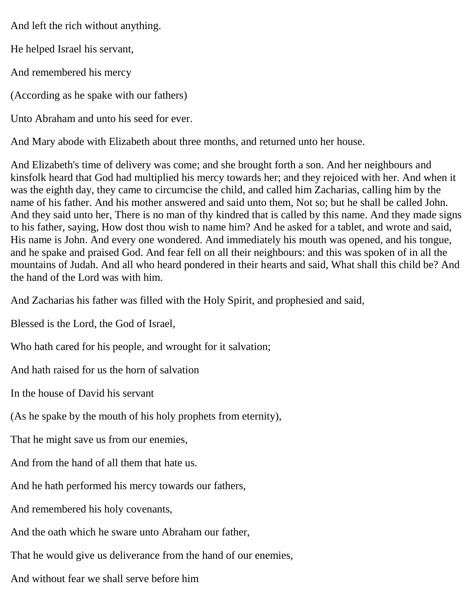And left the rich without anything.

He helped Israel his servant,

And remembered his mercy

(According as he spake with our fathers)

Unto Abraham and unto his seed for ever.

And Mary abode with Elizabeth about three months, and returned unto her house.

And Elizabeth's time of delivery was come; and she brought forth a son. And her neighbours and kinsfolk heard that God had multiplied his mercy towards her; and they rejoiced with her. And when it was the eighth day, they came to circumcise the child, and called him Zacharias, calling him by the name of his father. And his mother answered and said unto them, Not so; but he shall be called John. And they said unto her, There is no man of thy kindred that is called by this name. And they made signs to his father, saying, How dost thou wish to name him? And he asked for a tablet, and wrote and said, His name is John. And every one wondered. And immediately his mouth was opened, and his tongue, and he spake and praised God. And fear fell on all their neighbours: and this was spoken of in all the mountains of Judah. And all who heard pondered in their hearts and said, What shall this child be? And the hand of the Lord was with him.

And Zacharias his father was filled with the Holy Spirit, and prophesied and said,

Blessed is the Lord, the God of Israel,

Who hath cared for his people, and wrought for it salvation;

And hath raised for us the horn of salvation

In the house of David his servant

(As he spake by the mouth of his holy prophets from eternity),

That he might save us from our enemies,

And from the hand of all them that hate us.

And he hath performed his mercy towards our fathers,

And remembered his holy covenants,

And the oath which he sware unto Abraham our father,

That he would give us deliverance from the hand of our enemies,

And without fear we shall serve before him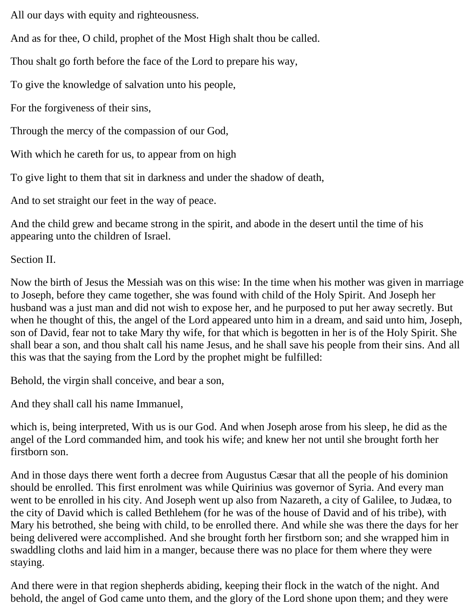All our days with equity and righteousness.

And as for thee, O child, prophet of the Most High shalt thou be called.

Thou shalt go forth before the face of the Lord to prepare his way,

To give the knowledge of salvation unto his people,

For the forgiveness of their sins,

Through the mercy of the compassion of our God,

With which he careth for us, to appear from on high

To give light to them that sit in darkness and under the shadow of death,

And to set straight our feet in the way of peace.

And the child grew and became strong in the spirit, and abode in the desert until the time of his appearing unto the children of Israel.

# Section II.

Now the birth of Jesus the Messiah was on this wise: In the time when his mother was given in marriage to Joseph, before they came together, she was found with child of the Holy Spirit. And Joseph her husband was a just man and did not wish to expose her, and he purposed to put her away secretly. But when he thought of this, the angel of the Lord appeared unto him in a dream, and said unto him, Joseph, son of David, fear not to take Mary thy wife, for that which is begotten in her is of the Holy Spirit. She shall bear a son, and thou shalt call his name Jesus, and he shall save his people from their sins. And all this was that the saying from the Lord by the prophet might be fulfilled:

Behold, the virgin shall conceive, and bear a son,

And they shall call his name Immanuel,

which is, being interpreted, With us is our God. And when Joseph arose from his sleep, he did as the angel of the Lord commanded him, and took his wife; and knew her not until she brought forth her firstborn son.

And in those days there went forth a decree from Augustus Cæsar that all the people of his dominion should be enrolled. This first enrolment was while Quirinius was governor of Syria. And every man went to be enrolled in his city. And Joseph went up also from Nazareth, a city of Galilee, to Judæa, to the city of David which is called Bethlehem (for he was of the house of David and of his tribe), with Mary his betrothed, she being with child, to be enrolled there. And while she was there the days for her being delivered were accomplished. And she brought forth her firstborn son; and she wrapped him in swaddling cloths and laid him in a manger, because there was no place for them where they were staying.

And there were in that region shepherds abiding, keeping their flock in the watch of the night. And behold, the angel of God came unto them, and the glory of the Lord shone upon them; and they were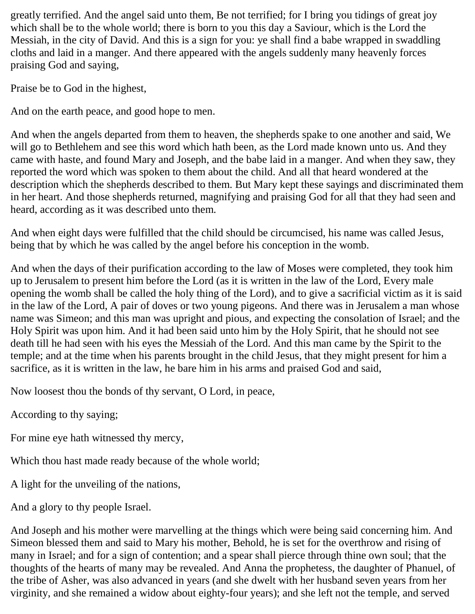greatly terrified. And the angel said unto them, Be not terrified; for I bring you tidings of great joy which shall be to the whole world; there is born to you this day a Saviour, which is the Lord the Messiah, in the city of David. And this is a sign for you: ye shall find a babe wrapped in swaddling cloths and laid in a manger. And there appeared with the angels suddenly many heavenly forces praising God and saying,

Praise be to God in the highest,

And on the earth peace, and good hope to men.

And when the angels departed from them to heaven, the shepherds spake to one another and said, We will go to Bethlehem and see this word which hath been, as the Lord made known unto us. And they came with haste, and found Mary and Joseph, and the babe laid in a manger. And when they saw, they reported the word which was spoken to them about the child. And all that heard wondered at the description which the shepherds described to them. But Mary kept these sayings and discriminated them in her heart. And those shepherds returned, magnifying and praising God for all that they had seen and heard, according as it was described unto them.

And when eight days were fulfilled that the child should be circumcised, his name was called Jesus, being that by which he was called by the angel before his conception in the womb.

And when the days of their purification according to the law of Moses were completed, they took him up to Jerusalem to present him before the Lord (as it is written in the law of the Lord, Every male opening the womb shall be called the holy thing of the Lord), and to give a sacrificial victim as it is said in the law of the Lord, A pair of doves or two young pigeons. And there was in Jerusalem a man whose name was Simeon; and this man was upright and pious, and expecting the consolation of Israel; and the Holy Spirit was upon him. And it had been said unto him by the Holy Spirit, that he should not see death till he had seen with his eyes the Messiah of the Lord. And this man came by the Spirit to the temple; and at the time when his parents brought in the child Jesus, that they might present for him a sacrifice, as it is written in the law, he bare him in his arms and praised God and said,

Now loosest thou the bonds of thy servant, O Lord, in peace,

According to thy saying;

For mine eye hath witnessed thy mercy,

Which thou hast made ready because of the whole world;

A light for the unveiling of the nations,

And a glory to thy people Israel.

And Joseph and his mother were marvelling at the things which were being said concerning him. And Simeon blessed them and said to Mary his mother, Behold, he is set for the overthrow and rising of many in Israel; and for a sign of contention; and a spear shall pierce through thine own soul; that the thoughts of the hearts of many may be revealed. And Anna the prophetess, the daughter of Phanuel, of the tribe of Asher, was also advanced in years (and she dwelt with her husband seven years from her virginity, and she remained a widow about eighty-four years); and she left not the temple, and served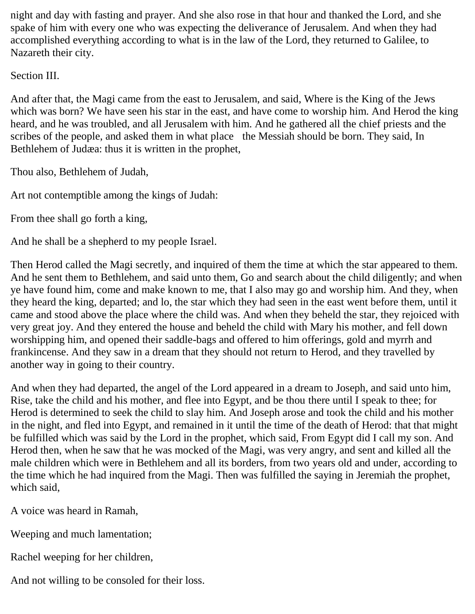night and day with fasting and prayer. And she also rose in that hour and thanked the Lord, and she spake of him with every one who was expecting the deliverance of Jerusalem. And when they had accomplished everything according to what is in the law of the Lord, they returned to Galilee, to Nazareth their city.

Section III.

And after that, the Magi came from the east to Jerusalem, and said, Where is the King of the Jews which was born? We have seen his star in the east, and have come to worship him. And Herod the king heard, and he was troubled, and all Jerusalem with him. And he gathered all the chief priests and the scribes of the people, and asked them in what place the Messiah should be born. They said, In Bethlehem of Judæa: thus it is written in the prophet,

Thou also, Bethlehem of Judah,

Art not contemptible among the kings of Judah:

From thee shall go forth a king,

And he shall be a shepherd to my people Israel.

Then Herod called the Magi secretly, and inquired of them the time at which the star appeared to them. And he sent them to Bethlehem, and said unto them, Go and search about the child diligently; and when ye have found him, come and make known to me, that I also may go and worship him. And they, when they heard the king, departed; and lo, the star which they had seen in the east went before them, until it came and stood above the place where the child was. And when they beheld the star, they rejoiced with very great joy. And they entered the house and beheld the child with Mary his mother, and fell down worshipping him, and opened their saddle-bags and offered to him offerings, gold and myrrh and frankincense. And they saw in a dream that they should not return to Herod, and they travelled by another way in going to their country.

And when they had departed, the angel of the Lord appeared in a dream to Joseph, and said unto him, Rise, take the child and his mother, and flee into Egypt, and be thou there until I speak to thee; for Herod is determined to seek the child to slay him. And Joseph arose and took the child and his mother in the night, and fled into Egypt, and remained in it until the time of the death of Herod: that that might be fulfilled which was said by the Lord in the prophet, which said, From Egypt did I call my son. And Herod then, when he saw that he was mocked of the Magi, was very angry, and sent and killed all the male children which were in Bethlehem and all its borders, from two years old and under, according to the time which he had inquired from the Magi. Then was fulfilled the saying in Jeremiah the prophet, which said,

A voice was heard in Ramah,

Weeping and much lamentation;

Rachel weeping for her children,

And not willing to be consoled for their loss.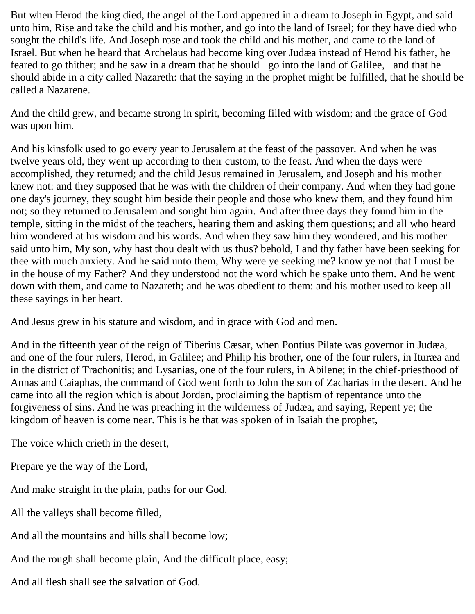But when Herod the king died, the angel of the Lord appeared in a dream to Joseph in Egypt, and said unto him, Rise and take the child and his mother, and go into the land of Israel; for they have died who sought the child's life. And Joseph rose and took the child and his mother, and came to the land of Israel. But when he heard that Archelaus had become king over Judæa instead of Herod his father, he feared to go thither; and he saw in a dream that he should go into the land of Galilee, and that he should abide in a city called Nazareth: that the saying in the prophet might be fulfilled, that he should be called a Nazarene.

And the child grew, and became strong in spirit, becoming filled with wisdom; and the grace of God was upon him.

And his kinsfolk used to go every year to Jerusalem at the feast of the passover. And when he was twelve years old, they went up according to their custom, to the feast. And when the days were accomplished, they returned; and the child Jesus remained in Jerusalem, and Joseph and his mother knew not: and they supposed that he was with the children of their company. And when they had gone one day's journey, they sought him beside their people and those who knew them, and they found him not; so they returned to Jerusalem and sought him again. And after three days they found him in the temple, sitting in the midst of the teachers, hearing them and asking them questions; and all who heard him wondered at his wisdom and his words. And when they saw him they wondered, and his mother said unto him, My son, why hast thou dealt with us thus? behold, I and thy father have been seeking for thee with much anxiety. And he said unto them, Why were ye seeking me? know ye not that I must be in the house of my Father? And they understood not the word which he spake unto them. And he went down with them, and came to Nazareth; and he was obedient to them: and his mother used to keep all these sayings in her heart.

And Jesus grew in his stature and wisdom, and in grace with God and men.

And in the fifteenth year of the reign of Tiberius Cæsar, when Pontius Pilate was governor in Judæa, and one of the four rulers, Herod, in Galilee; and Philip his brother, one of the four rulers, in Ituræa and in the district of Trachonitis; and Lysanias, one of the four rulers, in Abilene; in the chief-priesthood of Annas and Caiaphas, the command of God went forth to John the son of Zacharias in the desert. And he came into all the region which is about Jordan, proclaiming the baptism of repentance unto the forgiveness of sins. And he was preaching in the wilderness of Judæa, and saying, Repent ye; the kingdom of heaven is come near. This is he that was spoken of in Isaiah the prophet,

The voice which crieth in the desert,

- Prepare ye the way of the Lord,
- And make straight in the plain, paths for our God.
- All the valleys shall become filled,
- And all the mountains and hills shall become low;
- And the rough shall become plain, And the difficult place, easy;
- And all flesh shall see the salvation of God.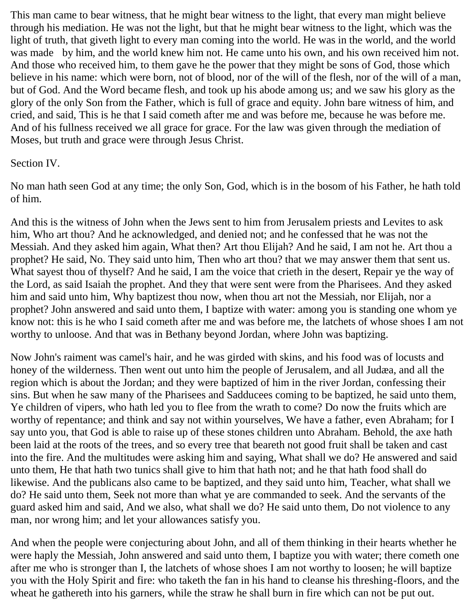This man came to bear witness, that he might bear witness to the light, that every man might believe through his mediation. He was not the light, but that he might bear witness to the light, which was the light of truth, that giveth light to every man coming into the world. He was in the world, and the world was made by him, and the world knew him not. He came unto his own, and his own received him not. And those who received him, to them gave he the power that they might be sons of God, those which believe in his name: which were born, not of blood, nor of the will of the flesh, nor of the will of a man, but of God. And the Word became flesh, and took up his abode among us; and we saw his glory as the glory of the only Son from the Father, which is full of grace and equity. John bare witness of him, and cried, and said, This is he that I said cometh after me and was before me, because he was before me. And of his fullness received we all grace for grace. For the law was given through the mediation of Moses, but truth and grace were through Jesus Christ.

#### Section IV.

No man hath seen God at any time; the only Son, God, which is in the bosom of his Father, he hath told of him.

And this is the witness of John when the Jews sent to him from Jerusalem priests and Levites to ask him, Who art thou? And he acknowledged, and denied not; and he confessed that he was not the Messiah. And they asked him again, What then? Art thou Elijah? And he said, I am not he. Art thou a prophet? He said, No. They said unto him, Then who art thou? that we may answer them that sent us. What sayest thou of thyself? And he said, I am the voice that crieth in the desert, Repair ye the way of the Lord, as said Isaiah the prophet. And they that were sent were from the Pharisees. And they asked him and said unto him, Why baptizest thou now, when thou art not the Messiah, nor Elijah, nor a prophet? John answered and said unto them, I baptize with water: among you is standing one whom ye know not: this is he who I said cometh after me and was before me, the latchets of whose shoes I am not worthy to unloose. And that was in Bethany beyond Jordan, where John was baptizing.

Now John's raiment was camel's hair, and he was girded with skins, and his food was of locusts and honey of the wilderness. Then went out unto him the people of Jerusalem, and all Judæa, and all the region which is about the Jordan; and they were baptized of him in the river Jordan, confessing their sins. But when he saw many of the Pharisees and Sadducees coming to be baptized, he said unto them, Ye children of vipers, who hath led you to flee from the wrath to come? Do now the fruits which are worthy of repentance; and think and say not within yourselves, We have a father, even Abraham; for I say unto you, that God is able to raise up of these stones children unto Abraham. Behold, the axe hath been laid at the roots of the trees, and so every tree that beareth not good fruit shall be taken and cast into the fire. And the multitudes were asking him and saying, What shall we do? He answered and said unto them, He that hath two tunics shall give to him that hath not; and he that hath food shall do likewise. And the publicans also came to be baptized, and they said unto him, Teacher, what shall we do? He said unto them, Seek not more than what ye are commanded to seek. And the servants of the guard asked him and said, And we also, what shall we do? He said unto them, Do not violence to any man, nor wrong him; and let your allowances satisfy you.

And when the people were conjecturing about John, and all of them thinking in their hearts whether he were haply the Messiah, John answered and said unto them, I baptize you with water; there cometh one after me who is stronger than I, the latchets of whose shoes I am not worthy to loosen; he will baptize you with the Holy Spirit and fire: who taketh the fan in his hand to cleanse his threshing-floors, and the wheat he gathereth into his garners, while the straw he shall burn in fire which can not be put out.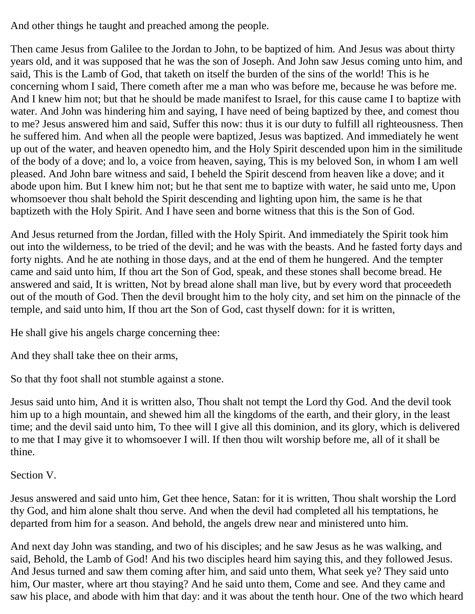And other things he taught and preached among the people.

Then came Jesus from Galilee to the Jordan to John, to be baptized of him. And Jesus was about thirty years old, and it was supposed that he was the son of Joseph. And John saw Jesus coming unto him, and said, This is the Lamb of God, that taketh on itself the burden of the sins of the world! This is he concerning whom I said, There cometh after me a man who was before me, because he was before me. And I knew him not; but that he should be made manifest to Israel, for this cause came I to baptize with water. And John was hindering him and saying, I have need of being baptized by thee, and comest thou to me? Jesus answered him and said, Suffer this now: thus it is our duty to fulfill all righteousness. Then he suffered him. And when all the people were baptized, Jesus was baptized. And immediately he went up out of the water, and heaven openedto him, and the Holy Spirit descended upon him in the similitude of the body of a dove; and lo, a voice from heaven, saying, This is my beloved Son, in whom I am well pleased. And John bare witness and said, I beheld the Spirit descend from heaven like a dove; and it abode upon him. But I knew him not; but he that sent me to baptize with water, he said unto me, Upon whomsoever thou shalt behold the Spirit descending and lighting upon him, the same is he that baptizeth with the Holy Spirit. And I have seen and borne witness that this is the Son of God.

And Jesus returned from the Jordan, filled with the Holy Spirit. And immediately the Spirit took him out into the wilderness, to be tried of the devil; and he was with the beasts. And he fasted forty days and forty nights. And he ate nothing in those days, and at the end of them he hungered. And the tempter came and said unto him, If thou art the Son of God, speak, and these stones shall become bread. He answered and said, It is written, Not by bread alone shall man live, but by every word that proceedeth out of the mouth of God. Then the devil brought him to the holy city, and set him on the pinnacle of the temple, and said unto him, If thou art the Son of God, cast thyself down: for it is written,

He shall give his angels charge concerning thee:

And they shall take thee on their arms,

So that thy foot shall not stumble against a stone.

Jesus said unto him, And it is written also, Thou shalt not tempt the Lord thy God. And the devil took him up to a high mountain, and shewed him all the kingdoms of the earth, and their glory, in the least time; and the devil said unto him, To thee will I give all this dominion, and its glory, which is delivered to me that I may give it to whomsoever I will. If then thou wilt worship before me, all of it shall be thine.

# Section V.

Jesus answered and said unto him, Get thee hence, Satan: for it is written, Thou shalt worship the Lord thy God, and him alone shalt thou serve. And when the devil had completed all his temptations, he departed from him for a season. And behold, the angels drew near and ministered unto him.

And next day John was standing, and two of his disciples; and he saw Jesus as he was walking, and said, Behold, the Lamb of God! And his two disciples heard him saying this, and they followed Jesus. And Jesus turned and saw them coming after him, and said unto them, What seek ye? They said unto him, Our master, where art thou staying? And he said unto them, Come and see. And they came and saw his place, and abode with him that day: and it was about the tenth hour. One of the two which heard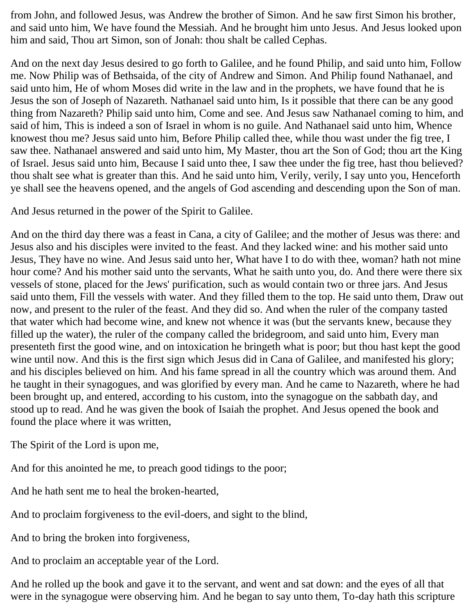from John, and followed Jesus, was Andrew the brother of Simon. And he saw first Simon his brother, and said unto him, We have found the Messiah. And he brought him unto Jesus. And Jesus looked upon him and said, Thou art Simon, son of Jonah: thou shalt be called Cephas.

And on the next day Jesus desired to go forth to Galilee, and he found Philip, and said unto him, Follow me. Now Philip was of Bethsaida, of the city of Andrew and Simon. And Philip found Nathanael, and said unto him, He of whom Moses did write in the law and in the prophets, we have found that he is Jesus the son of Joseph of Nazareth. Nathanael said unto him, Is it possible that there can be any good thing from Nazareth? Philip said unto him, Come and see. And Jesus saw Nathanael coming to him, and said of him, This is indeed a son of Israel in whom is no guile. And Nathanael said unto him, Whence knowest thou me? Jesus said unto him, Before Philip called thee, while thou wast under the fig tree, I saw thee. Nathanael answered and said unto him, My Master, thou art the Son of God; thou art the King of Israel. Jesus said unto him, Because I said unto thee, I saw thee under the fig tree, hast thou believed? thou shalt see what is greater than this. And he said unto him, Verily, verily, I say unto you, Henceforth ye shall see the heavens opened, and the angels of God ascending and descending upon the Son of man.

And Jesus returned in the power of the Spirit to Galilee.

And on the third day there was a feast in Cana, a city of Galilee; and the mother of Jesus was there: and Jesus also and his disciples were invited to the feast. And they lacked wine: and his mother said unto Jesus, They have no wine. And Jesus said unto her, What have I to do with thee, woman? hath not mine hour come? And his mother said unto the servants, What he saith unto you, do. And there were there six vessels of stone, placed for the Jews' purification, such as would contain two or three jars. And Jesus said unto them, Fill the vessels with water. And they filled them to the top. He said unto them, Draw out now, and present to the ruler of the feast. And they did so. And when the ruler of the company tasted that water which had become wine, and knew not whence it was (but the servants knew, because they filled up the water), the ruler of the company called the bridegroom, and said unto him, Every man presenteth first the good wine, and on intoxication he bringeth what is poor; but thou hast kept the good wine until now. And this is the first sign which Jesus did in Cana of Galilee, and manifested his glory; and his disciples believed on him. And his fame spread in all the country which was around them. And he taught in their synagogues, and was glorified by every man. And he came to Nazareth, where he had been brought up, and entered, according to his custom, into the synagogue on the sabbath day, and stood up to read. And he was given the book of Isaiah the prophet. And Jesus opened the book and found the place where it was written,

The Spirit of the Lord is upon me,

- And for this anointed he me, to preach good tidings to the poor;
- And he hath sent me to heal the broken-hearted,
- And to proclaim forgiveness to the evil-doers, and sight to the blind,
- And to bring the broken into forgiveness,
- And to proclaim an acceptable year of the Lord.

And he rolled up the book and gave it to the servant, and went and sat down: and the eyes of all that were in the synagogue were observing him. And he began to say unto them, To-day hath this scripture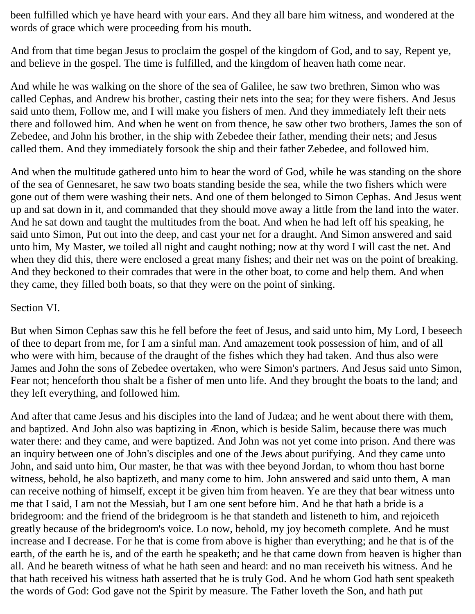been fulfilled which ye have heard with your ears. And they all bare him witness, and wondered at the words of grace which were proceeding from his mouth.

And from that time began Jesus to proclaim the gospel of the kingdom of God, and to say, Repent ye, and believe in the gospel. The time is fulfilled, and the kingdom of heaven hath come near.

And while he was walking on the shore of the sea of Galilee, he saw two brethren, Simon who was called Cephas, and Andrew his brother, casting their nets into the sea; for they were fishers. And Jesus said unto them, Follow me, and I will make you fishers of men. And they immediately left their nets there and followed him. And when he went on from thence, he saw other two brothers, James the son of Zebedee, and John his brother, in the ship with Zebedee their father, mending their nets; and Jesus called them. And they immediately forsook the ship and their father Zebedee, and followed him.

And when the multitude gathered unto him to hear the word of God, while he was standing on the shore of the sea of Gennesaret, he saw two boats standing beside the sea, while the two fishers which were gone out of them were washing their nets. And one of them belonged to Simon Cephas. And Jesus went up and sat down in it, and commanded that they should move away a little from the land into the water. And he sat down and taught the multitudes from the boat. And when he had left off his speaking, he said unto Simon, Put out into the deep, and cast your net for a draught. And Simon answered and said unto him, My Master, we toiled all night and caught nothing; now at thy word I will cast the net. And when they did this, there were enclosed a great many fishes; and their net was on the point of breaking. And they beckoned to their comrades that were in the other boat, to come and help them. And when they came, they filled both boats, so that they were on the point of sinking.

#### Section VI.

But when Simon Cephas saw this he fell before the feet of Jesus, and said unto him, My Lord, I beseech of thee to depart from me, for I am a sinful man. And amazement took possession of him, and of all who were with him, because of the draught of the fishes which they had taken. And thus also were James and John the sons of Zebedee overtaken, who were Simon's partners. And Jesus said unto Simon, Fear not; henceforth thou shalt be a fisher of men unto life. And they brought the boats to the land; and they left everything, and followed him.

And after that came Jesus and his disciples into the land of Judæa; and he went about there with them, and baptized. And John also was baptizing in Ænon, which is beside Salim, because there was much water there: and they came, and were baptized. And John was not yet come into prison. And there was an inquiry between one of John's disciples and one of the Jews about purifying. And they came unto John, and said unto him, Our master, he that was with thee beyond Jordan, to whom thou hast borne witness, behold, he also baptizeth, and many come to him. John answered and said unto them, A man can receive nothing of himself, except it be given him from heaven. Ye are they that bear witness unto me that I said, I am not the Messiah, but I am one sent before him. And he that hath a bride is a bridegroom: and the friend of the bridegroom is he that standeth and listeneth to him, and rejoiceth greatly because of the bridegroom's voice. Lo now, behold, my joy becometh complete. And he must increase and I decrease. For he that is come from above is higher than everything; and he that is of the earth, of the earth he is, and of the earth he speaketh; and he that came down from heaven is higher than all. And he beareth witness of what he hath seen and heard: and no man receiveth his witness. And he that hath received his witness hath asserted that he is truly God. And he whom God hath sent speaketh the words of God: God gave not the Spirit by measure. The Father loveth the Son, and hath put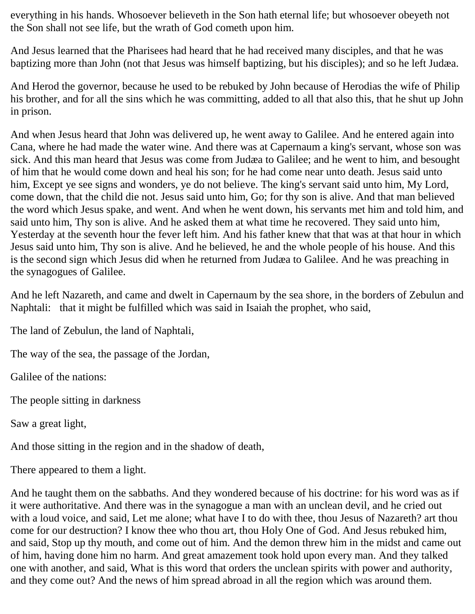everything in his hands. Whosoever believeth in the Son hath eternal life; but whosoever obeyeth not the Son shall not see life, but the wrath of God cometh upon him.

And Jesus learned that the Pharisees had heard that he had received many disciples, and that he was baptizing more than John (not that Jesus was himself baptizing, but his disciples); and so he left Judæa.

And Herod the governor, because he used to be rebuked by John because of Herodias the wife of Philip his brother, and for all the sins which he was committing, added to all that also this, that he shut up John in prison.

And when Jesus heard that John was delivered up, he went away to Galilee. And he entered again into Cana, where he had made the water wine. And there was at Capernaum a king's servant, whose son was sick. And this man heard that Jesus was come from Judæa to Galilee; and he went to him, and besought of him that he would come down and heal his son; for he had come near unto death. Jesus said unto him, Except ye see signs and wonders, ye do not believe. The king's servant said unto him, My Lord, come down, that the child die not. Jesus said unto him, Go; for thy son is alive. And that man believed the word which Jesus spake, and went. And when he went down, his servants met him and told him, and said unto him, Thy son is alive. And he asked them at what time he recovered. They said unto him, Yesterday at the seventh hour the fever left him. And his father knew that that was at that hour in which Jesus said unto him, Thy son is alive. And he believed, he and the whole people of his house. And this is the second sign which Jesus did when he returned from Judæa to Galilee. And he was preaching in the synagogues of Galilee.

And he left Nazareth, and came and dwelt in Capernaum by the sea shore, in the borders of Zebulun and Naphtali: that it might be fulfilled which was said in Isaiah the prophet, who said,

The land of Zebulun, the land of Naphtali,

The way of the sea, the passage of the Jordan,

Galilee of the nations:

The people sitting in darkness

Saw a great light,

And those sitting in the region and in the shadow of death,

There appeared to them a light.

And he taught them on the sabbaths. And they wondered because of his doctrine: for his word was as if it were authoritative. And there was in the synagogue a man with an unclean devil, and he cried out with a loud voice, and said, Let me alone; what have I to do with thee, thou Jesus of Nazareth? art thou come for our destruction? I know thee who thou art, thou Holy One of God. And Jesus rebuked him, and said, Stop up thy mouth, and come out of him. And the demon threw him in the midst and came out of him, having done him no harm. And great amazement took hold upon every man. And they talked one with another, and said, What is this word that orders the unclean spirits with power and authority, and they come out? And the news of him spread abroad in all the region which was around them.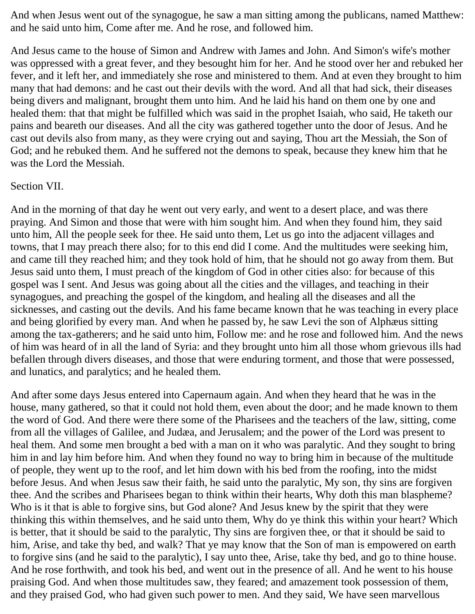And when Jesus went out of the synagogue, he saw a man sitting among the publicans, named Matthew: and he said unto him, Come after me. And he rose, and followed him.

And Jesus came to the house of Simon and Andrew with James and John. And Simon's wife's mother was oppressed with a great fever, and they besought him for her. And he stood over her and rebuked her fever, and it left her, and immediately she rose and ministered to them. And at even they brought to him many that had demons: and he cast out their devils with the word. And all that had sick, their diseases being divers and malignant, brought them unto him. And he laid his hand on them one by one and healed them: that that might be fulfilled which was said in the prophet Isaiah, who said, He taketh our pains and beareth our diseases. And all the city was gathered together unto the door of Jesus. And he cast out devils also from many, as they were crying out and saying, Thou art the Messiah, the Son of God; and he rebuked them. And he suffered not the demons to speak, because they knew him that he was the Lord the Messiah.

#### Section VII.

And in the morning of that day he went out very early, and went to a desert place, and was there praying. And Simon and those that were with him sought him. And when they found him, they said unto him, All the people seek for thee. He said unto them, Let us go into the adjacent villages and towns, that I may preach there also; for to this end did I come. And the multitudes were seeking him, and came till they reached him; and they took hold of him, that he should not go away from them. But Jesus said unto them, I must preach of the kingdom of God in other cities also: for because of this gospel was I sent. And Jesus was going about all the cities and the villages, and teaching in their synagogues, and preaching the gospel of the kingdom, and healing all the diseases and all the sicknesses, and casting out the devils. And his fame became known that he was teaching in every place and being glorified by every man. And when he passed by, he saw Levi the son of Alphæus sitting among the tax-gatherers; and he said unto him, Follow me: and he rose and followed him. And the news of him was heard of in all the land of Syria: and they brought unto him all those whom grievous ills had befallen through divers diseases, and those that were enduring torment, and those that were possessed, and lunatics, and paralytics; and he healed them.

And after some days Jesus entered into Capernaum again. And when they heard that he was in the house, many gathered, so that it could not hold them, even about the door; and he made known to them the word of God. And there were there some of the Pharisees and the teachers of the law, sitting, come from all the villages of Galilee, and Judæa, and Jerusalem; and the power of the Lord was present to heal them. And some men brought a bed with a man on it who was paralytic. And they sought to bring him in and lay him before him. And when they found no way to bring him in because of the multitude of people, they went up to the roof, and let him down with his bed from the roofing, into the midst before Jesus. And when Jesus saw their faith, he said unto the paralytic, My son, thy sins are forgiven thee. And the scribes and Pharisees began to think within their hearts, Why doth this man blaspheme? Who is it that is able to forgive sins, but God alone? And Jesus knew by the spirit that they were thinking this within themselves, and he said unto them, Why do ye think this within your heart? Which is better, that it should be said to the paralytic, Thy sins are forgiven thee, or that it should be said to him, Arise, and take thy bed, and walk? That ye may know that the Son of man is empowered on earth to forgive sins (and he said to the paralytic), I say unto thee, Arise, take thy bed, and go to thine house. And he rose forthwith, and took his bed, and went out in the presence of all. And he went to his house praising God. And when those multitudes saw, they feared; and amazement took possession of them, and they praised God, who had given such power to men. And they said, We have seen marvellous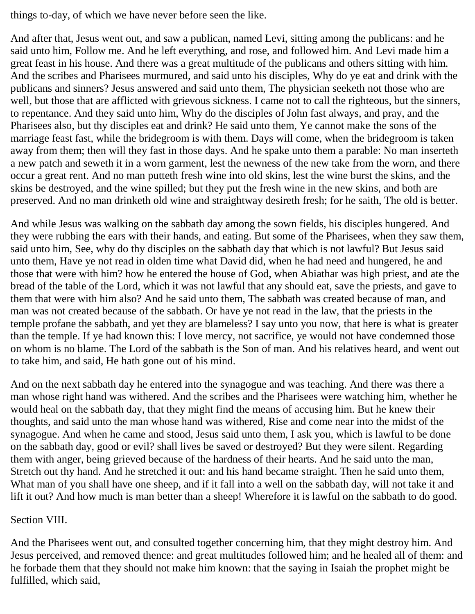things to-day, of which we have never before seen the like.

And after that, Jesus went out, and saw a publican, named Levi, sitting among the publicans: and he said unto him, Follow me. And he left everything, and rose, and followed him. And Levi made him a great feast in his house. And there was a great multitude of the publicans and others sitting with him. And the scribes and Pharisees murmured, and said unto his disciples, Why do ye eat and drink with the publicans and sinners? Jesus answered and said unto them, The physician seeketh not those who are well, but those that are afflicted with grievous sickness. I came not to call the righteous, but the sinners, to repentance. And they said unto him, Why do the disciples of John fast always, and pray, and the Pharisees also, but thy disciples eat and drink? He said unto them, Ye cannot make the sons of the marriage feast fast, while the bridegroom is with them. Days will come, when the bridegroom is taken away from them; then will they fast in those days. And he spake unto them a parable: No man inserteth a new patch and seweth it in a worn garment, lest the newness of the new take from the worn, and there occur a great rent. And no man putteth fresh wine into old skins, lest the wine burst the skins, and the skins be destroyed, and the wine spilled; but they put the fresh wine in the new skins, and both are preserved. And no man drinketh old wine and straightway desireth fresh; for he saith, The old is better.

And while Jesus was walking on the sabbath day among the sown fields, his disciples hungered. And they were rubbing the ears with their hands, and eating. But some of the Pharisees, when they saw them, said unto him, See, why do thy disciples on the sabbath day that which is not lawful? But Jesus said unto them, Have ye not read in olden time what David did, when he had need and hungered, he and those that were with him? how he entered the house of God, when Abiathar was high priest, and ate the bread of the table of the Lord, which it was not lawful that any should eat, save the priests, and gave to them that were with him also? And he said unto them, The sabbath was created because of man, and man was not created because of the sabbath. Or have ye not read in the law, that the priests in the temple profane the sabbath, and yet they are blameless? I say unto you now, that here is what is greater than the temple. If ye had known this: I love mercy, not sacrifice, ye would not have condemned those on whom is no blame. The Lord of the sabbath is the Son of man. And his relatives heard, and went out to take him, and said, He hath gone out of his mind.

And on the next sabbath day he entered into the synagogue and was teaching. And there was there a man whose right hand was withered. And the scribes and the Pharisees were watching him, whether he would heal on the sabbath day, that they might find the means of accusing him. But he knew their thoughts, and said unto the man whose hand was withered, Rise and come near into the midst of the synagogue. And when he came and stood, Jesus said unto them, I ask you, which is lawful to be done on the sabbath day, good or evil? shall lives be saved or destroyed? But they were silent. Regarding them with anger, being grieved because of the hardness of their hearts. And he said unto the man, Stretch out thy hand. And he stretched it out: and his hand became straight. Then he said unto them, What man of you shall have one sheep, and if it fall into a well on the sabbath day, will not take it and lift it out? And how much is man better than a sheep! Wherefore it is lawful on the sabbath to do good.

## Section VIII.

And the Pharisees went out, and consulted together concerning him, that they might destroy him. And Jesus perceived, and removed thence: and great multitudes followed him; and he healed all of them: and he forbade them that they should not make him known: that the saying in Isaiah the prophet might be fulfilled, which said,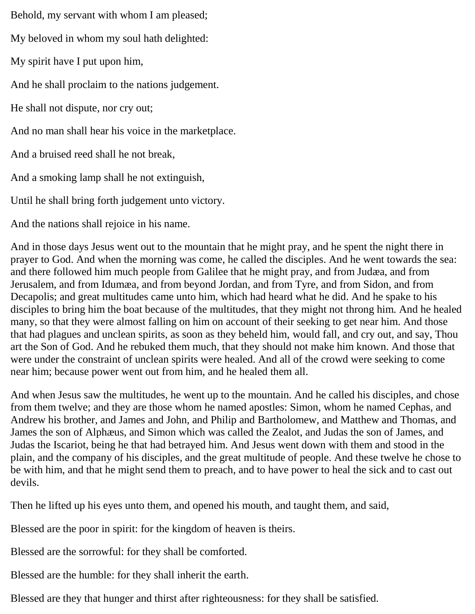Behold, my servant with whom I am pleased;

My beloved in whom my soul hath delighted:

My spirit have I put upon him,

And he shall proclaim to the nations judgement.

He shall not dispute, nor cry out;

And no man shall hear his voice in the marketplace.

And a bruised reed shall he not break,

And a smoking lamp shall he not extinguish,

Until he shall bring forth judgement unto victory.

And the nations shall rejoice in his name.

And in those days Jesus went out to the mountain that he might pray, and he spent the night there in prayer to God. And when the morning was come, he called the disciples. And he went towards the sea: and there followed him much people from Galilee that he might pray, and from Judæa, and from Jerusalem, and from Idumæa, and from beyond Jordan, and from Tyre, and from Sidon, and from Decapolis; and great multitudes came unto him, which had heard what he did. And he spake to his disciples to bring him the boat because of the multitudes, that they might not throng him. And he healed many, so that they were almost falling on him on account of their seeking to get near him. And those that had plagues and unclean spirits, as soon as they beheld him, would fall, and cry out, and say, Thou art the Son of God. And he rebuked them much, that they should not make him known. And those that were under the constraint of unclean spirits were healed. And all of the crowd were seeking to come near him; because power went out from him, and he healed them all.

And when Jesus saw the multitudes, he went up to the mountain. And he called his disciples, and chose from them twelve; and they are those whom he named apostles: Simon, whom he named Cephas, and Andrew his brother, and James and John, and Philip and Bartholomew, and Matthew and Thomas, and James the son of Alphæus, and Simon which was called the Zealot, and Judas the son of James, and Judas the Iscariot, being he that had betrayed him. And Jesus went down with them and stood in the plain, and the company of his disciples, and the great multitude of people. And these twelve he chose to be with him, and that he might send them to preach, and to have power to heal the sick and to cast out devils.

Then he lifted up his eyes unto them, and opened his mouth, and taught them, and said,

Blessed are the poor in spirit: for the kingdom of heaven is theirs.

Blessed are the sorrowful: for they shall be comforted.

Blessed are the humble: for they shall inherit the earth.

Blessed are they that hunger and thirst after righteousness: for they shall be satisfied.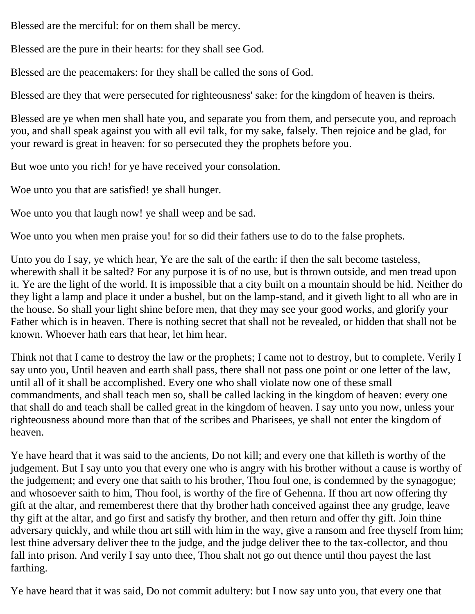Blessed are the merciful: for on them shall be mercy.

Blessed are the pure in their hearts: for they shall see God.

Blessed are the peacemakers: for they shall be called the sons of God.

Blessed are they that were persecuted for righteousness' sake: for the kingdom of heaven is theirs.

Blessed are ye when men shall hate you, and separate you from them, and persecute you, and reproach you, and shall speak against you with all evil talk, for my sake, falsely. Then rejoice and be glad, for your reward is great in heaven: for so persecuted they the prophets before you.

But woe unto you rich! for ye have received your consolation.

Woe unto you that are satisfied! ye shall hunger.

Woe unto you that laugh now! ye shall weep and be sad.

Woe unto you when men praise you! for so did their fathers use to do to the false prophets.

Unto you do I say, ye which hear, Ye are the salt of the earth: if then the salt become tasteless, wherewith shall it be salted? For any purpose it is of no use, but is thrown outside, and men tread upon it. Ye are the light of the world. It is impossible that a city built on a mountain should be hid. Neither do they light a lamp and place it under a bushel, but on the lamp-stand, and it giveth light to all who are in the house. So shall your light shine before men, that they may see your good works, and glorify your Father which is in heaven. There is nothing secret that shall not be revealed, or hidden that shall not be known. Whoever hath ears that hear, let him hear.

Think not that I came to destroy the law or the prophets; I came not to destroy, but to complete. Verily I say unto you, Until heaven and earth shall pass, there shall not pass one point or one letter of the law, until all of it shall be accomplished. Every one who shall violate now one of these small commandments, and shall teach men so, shall be called lacking in the kingdom of heaven: every one that shall do and teach shall be called great in the kingdom of heaven. I say unto you now, unless your righteousness abound more than that of the scribes and Pharisees, ye shall not enter the kingdom of heaven.

Ye have heard that it was said to the ancients, Do not kill; and every one that killeth is worthy of the judgement. But I say unto you that every one who is angry with his brother without a cause is worthy of the judgement; and every one that saith to his brother, Thou foul one, is condemned by the synagogue; and whosoever saith to him, Thou fool, is worthy of the fire of Gehenna. If thou art now offering thy gift at the altar, and rememberest there that thy brother hath conceived against thee any grudge, leave thy gift at the altar, and go first and satisfy thy brother, and then return and offer thy gift. Join thine adversary quickly, and while thou art still with him in the way, give a ransom and free thyself from him; lest thine adversary deliver thee to the judge, and the judge deliver thee to the tax-collector, and thou fall into prison. And verily I say unto thee, Thou shalt not go out thence until thou payest the last farthing.

Ye have heard that it was said, Do not commit adultery: but I now say unto you, that every one that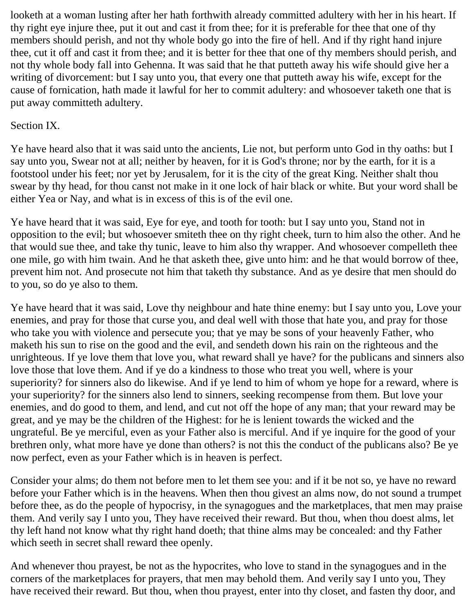looketh at a woman lusting after her hath forthwith already committed adultery with her in his heart. If thy right eye injure thee, put it out and cast it from thee; for it is preferable for thee that one of thy members should perish, and not thy whole body go into the fire of hell. And if thy right hand injure thee, cut it off and cast it from thee; and it is better for thee that one of thy members should perish, and not thy whole body fall into Gehenna. It was said that he that putteth away his wife should give her a writing of divorcement: but I say unto you, that every one that putteth away his wife, except for the cause of fornication, hath made it lawful for her to commit adultery: and whosoever taketh one that is put away committeth adultery.

# Section IX.

Ye have heard also that it was said unto the ancients, Lie not, but perform unto God in thy oaths: but I say unto you, Swear not at all; neither by heaven, for it is God's throne; nor by the earth, for it is a footstool under his feet; nor yet by Jerusalem, for it is the city of the great King. Neither shalt thou swear by thy head, for thou canst not make in it one lock of hair black or white. But your word shall be either Yea or Nay, and what is in excess of this is of the evil one.

Ye have heard that it was said, Eye for eye, and tooth for tooth: but I say unto you, Stand not in opposition to the evil; but whosoever smiteth thee on thy right cheek, turn to him also the other. And he that would sue thee, and take thy tunic, leave to him also thy wrapper. And whosoever compelleth thee one mile, go with him twain. And he that asketh thee, give unto him: and he that would borrow of thee, prevent him not. And prosecute not him that taketh thy substance. And as ye desire that men should do to you, so do ye also to them.

Ye have heard that it was said, Love thy neighbour and hate thine enemy: but I say unto you, Love your enemies, and pray for those that curse you, and deal well with those that hate you, and pray for those who take you with violence and persecute you; that ye may be sons of your heavenly Father, who maketh his sun to rise on the good and the evil, and sendeth down his rain on the righteous and the unrighteous. If ye love them that love you, what reward shall ye have? for the publicans and sinners also love those that love them. And if ye do a kindness to those who treat you well, where is your superiority? for sinners also do likewise. And if ye lend to him of whom ye hope for a reward, where is your superiority? for the sinners also lend to sinners, seeking recompense from them. But love your enemies, and do good to them, and lend, and cut not off the hope of any man; that your reward may be great, and ye may be the children of the Highest: for he is lenient towards the wicked and the ungrateful. Be ye merciful, even as your Father also is merciful. And if ye inquire for the good of your brethren only, what more have ye done than others? is not this the conduct of the publicans also? Be ye now perfect, even as your Father which is in heaven is perfect.

Consider your alms; do them not before men to let them see you: and if it be not so, ye have no reward before your Father which is in the heavens. When then thou givest an alms now, do not sound a trumpet before thee, as do the people of hypocrisy, in the synagogues and the marketplaces, that men may praise them. And verily say I unto you, They have received their reward. But thou, when thou doest alms, let thy left hand not know what thy right hand doeth; that thine alms may be concealed: and thy Father which seeth in secret shall reward thee openly.

And whenever thou prayest, be not as the hypocrites, who love to stand in the synagogues and in the corners of the marketplaces for prayers, that men may behold them. And verily say I unto you, They have received their reward. But thou, when thou prayest, enter into thy closet, and fasten thy door, and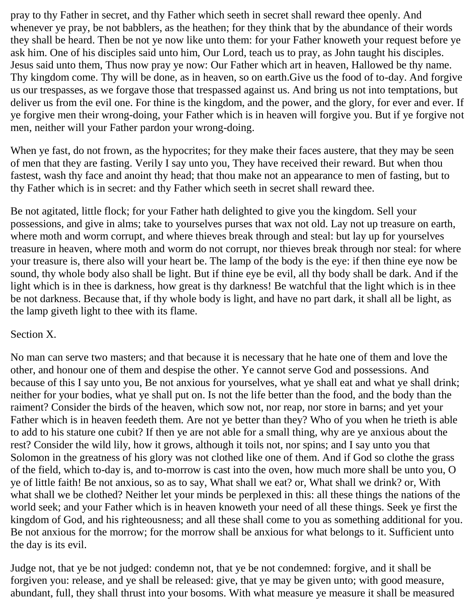pray to thy Father in secret, and thy Father which seeth in secret shall reward thee openly. And whenever ye pray, be not babblers, as the heathen; for they think that by the abundance of their words they shall be heard. Then be not ye now like unto them: for your Father knoweth your request before ye ask him. One of his disciples said unto him, Our Lord, teach us to pray, as John taught his disciples. Jesus said unto them, Thus now pray ye now: Our Father which art in heaven, Hallowed be thy name. Thy kingdom come. Thy will be done, as in heaven, so on earth.Give us the food of to-day. And forgive us our trespasses, as we forgave those that trespassed against us. And bring us not into temptations, but deliver us from the evil one. For thine is the kingdom, and the power, and the glory, for ever and ever. If ye forgive men their wrong-doing, your Father which is in heaven will forgive you. But if ye forgive not men, neither will your Father pardon your wrong-doing.

When ye fast, do not frown, as the hypocrites; for they make their faces austere, that they may be seen of men that they are fasting. Verily I say unto you, They have received their reward. But when thou fastest, wash thy face and anoint thy head; that thou make not an appearance to men of fasting, but to thy Father which is in secret: and thy Father which seeth in secret shall reward thee.

Be not agitated, little flock; for your Father hath delighted to give you the kingdom. Sell your possessions, and give in alms; take to yourselves purses that wax not old. Lay not up treasure on earth, where moth and worm corrupt, and where thieves break through and steal: but lay up for yourselves treasure in heaven, where moth and worm do not corrupt, nor thieves break through nor steal: for where your treasure is, there also will your heart be. The lamp of the body is the eye: if then thine eye now be sound, thy whole body also shall be light. But if thine eye be evil, all thy body shall be dark. And if the light which is in thee is darkness, how great is thy darkness! Be watchful that the light which is in thee be not darkness. Because that, if thy whole body is light, and have no part dark, it shall all be light, as the lamp giveth light to thee with its flame.

## Section X.

No man can serve two masters; and that because it is necessary that he hate one of them and love the other, and honour one of them and despise the other. Ye cannot serve God and possessions. And because of this I say unto you, Be not anxious for yourselves, what ye shall eat and what ye shall drink; neither for your bodies, what ye shall put on. Is not the life better than the food, and the body than the raiment? Consider the birds of the heaven, which sow not, nor reap, nor store in barns; and yet your Father which is in heaven feedeth them. Are not ye better than they? Who of you when he trieth is able to add to his stature one cubit? If then ye are not able for a small thing, why are ye anxious about the rest? Consider the wild lily, how it grows, although it toils not, nor spins; and I say unto you that Solomon in the greatness of his glory was not clothed like one of them. And if God so clothe the grass of the field, which to-day is, and to-morrow is cast into the oven, how much more shall be unto you, O ye of little faith! Be not anxious, so as to say, What shall we eat? or, What shall we drink? or, With what shall we be clothed? Neither let your minds be perplexed in this: all these things the nations of the world seek; and your Father which is in heaven knoweth your need of all these things. Seek ye first the kingdom of God, and his righteousness; and all these shall come to you as something additional for you. Be not anxious for the morrow; for the morrow shall be anxious for what belongs to it. Sufficient unto the day is its evil.

Judge not, that ye be not judged: condemn not, that ye be not condemned: forgive, and it shall be forgiven you: release, and ye shall be released: give, that ye may be given unto; with good measure, abundant, full, they shall thrust into your bosoms. With what measure ye measure it shall be measured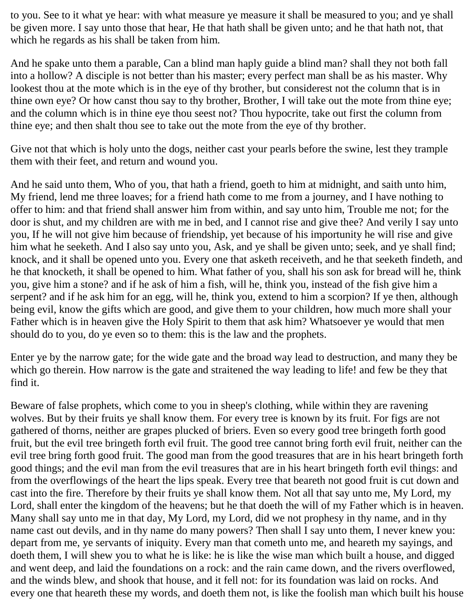to you. See to it what ye hear: with what measure ye measure it shall be measured to you; and ye shall be given more. I say unto those that hear, He that hath shall be given unto; and he that hath not, that which he regards as his shall be taken from him.

And he spake unto them a parable, Can a blind man haply guide a blind man? shall they not both fall into a hollow? A disciple is not better than his master; every perfect man shall be as his master. Why lookest thou at the mote which is in the eye of thy brother, but considerest not the column that is in thine own eye? Or how canst thou say to thy brother, Brother, I will take out the mote from thine eye; and the column which is in thine eye thou seest not? Thou hypocrite, take out first the column from thine eye; and then shalt thou see to take out the mote from the eye of thy brother.

Give not that which is holy unto the dogs, neither cast your pearls before the swine, lest they trample them with their feet, and return and wound you.

And he said unto them, Who of you, that hath a friend, goeth to him at midnight, and saith unto him, My friend, lend me three loaves; for a friend hath come to me from a journey, and I have nothing to offer to him: and that friend shall answer him from within, and say unto him, Trouble me not; for the door is shut, and my children are with me in bed, and I cannot rise and give thee? And verily I say unto you, If he will not give him because of friendship, yet because of his importunity he will rise and give him what he seeketh. And I also say unto you, Ask, and ye shall be given unto; seek, and ye shall find; knock, and it shall be opened unto you. Every one that asketh receiveth, and he that seeketh findeth, and he that knocketh, it shall be opened to him. What father of you, shall his son ask for bread will he, think you, give him a stone? and if he ask of him a fish, will he, think you, instead of the fish give him a serpent? and if he ask him for an egg, will he, think you, extend to him a scorpion? If ye then, although being evil, know the gifts which are good, and give them to your children, how much more shall your Father which is in heaven give the Holy Spirit to them that ask him? Whatsoever ye would that men should do to you, do ye even so to them: this is the law and the prophets.

Enter ye by the narrow gate; for the wide gate and the broad way lead to destruction, and many they be which go therein. How narrow is the gate and straitened the way leading to life! and few be they that find it.

Beware of false prophets, which come to you in sheep's clothing, while within they are ravening wolves. But by their fruits ye shall know them. For every tree is known by its fruit. For figs are not gathered of thorns, neither are grapes plucked of briers. Even so every good tree bringeth forth good fruit, but the evil tree bringeth forth evil fruit. The good tree cannot bring forth evil fruit, neither can the evil tree bring forth good fruit. The good man from the good treasures that are in his heart bringeth forth good things; and the evil man from the evil treasures that are in his heart bringeth forth evil things: and from the overflowings of the heart the lips speak. Every tree that beareth not good fruit is cut down and cast into the fire. Therefore by their fruits ye shall know them. Not all that say unto me, My Lord, my Lord, shall enter the kingdom of the heavens; but he that doeth the will of my Father which is in heaven. Many shall say unto me in that day, My Lord, my Lord, did we not prophesy in thy name, and in thy name cast out devils, and in thy name do many powers? Then shall I say unto them, I never knew you: depart from me, ye servants of iniquity. Every man that cometh unto me, and heareth my sayings, and doeth them, I will shew you to what he is like: he is like the wise man which built a house, and digged and went deep, and laid the foundations on a rock: and the rain came down, and the rivers overflowed, and the winds blew, and shook that house, and it fell not: for its foundation was laid on rocks. And every one that heareth these my words, and doeth them not, is like the foolish man which built his house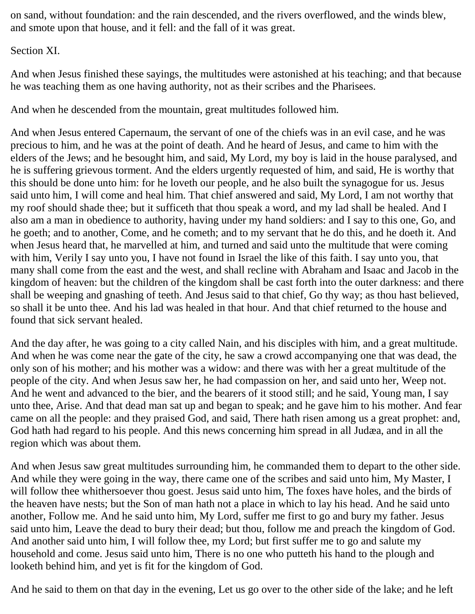on sand, without foundation: and the rain descended, and the rivers overflowed, and the winds blew, and smote upon that house, and it fell: and the fall of it was great.

## Section XI.

And when Jesus finished these sayings, the multitudes were astonished at his teaching; and that because he was teaching them as one having authority, not as their scribes and the Pharisees.

And when he descended from the mountain, great multitudes followed him.

And when Jesus entered Capernaum, the servant of one of the chiefs was in an evil case, and he was precious to him, and he was at the point of death. And he heard of Jesus, and came to him with the elders of the Jews; and he besought him, and said, My Lord, my boy is laid in the house paralysed, and he is suffering grievous torment. And the elders urgently requested of him, and said, He is worthy that this should be done unto him: for he loveth our people, and he also built the synagogue for us. Jesus said unto him, I will come and heal him. That chief answered and said, My Lord, I am not worthy that my roof should shade thee; but it sufficeth that thou speak a word, and my lad shall be healed. And I also am a man in obedience to authority, having under my hand soldiers: and I say to this one, Go, and he goeth; and to another, Come, and he cometh; and to my servant that he do this, and he doeth it. And when Jesus heard that, he marvelled at him, and turned and said unto the multitude that were coming with him, Verily I say unto you, I have not found in Israel the like of this faith. I say unto you, that many shall come from the east and the west, and shall recline with Abraham and Isaac and Jacob in the kingdom of heaven: but the children of the kingdom shall be cast forth into the outer darkness: and there shall be weeping and gnashing of teeth. And Jesus said to that chief, Go thy way; as thou hast believed, so shall it be unto thee. And his lad was healed in that hour. And that chief returned to the house and found that sick servant healed.

And the day after, he was going to a city called Nain, and his disciples with him, and a great multitude. And when he was come near the gate of the city, he saw a crowd accompanying one that was dead, the only son of his mother; and his mother was a widow: and there was with her a great multitude of the people of the city. And when Jesus saw her, he had compassion on her, and said unto her, Weep not. And he went and advanced to the bier, and the bearers of it stood still; and he said, Young man, I say unto thee, Arise. And that dead man sat up and began to speak; and he gave him to his mother. And fear came on all the people: and they praised God, and said, There hath risen among us a great prophet: and, God hath had regard to his people. And this news concerning him spread in all Judæa, and in all the region which was about them.

And when Jesus saw great multitudes surrounding him, he commanded them to depart to the other side. And while they were going in the way, there came one of the scribes and said unto him, My Master, I will follow thee whithersoever thou goest. Jesus said unto him, The foxes have holes, and the birds of the heaven have nests; but the Son of man hath not a place in which to lay his head. And he said unto another, Follow me. And he said unto him, My Lord, suffer me first to go and bury my father. Jesus said unto him, Leave the dead to bury their dead; but thou, follow me and preach the kingdom of God. And another said unto him, I will follow thee, my Lord; but first suffer me to go and salute my household and come. Jesus said unto him, There is no one who putteth his hand to the plough and looketh behind him, and yet is fit for the kingdom of God.

And he said to them on that day in the evening, Let us go over to the other side of the lake; and he left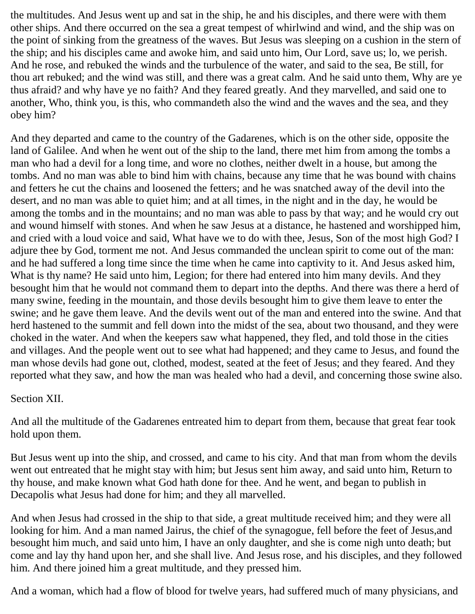the multitudes. And Jesus went up and sat in the ship, he and his disciples, and there were with them other ships. And there occurred on the sea a great tempest of whirlwind and wind, and the ship was on the point of sinking from the greatness of the waves. But Jesus was sleeping on a cushion in the stern of the ship; and his disciples came and awoke him, and said unto him, Our Lord, save us; lo, we perish. And he rose, and rebuked the winds and the turbulence of the water, and said to the sea, Be still, for thou art rebuked; and the wind was still, and there was a great calm. And he said unto them, Why are ye thus afraid? and why have ye no faith? And they feared greatly. And they marvelled, and said one to another, Who, think you, is this, who commandeth also the wind and the waves and the sea, and they obey him?

And they departed and came to the country of the Gadarenes, which is on the other side, opposite the land of Galilee. And when he went out of the ship to the land, there met him from among the tombs a man who had a devil for a long time, and wore no clothes, neither dwelt in a house, but among the tombs. And no man was able to bind him with chains, because any time that he was bound with chains and fetters he cut the chains and loosened the fetters; and he was snatched away of the devil into the desert, and no man was able to quiet him; and at all times, in the night and in the day, he would be among the tombs and in the mountains; and no man was able to pass by that way; and he would cry out and wound himself with stones. And when he saw Jesus at a distance, he hastened and worshipped him, and cried with a loud voice and said, What have we to do with thee, Jesus, Son of the most high God? I adjure thee by God, torment me not. And Jesus commanded the unclean spirit to come out of the man: and he had suffered a long time since the time when he came into captivity to it. And Jesus asked him, What is thy name? He said unto him, Legion; for there had entered into him many devils. And they besought him that he would not command them to depart into the depths. And there was there a herd of many swine, feeding in the mountain, and those devils besought him to give them leave to enter the swine; and he gave them leave. And the devils went out of the man and entered into the swine. And that herd hastened to the summit and fell down into the midst of the sea, about two thousand, and they were choked in the water. And when the keepers saw what happened, they fled, and told those in the cities and villages. And the people went out to see what had happened; and they came to Jesus, and found the man whose devils had gone out, clothed, modest, seated at the feet of Jesus; and they feared. And they reported what they saw, and how the man was healed who had a devil, and concerning those swine also.

#### Section XII.

And all the multitude of the Gadarenes entreated him to depart from them, because that great fear took hold upon them.

But Jesus went up into the ship, and crossed, and came to his city. And that man from whom the devils went out entreated that he might stay with him; but Jesus sent him away, and said unto him, Return to thy house, and make known what God hath done for thee. And he went, and began to publish in Decapolis what Jesus had done for him; and they all marvelled.

And when Jesus had crossed in the ship to that side, a great multitude received him; and they were all looking for him. And a man named Jairus, the chief of the synagogue, fell before the feet of Jesus,and besought him much, and said unto him, I have an only daughter, and she is come nigh unto death; but come and lay thy hand upon her, and she shall live. And Jesus rose, and his disciples, and they followed him. And there joined him a great multitude, and they pressed him.

And a woman, which had a flow of blood for twelve years, had suffered much of many physicians, and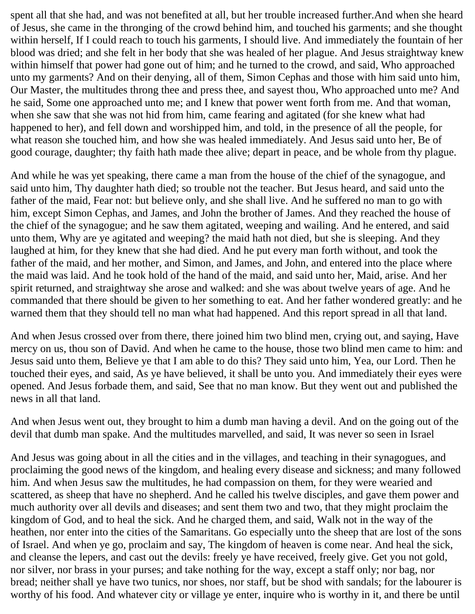spent all that she had, and was not benefited at all, but her trouble increased further.And when she heard of Jesus, she came in the thronging of the crowd behind him, and touched his garments; and she thought within herself, If I could reach to touch his garments, I should live. And immediately the fountain of her blood was dried; and she felt in her body that she was healed of her plague. And Jesus straightway knew within himself that power had gone out of him; and he turned to the crowd, and said, Who approached unto my garments? And on their denying, all of them, Simon Cephas and those with him said unto him, Our Master, the multitudes throng thee and press thee, and sayest thou, Who approached unto me? And he said, Some one approached unto me; and I knew that power went forth from me. And that woman, when she saw that she was not hid from him, came fearing and agitated (for she knew what had happened to her), and fell down and worshipped him, and told, in the presence of all the people, for what reason she touched him, and how she was healed immediately. And Jesus said unto her, Be of good courage, daughter; thy faith hath made thee alive; depart in peace, and be whole from thy plague.

And while he was yet speaking, there came a man from the house of the chief of the synagogue, and said unto him, Thy daughter hath died; so trouble not the teacher. But Jesus heard, and said unto the father of the maid, Fear not: but believe only, and she shall live. And he suffered no man to go with him, except Simon Cephas, and James, and John the brother of James. And they reached the house of the chief of the synagogue; and he saw them agitated, weeping and wailing. And he entered, and said unto them, Why are ye agitated and weeping? the maid hath not died, but she is sleeping. And they laughed at him, for they knew that she had died. And he put every man forth without, and took the father of the maid, and her mother, and Simon, and James, and John, and entered into the place where the maid was laid. And he took hold of the hand of the maid, and said unto her, Maid, arise. And her spirit returned, and straightway she arose and walked: and she was about twelve years of age. And he commanded that there should be given to her something to eat. And her father wondered greatly: and he warned them that they should tell no man what had happened. And this report spread in all that land.

And when Jesus crossed over from there, there joined him two blind men, crying out, and saying, Have mercy on us, thou son of David. And when he came to the house, those two blind men came to him: and Jesus said unto them, Believe ye that I am able to do this? They said unto him, Yea, our Lord. Then he touched their eyes, and said, As ye have believed, it shall be unto you. And immediately their eyes were opened. And Jesus forbade them, and said, See that no man know. But they went out and published the news in all that land.

And when Jesus went out, they brought to him a dumb man having a devil. And on the going out of the devil that dumb man spake. And the multitudes marvelled, and said, It was never so seen in Israel

And Jesus was going about in all the cities and in the villages, and teaching in their synagogues, and proclaiming the good news of the kingdom, and healing every disease and sickness; and many followed him. And when Jesus saw the multitudes, he had compassion on them, for they were wearied and scattered, as sheep that have no shepherd. And he called his twelve disciples, and gave them power and much authority over all devils and diseases; and sent them two and two, that they might proclaim the kingdom of God, and to heal the sick. And he charged them, and said, Walk not in the way of the heathen, nor enter into the cities of the Samaritans. Go especially unto the sheep that are lost of the sons of Israel. And when ye go, proclaim and say, The kingdom of heaven is come near. And heal the sick, and cleanse the lepers, and cast out the devils: freely ye have received, freely give. Get you not gold, nor silver, nor brass in your purses; and take nothing for the way, except a staff only; nor bag, nor bread; neither shall ye have two tunics, nor shoes, nor staff, but be shod with sandals; for the labourer is worthy of his food. And whatever city or village ye enter, inquire who is worthy in it, and there be until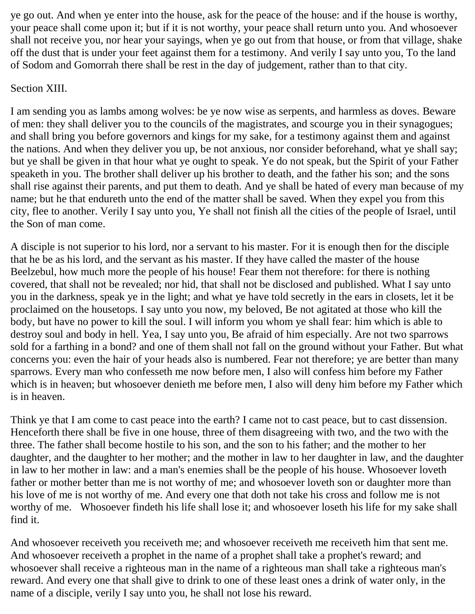ye go out. And when ye enter into the house, ask for the peace of the house: and if the house is worthy, your peace shall come upon it; but if it is not worthy, your peace shall return unto you. And whosoever shall not receive you, nor hear your sayings, when ye go out from that house, or from that village, shake off the dust that is under your feet against them for a testimony. And verily I say unto you, To the land of Sodom and Gomorrah there shall be rest in the day of judgement, rather than to that city.

# Section XIII.

I am sending you as lambs among wolves: be ye now wise as serpents, and harmless as doves. Beware of men: they shall deliver you to the councils of the magistrates, and scourge you in their synagogues; and shall bring you before governors and kings for my sake, for a testimony against them and against the nations. And when they deliver you up, be not anxious, nor consider beforehand, what ye shall say; but ye shall be given in that hour what ye ought to speak. Ye do not speak, but the Spirit of your Father speaketh in you. The brother shall deliver up his brother to death, and the father his son; and the sons shall rise against their parents, and put them to death. And ye shall be hated of every man because of my name; but he that endureth unto the end of the matter shall be saved. When they expel you from this city, flee to another. Verily I say unto you, Ye shall not finish all the cities of the people of Israel, until the Son of man come.

A disciple is not superior to his lord, nor a servant to his master. For it is enough then for the disciple that he be as his lord, and the servant as his master. If they have called the master of the house Beelzebul, how much more the people of his house! Fear them not therefore: for there is nothing covered, that shall not be revealed; nor hid, that shall not be disclosed and published. What I say unto you in the darkness, speak ye in the light; and what ye have told secretly in the ears in closets, let it be proclaimed on the housetops. I say unto you now, my beloved, Be not agitated at those who kill the body, but have no power to kill the soul. I will inform you whom ye shall fear: him which is able to destroy soul and body in hell. Yea, I say unto you, Be afraid of him especially. Are not two sparrows sold for a farthing in a bond? and one of them shall not fall on the ground without your Father. But what concerns you: even the hair of your heads also is numbered. Fear not therefore; ye are better than many sparrows. Every man who confesseth me now before men, I also will confess him before my Father which is in heaven; but whosoever denieth me before men, I also will deny him before my Father which is in heaven.

Think ye that I am come to cast peace into the earth? I came not to cast peace, but to cast dissension. Henceforth there shall be five in one house, three of them disagreeing with two, and the two with the three. The father shall become hostile to his son, and the son to his father; and the mother to her daughter, and the daughter to her mother; and the mother in law to her daughter in law, and the daughter in law to her mother in law: and a man's enemies shall be the people of his house. Whosoever loveth father or mother better than me is not worthy of me; and whosoever loveth son or daughter more than his love of me is not worthy of me. And every one that doth not take his cross and follow me is not worthy of me. Whosoever findeth his life shall lose it; and whosoever loseth his life for my sake shall find it.

And whosoever receiveth you receiveth me; and whosoever receiveth me receiveth him that sent me. And whosoever receiveth a prophet in the name of a prophet shall take a prophet's reward; and whosoever shall receive a righteous man in the name of a righteous man shall take a righteous man's reward. And every one that shall give to drink to one of these least ones a drink of water only, in the name of a disciple, verily I say unto you, he shall not lose his reward.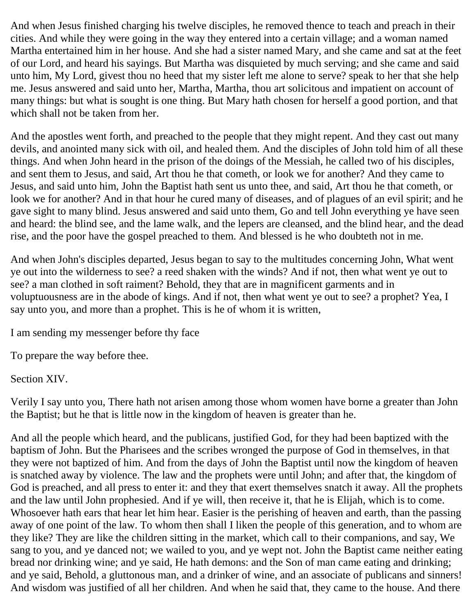And when Jesus finished charging his twelve disciples, he removed thence to teach and preach in their cities. And while they were going in the way they entered into a certain village; and a woman named Martha entertained him in her house. And she had a sister named Mary, and she came and sat at the feet of our Lord, and heard his sayings. But Martha was disquieted by much serving; and she came and said unto him, My Lord, givest thou no heed that my sister left me alone to serve? speak to her that she help me. Jesus answered and said unto her, Martha, Martha, thou art solicitous and impatient on account of many things: but what is sought is one thing. But Mary hath chosen for herself a good portion, and that which shall not be taken from her.

And the apostles went forth, and preached to the people that they might repent. And they cast out many devils, and anointed many sick with oil, and healed them. And the disciples of John told him of all these things. And when John heard in the prison of the doings of the Messiah, he called two of his disciples, and sent them to Jesus, and said, Art thou he that cometh, or look we for another? And they came to Jesus, and said unto him, John the Baptist hath sent us unto thee, and said, Art thou he that cometh, or look we for another? And in that hour he cured many of diseases, and of plagues of an evil spirit; and he gave sight to many blind. Jesus answered and said unto them, Go and tell John everything ye have seen and heard: the blind see, and the lame walk, and the lepers are cleansed, and the blind hear, and the dead rise, and the poor have the gospel preached to them. And blessed is he who doubteth not in me.

And when John's disciples departed, Jesus began to say to the multitudes concerning John, What went ye out into the wilderness to see? a reed shaken with the winds? And if not, then what went ye out to see? a man clothed in soft raiment? Behold, they that are in magnificent garments and in voluptuousness are in the abode of kings. And if not, then what went ye out to see? a prophet? Yea, I say unto you, and more than a prophet. This is he of whom it is written,

I am sending my messenger before thy face

To prepare the way before thee.

Section XIV.

Verily I say unto you, There hath not arisen among those whom women have borne a greater than John the Baptist; but he that is little now in the kingdom of heaven is greater than he.

And all the people which heard, and the publicans, justified God, for they had been baptized with the baptism of John. But the Pharisees and the scribes wronged the purpose of God in themselves, in that they were not baptized of him. And from the days of John the Baptist until now the kingdom of heaven is snatched away by violence. The law and the prophets were until John; and after that, the kingdom of God is preached, and all press to enter it: and they that exert themselves snatch it away. All the prophets and the law until John prophesied. And if ye will, then receive it, that he is Elijah, which is to come. Whosoever hath ears that hear let him hear. Easier is the perishing of heaven and earth, than the passing away of one point of the law. To whom then shall I liken the people of this generation, and to whom are they like? They are like the children sitting in the market, which call to their companions, and say, We sang to you, and ye danced not; we wailed to you, and ye wept not. John the Baptist came neither eating bread nor drinking wine; and ye said, He hath demons: and the Son of man came eating and drinking; and ye said, Behold, a gluttonous man, and a drinker of wine, and an associate of publicans and sinners! And wisdom was justified of all her children. And when he said that, they came to the house. And there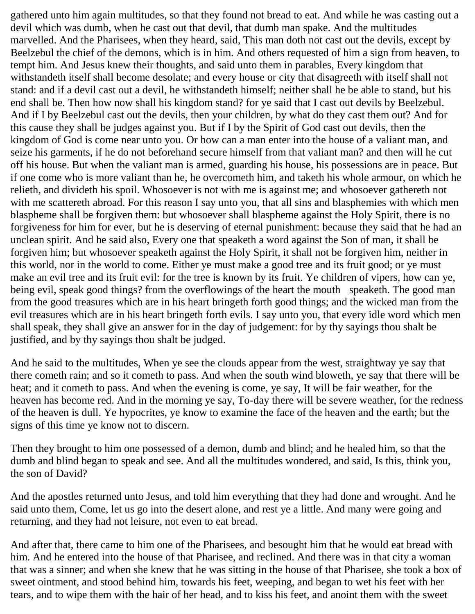gathered unto him again multitudes, so that they found not bread to eat. And while he was casting out a devil which was dumb, when he cast out that devil, that dumb man spake. And the multitudes marvelled. And the Pharisees, when they heard, said, This man doth not cast out the devils, except by Beelzebul the chief of the demons, which is in him. And others requested of him a sign from heaven, to tempt him. And Jesus knew their thoughts, and said unto them in parables, Every kingdom that withstandeth itself shall become desolate; and every house or city that disagreeth with itself shall not stand: and if a devil cast out a devil, he withstandeth himself; neither shall he be able to stand, but his end shall be. Then how now shall his kingdom stand? for ye said that I cast out devils by Beelzebul. And if I by Beelzebul cast out the devils, then your children, by what do they cast them out? And for this cause they shall be judges against you. But if I by the Spirit of God cast out devils, then the kingdom of God is come near unto you. Or how can a man enter into the house of a valiant man, and seize his garments, if he do not beforehand secure himself from that valiant man? and then will he cut off his house. But when the valiant man is armed, guarding his house, his possessions are in peace. But if one come who is more valiant than he, he overcometh him, and taketh his whole armour, on which he relieth, and divideth his spoil. Whosoever is not with me is against me; and whosoever gathereth not with me scattereth abroad. For this reason I say unto you, that all sins and blasphemies with which men blaspheme shall be forgiven them: but whosoever shall blaspheme against the Holy Spirit, there is no forgiveness for him for ever, but he is deserving of eternal punishment: because they said that he had an unclean spirit. And he said also, Every one that speaketh a word against the Son of man, it shall be forgiven him; but whosoever speaketh against the Holy Spirit, it shall not be forgiven him, neither in this world, nor in the world to come. Either ye must make a good tree and its fruit good; or ye must make an evil tree and its fruit evil: for the tree is known by its fruit. Ye children of vipers, how can ye, being evil, speak good things? from the overflowings of the heart the mouth speaketh. The good man from the good treasures which are in his heart bringeth forth good things; and the wicked man from the evil treasures which are in his heart bringeth forth evils. I say unto you, that every idle word which men shall speak, they shall give an answer for in the day of judgement: for by thy sayings thou shalt be justified, and by thy sayings thou shalt be judged.

And he said to the multitudes, When ye see the clouds appear from the west, straightway ye say that there cometh rain; and so it cometh to pass. And when the south wind bloweth, ye say that there will be heat; and it cometh to pass. And when the evening is come, ye say, It will be fair weather, for the heaven has become red. And in the morning ye say, To-day there will be severe weather, for the redness of the heaven is dull. Ye hypocrites, ye know to examine the face of the heaven and the earth; but the signs of this time ye know not to discern.

Then they brought to him one possessed of a demon, dumb and blind; and he healed him, so that the dumb and blind began to speak and see. And all the multitudes wondered, and said, Is this, think you, the son of David?

And the apostles returned unto Jesus, and told him everything that they had done and wrought. And he said unto them, Come, let us go into the desert alone, and rest ye a little. And many were going and returning, and they had not leisure, not even to eat bread.

And after that, there came to him one of the Pharisees, and besought him that he would eat bread with him. And he entered into the house of that Pharisee, and reclined. And there was in that city a woman that was a sinner; and when she knew that he was sitting in the house of that Pharisee, she took a box of sweet ointment, and stood behind him, towards his feet, weeping, and began to wet his feet with her tears, and to wipe them with the hair of her head, and to kiss his feet, and anoint them with the sweet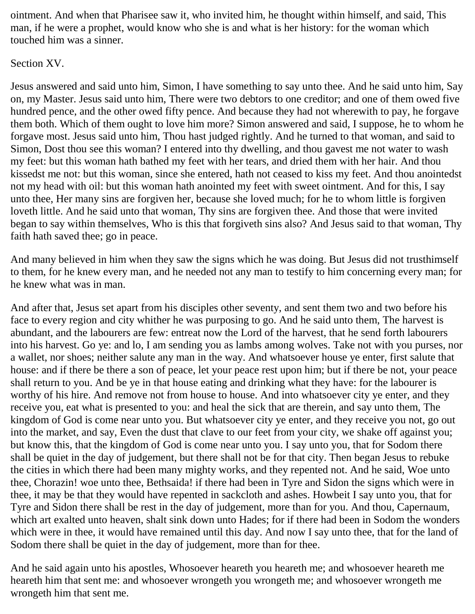ointment. And when that Pharisee saw it, who invited him, he thought within himself, and said, This man, if he were a prophet, would know who she is and what is her history: for the woman which touched him was a sinner.

## Section XV.

Jesus answered and said unto him, Simon, I have something to say unto thee. And he said unto him, Say on, my Master. Jesus said unto him, There were two debtors to one creditor; and one of them owed five hundred pence, and the other owed fifty pence. And because they had not wherewith to pay, he forgave them both. Which of them ought to love him more? Simon answered and said, I suppose, he to whom he forgave most. Jesus said unto him, Thou hast judged rightly. And he turned to that woman, and said to Simon, Dost thou see this woman? I entered into thy dwelling, and thou gavest me not water to wash my feet: but this woman hath bathed my feet with her tears, and dried them with her hair. And thou kissedst me not: but this woman, since she entered, hath not ceased to kiss my feet. And thou anointedst not my head with oil: but this woman hath anointed my feet with sweet ointment. And for this, I say unto thee, Her many sins are forgiven her, because she loved much; for he to whom little is forgiven loveth little. And he said unto that woman, Thy sins are forgiven thee. And those that were invited began to say within themselves, Who is this that forgiveth sins also? And Jesus said to that woman, Thy faith hath saved thee; go in peace.

And many believed in him when they saw the signs which he was doing. But Jesus did not trusthimself to them, for he knew every man, and he needed not any man to testify to him concerning every man; for he knew what was in man.

And after that, Jesus set apart from his disciples other seventy, and sent them two and two before his face to every region and city whither he was purposing to go. And he said unto them, The harvest is abundant, and the labourers are few: entreat now the Lord of the harvest, that he send forth labourers into his harvest. Go ye: and lo, I am sending you as lambs among wolves. Take not with you purses, nor a wallet, nor shoes; neither salute any man in the way. And whatsoever house ye enter, first salute that house: and if there be there a son of peace, let your peace rest upon him; but if there be not, your peace shall return to you. And be ye in that house eating and drinking what they have: for the labourer is worthy of his hire. And remove not from house to house. And into whatsoever city ye enter, and they receive you, eat what is presented to you: and heal the sick that are therein, and say unto them, The kingdom of God is come near unto you. But whatsoever city ye enter, and they receive you not, go out into the market, and say, Even the dust that clave to our feet from your city, we shake off against you; but know this, that the kingdom of God is come near unto you. I say unto you, that for Sodom there shall be quiet in the day of judgement, but there shall not be for that city. Then began Jesus to rebuke the cities in which there had been many mighty works, and they repented not. And he said, Woe unto thee, Chorazin! woe unto thee, Bethsaida! if there had been in Tyre and Sidon the signs which were in thee, it may be that they would have repented in sackcloth and ashes. Howbeit I say unto you, that for Tyre and Sidon there shall be rest in the day of judgement, more than for you. And thou, Capernaum, which art exalted unto heaven, shalt sink down unto Hades; for if there had been in Sodom the wonders which were in thee, it would have remained until this day. And now I say unto thee, that for the land of Sodom there shall be quiet in the day of judgement, more than for thee.

And he said again unto his apostles, Whosoever heareth you heareth me; and whosoever heareth me heareth him that sent me: and whosoever wrongeth you wrongeth me; and whosoever wrongeth me wrongeth him that sent me.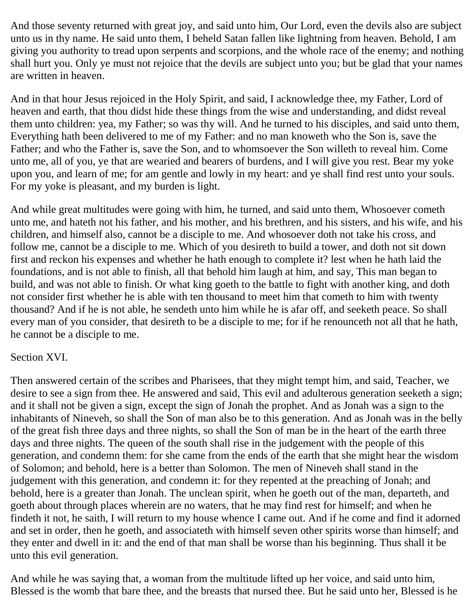And those seventy returned with great joy, and said unto him, Our Lord, even the devils also are subject unto us in thy name. He said unto them, I beheld Satan fallen like lightning from heaven. Behold, I am giving you authority to tread upon serpents and scorpions, and the whole race of the enemy; and nothing shall hurt you. Only ye must not rejoice that the devils are subject unto you; but be glad that your names are written in heaven.

And in that hour Jesus rejoiced in the Holy Spirit, and said, I acknowledge thee, my Father, Lord of heaven and earth, that thou didst hide these things from the wise and understanding, and didst reveal them unto children: yea, my Father; so was thy will. And he turned to his disciples, and said unto them, Everything hath been delivered to me of my Father: and no man knoweth who the Son is, save the Father; and who the Father is, save the Son, and to whomsoever the Son willeth to reveal him. Come unto me, all of you, ye that are wearied and bearers of burdens, and I will give you rest. Bear my yoke upon you, and learn of me; for am gentle and lowly in my heart: and ye shall find rest unto your souls. For my yoke is pleasant, and my burden is light.

And while great multitudes were going with him, he turned, and said unto them, Whosoever cometh unto me, and hateth not his father, and his mother, and his brethren, and his sisters, and his wife, and his children, and himself also, cannot be a disciple to me. And whosoever doth not take his cross, and follow me, cannot be a disciple to me. Which of you desireth to build a tower, and doth not sit down first and reckon his expenses and whether he hath enough to complete it? lest when he hath laid the foundations, and is not able to finish, all that behold him laugh at him, and say, This man began to build, and was not able to finish. Or what king goeth to the battle to fight with another king, and doth not consider first whether he is able with ten thousand to meet him that cometh to him with twenty thousand? And if he is not able, he sendeth unto him while he is afar off, and seeketh peace. So shall every man of you consider, that desireth to be a disciple to me; for if he renounceth not all that he hath, he cannot be a disciple to me.

#### Section XVI.

Then answered certain of the scribes and Pharisees, that they might tempt him, and said, Teacher, we desire to see a sign from thee. He answered and said, This evil and adulterous generation seeketh a sign; and it shall not be given a sign, except the sign of Jonah the prophet. And as Jonah was a sign to the inhabitants of Nineveh, so shall the Son of man also be to this generation. And as Jonah was in the belly of the great fish three days and three nights, so shall the Son of man be in the heart of the earth three days and three nights. The queen of the south shall rise in the judgement with the people of this generation, and condemn them: for she came from the ends of the earth that she might hear the wisdom of Solomon; and behold, here is a better than Solomon. The men of Nineveh shall stand in the judgement with this generation, and condemn it: for they repented at the preaching of Jonah; and behold, here is a greater than Jonah. The unclean spirit, when he goeth out of the man, departeth, and goeth about through places wherein are no waters, that he may find rest for himself; and when he findeth it not, he saith, I will return to my house whence I came out. And if he come and find it adorned and set in order, then he goeth, and associateth with himself seven other spirits worse than himself; and they enter and dwell in it: and the end of that man shall be worse than his beginning. Thus shall it be unto this evil generation.

And while he was saying that, a woman from the multitude lifted up her voice, and said unto him, Blessed is the womb that bare thee, and the breasts that nursed thee. But he said unto her, Blessed is he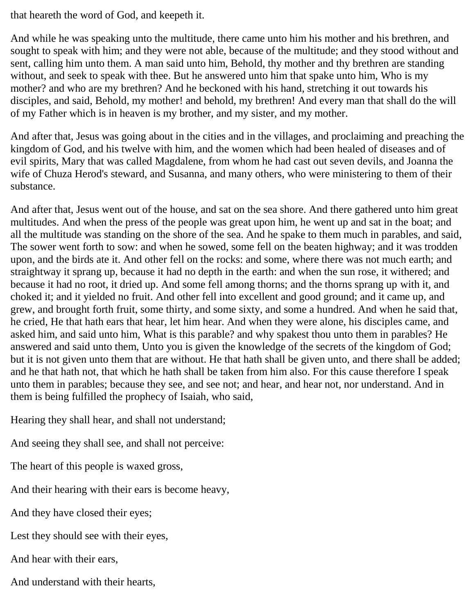that heareth the word of God, and keepeth it.

And while he was speaking unto the multitude, there came unto him his mother and his brethren, and sought to speak with him; and they were not able, because of the multitude; and they stood without and sent, calling him unto them. A man said unto him, Behold, thy mother and thy brethren are standing without, and seek to speak with thee. But he answered unto him that spake unto him, Who is my mother? and who are my brethren? And he beckoned with his hand, stretching it out towards his disciples, and said, Behold, my mother! and behold, my brethren! And every man that shall do the will of my Father which is in heaven is my brother, and my sister, and my mother.

And after that, Jesus was going about in the cities and in the villages, and proclaiming and preaching the kingdom of God, and his twelve with him, and the women which had been healed of diseases and of evil spirits, Mary that was called Magdalene, from whom he had cast out seven devils, and Joanna the wife of Chuza Herod's steward, and Susanna, and many others, who were ministering to them of their substance.

And after that, Jesus went out of the house, and sat on the sea shore. And there gathered unto him great multitudes. And when the press of the people was great upon him, he went up and sat in the boat; and all the multitude was standing on the shore of the sea. And he spake to them much in parables, and said, The sower went forth to sow: and when he sowed, some fell on the beaten highway; and it was trodden upon, and the birds ate it. And other fell on the rocks: and some, where there was not much earth; and straightway it sprang up, because it had no depth in the earth: and when the sun rose, it withered; and because it had no root, it dried up. And some fell among thorns; and the thorns sprang up with it, and choked it; and it yielded no fruit. And other fell into excellent and good ground; and it came up, and grew, and brought forth fruit, some thirty, and some sixty, and some a hundred. And when he said that, he cried, He that hath ears that hear, let him hear. And when they were alone, his disciples came, and asked him, and said unto him, What is this parable? and why spakest thou unto them in parables? He answered and said unto them, Unto you is given the knowledge of the secrets of the kingdom of God; but it is not given unto them that are without. He that hath shall be given unto, and there shall be added; and he that hath not, that which he hath shall be taken from him also. For this cause therefore I speak unto them in parables; because they see, and see not; and hear, and hear not, nor understand. And in them is being fulfilled the prophecy of Isaiah, who said,

Hearing they shall hear, and shall not understand;

And seeing they shall see, and shall not perceive:

The heart of this people is waxed gross,

And their hearing with their ears is become heavy,

And they have closed their eyes;

Lest they should see with their eyes,

And hear with their ears,

And understand with their hearts,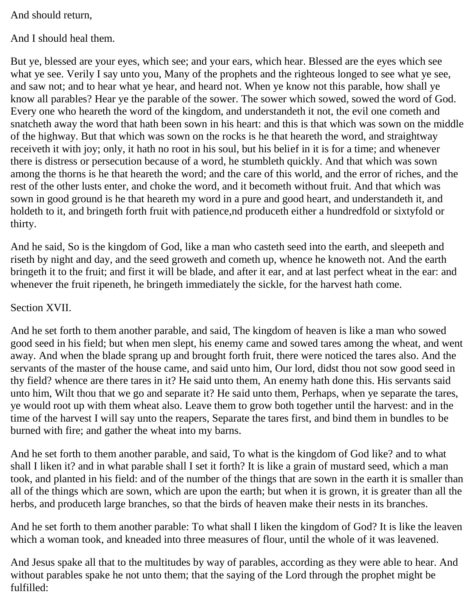And should return,

And I should heal them.

But ye, blessed are your eyes, which see; and your ears, which hear. Blessed are the eyes which see what ye see. Verily I say unto you, Many of the prophets and the righteous longed to see what ye see, and saw not; and to hear what ye hear, and heard not. When ye know not this parable, how shall ye know all parables? Hear ye the parable of the sower. The sower which sowed, sowed the word of God. Every one who heareth the word of the kingdom, and understandeth it not, the evil one cometh and snatcheth away the word that hath been sown in his heart: and this is that which was sown on the middle of the highway. But that which was sown on the rocks is he that heareth the word, and straightway receiveth it with joy; only, it hath no root in his soul, but his belief in it is for a time; and whenever there is distress or persecution because of a word, he stumbleth quickly. And that which was sown among the thorns is he that heareth the word; and the care of this world, and the error of riches, and the rest of the other lusts enter, and choke the word, and it becometh without fruit. And that which was sown in good ground is he that heareth my word in a pure and good heart, and understandeth it, and holdeth to it, and bringeth forth fruit with patience,nd produceth either a hundredfold or sixtyfold or thirty.

And he said, So is the kingdom of God, like a man who casteth seed into the earth, and sleepeth and riseth by night and day, and the seed groweth and cometh up, whence he knoweth not. And the earth bringeth it to the fruit; and first it will be blade, and after it ear, and at last perfect wheat in the ear: and whenever the fruit ripeneth, he bringeth immediately the sickle, for the harvest hath come.

## Section XVII.

And he set forth to them another parable, and said, The kingdom of heaven is like a man who sowed good seed in his field; but when men slept, his enemy came and sowed tares among the wheat, and went away. And when the blade sprang up and brought forth fruit, there were noticed the tares also. And the servants of the master of the house came, and said unto him, Our lord, didst thou not sow good seed in thy field? whence are there tares in it? He said unto them, An enemy hath done this. His servants said unto him, Wilt thou that we go and separate it? He said unto them, Perhaps, when ye separate the tares, ye would root up with them wheat also. Leave them to grow both together until the harvest: and in the time of the harvest I will say unto the reapers, Separate the tares first, and bind them in bundles to be burned with fire; and gather the wheat into my barns.

And he set forth to them another parable, and said, To what is the kingdom of God like? and to what shall I liken it? and in what parable shall I set it forth? It is like a grain of mustard seed, which a man took, and planted in his field: and of the number of the things that are sown in the earth it is smaller than all of the things which are sown, which are upon the earth; but when it is grown, it is greater than all the herbs, and produceth large branches, so that the birds of heaven make their nests in its branches.

And he set forth to them another parable: To what shall I liken the kingdom of God? It is like the leaven which a woman took, and kneaded into three measures of flour, until the whole of it was leavened.

And Jesus spake all that to the multitudes by way of parables, according as they were able to hear. And without parables spake he not unto them; that the saying of the Lord through the prophet might be fulfilled: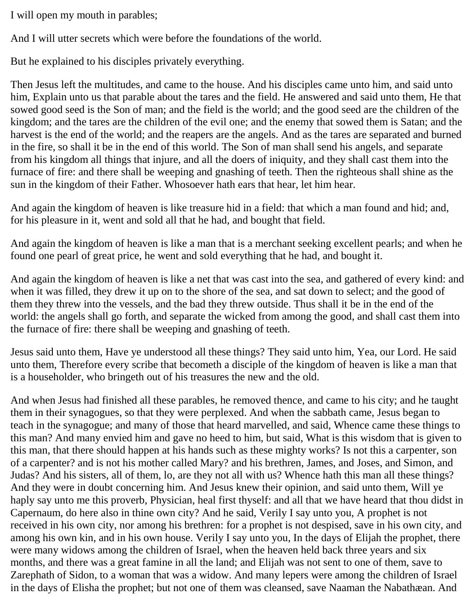I will open my mouth in parables;

And I will utter secrets which were before the foundations of the world.

But he explained to his disciples privately everything.

Then Jesus left the multitudes, and came to the house. And his disciples came unto him, and said unto him, Explain unto us that parable about the tares and the field. He answered and said unto them, He that sowed good seed is the Son of man; and the field is the world; and the good seed are the children of the kingdom; and the tares are the children of the evil one; and the enemy that sowed them is Satan; and the harvest is the end of the world; and the reapers are the angels. And as the tares are separated and burned in the fire, so shall it be in the end of this world. The Son of man shall send his angels, and separate from his kingdom all things that injure, and all the doers of iniquity, and they shall cast them into the furnace of fire: and there shall be weeping and gnashing of teeth. Then the righteous shall shine as the sun in the kingdom of their Father. Whosoever hath ears that hear, let him hear.

And again the kingdom of heaven is like treasure hid in a field: that which a man found and hid; and, for his pleasure in it, went and sold all that he had, and bought that field.

And again the kingdom of heaven is like a man that is a merchant seeking excellent pearls; and when he found one pearl of great price, he went and sold everything that he had, and bought it.

And again the kingdom of heaven is like a net that was cast into the sea, and gathered of every kind: and when it was filled, they drew it up on to the shore of the sea, and sat down to select; and the good of them they threw into the vessels, and the bad they threw outside. Thus shall it be in the end of the world: the angels shall go forth, and separate the wicked from among the good, and shall cast them into the furnace of fire: there shall be weeping and gnashing of teeth.

Jesus said unto them, Have ye understood all these things? They said unto him, Yea, our Lord. He said unto them, Therefore every scribe that becometh a disciple of the kingdom of heaven is like a man that is a householder, who bringeth out of his treasures the new and the old.

And when Jesus had finished all these parables, he removed thence, and came to his city; and he taught them in their synagogues, so that they were perplexed. And when the sabbath came, Jesus began to teach in the synagogue; and many of those that heard marvelled, and said, Whence came these things to this man? And many envied him and gave no heed to him, but said, What is this wisdom that is given to this man, that there should happen at his hands such as these mighty works? Is not this a carpenter, son of a carpenter? and is not his mother called Mary? and his brethren, James, and Joses, and Simon, and Judas? And his sisters, all of them, lo, are they not all with us? Whence hath this man all these things? And they were in doubt concerning him. And Jesus knew their opinion, and said unto them, Will ye haply say unto me this proverb, Physician, heal first thyself: and all that we have heard that thou didst in Capernaum, do here also in thine own city? And he said, Verily I say unto you, A prophet is not received in his own city, nor among his brethren: for a prophet is not despised, save in his own city, and among his own kin, and in his own house. Verily I say unto you, In the days of Elijah the prophet, there were many widows among the children of Israel, when the heaven held back three years and six months, and there was a great famine in all the land; and Elijah was not sent to one of them, save to Zarephath of Sidon, to a woman that was a widow. And many lepers were among the children of Israel in the days of Elisha the prophet; but not one of them was cleansed, save Naaman the Nabathæan. And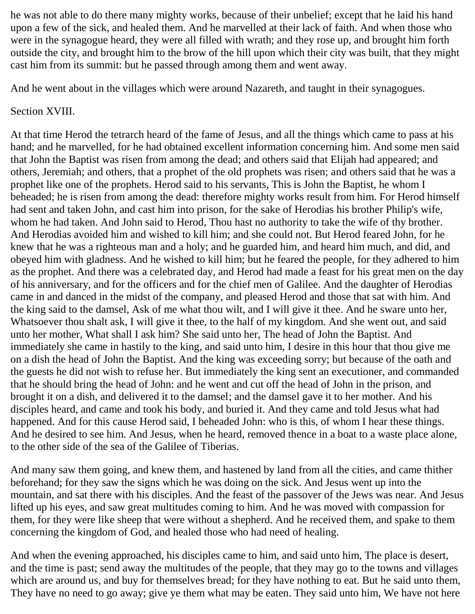he was not able to do there many mighty works, because of their unbelief; except that he laid his hand upon a few of the sick, and healed them. And he marvelled at their lack of faith. And when those who were in the synagogue heard, they were all filled with wrath; and they rose up, and brought him forth outside the city, and brought him to the brow of the hill upon which their city was built, that they might cast him from its summit: but he passed through among them and went away.

And he went about in the villages which were around Nazareth, and taught in their synagogues.

## Section XVIII.

At that time Herod the tetrarch heard of the fame of Jesus, and all the things which came to pass at his hand; and he marvelled, for he had obtained excellent information concerning him. And some men said that John the Baptist was risen from among the dead; and others said that Elijah had appeared; and others, Jeremiah; and others, that a prophet of the old prophets was risen; and others said that he was a prophet like one of the prophets. Herod said to his servants, This is John the Baptist, he whom I beheaded; he is risen from among the dead: therefore mighty works result from him. For Herod himself had sent and taken John, and cast him into prison, for the sake of Herodias his brother Philip's wife, whom he had taken. And John said to Herod, Thou hast no authority to take the wife of thy brother. And Herodias avoided him and wished to kill him; and she could not. But Herod feared John, for he knew that he was a righteous man and a holy; and he guarded him, and heard him much, and did, and obeyed him with gladness. And he wished to kill him; but he feared the people, for they adhered to him as the prophet. And there was a celebrated day, and Herod had made a feast for his great men on the day of his anniversary, and for the officers and for the chief men of Galilee. And the daughter of Herodias came in and danced in the midst of the company, and pleased Herod and those that sat with him. And the king said to the damsel, Ask of me what thou wilt, and I will give it thee. And he sware unto her, Whatsoever thou shalt ask, I will give it thee, to the half of my kingdom. And she went out, and said unto her mother, What shall I ask him? She said unto her, The head of John the Baptist. And immediately she came in hastily to the king, and said unto him, I desire in this hour that thou give me on a dish the head of John the Baptist. And the king was exceeding sorry; but because of the oath and the guests he did not wish to refuse her. But immediately the king sent an executioner, and commanded that he should bring the head of John: and he went and cut off the head of John in the prison, and brought it on a dish, and delivered it to the damsel; and the damsel gave it to her mother. And his disciples heard, and came and took his body, and buried it. And they came and told Jesus what had happened. And for this cause Herod said, I beheaded John: who is this, of whom I hear these things. And he desired to see him. And Jesus, when he heard, removed thence in a boat to a waste place alone, to the other side of the sea of the Galilee of Tiberias.

And many saw them going, and knew them, and hastened by land from all the cities, and came thither beforehand; for they saw the signs which he was doing on the sick. And Jesus went up into the mountain, and sat there with his disciples. And the feast of the passover of the Jews was near. And Jesus lifted up his eyes, and saw great multitudes coming to him. And he was moved with compassion for them, for they were like sheep that were without a shepherd. And he received them, and spake to them concerning the kingdom of God, and healed those who had need of healing.

And when the evening approached, his disciples came to him, and said unto him, The place is desert, and the time is past; send away the multitudes of the people, that they may go to the towns and villages which are around us, and buy for themselves bread; for they have nothing to eat. But he said unto them, They have no need to go away; give ye them what may be eaten. They said unto him, We have not here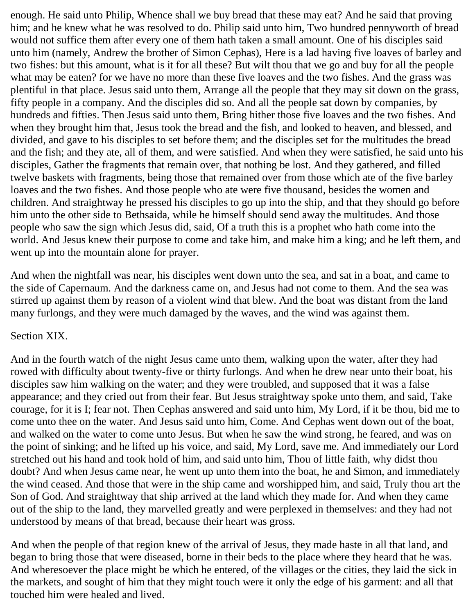enough. He said unto Philip, Whence shall we buy bread that these may eat? And he said that proving him; and he knew what he was resolved to do. Philip said unto him, Two hundred pennyworth of bread would not suffice them after every one of them hath taken a small amount. One of his disciples said unto him (namely, Andrew the brother of Simon Cephas), Here is a lad having five loaves of barley and two fishes: but this amount, what is it for all these? But wilt thou that we go and buy for all the people what may be eaten? for we have no more than these five loaves and the two fishes. And the grass was plentiful in that place. Jesus said unto them, Arrange all the people that they may sit down on the grass, fifty people in a company. And the disciples did so. And all the people sat down by companies, by hundreds and fifties. Then Jesus said unto them, Bring hither those five loaves and the two fishes. And when they brought him that, Jesus took the bread and the fish, and looked to heaven, and blessed, and divided, and gave to his disciples to set before them; and the disciples set for the multitudes the bread and the fish; and they ate, all of them, and were satisfied. And when they were satisfied, he said unto his disciples, Gather the fragments that remain over, that nothing be lost. And they gathered, and filled twelve baskets with fragments, being those that remained over from those which ate of the five barley loaves and the two fishes. And those people who ate were five thousand, besides the women and children. And straightway he pressed his disciples to go up into the ship, and that they should go before him unto the other side to Bethsaida, while he himself should send away the multitudes. And those people who saw the sign which Jesus did, said, Of a truth this is a prophet who hath come into the world. And Jesus knew their purpose to come and take him, and make him a king; and he left them, and went up into the mountain alone for prayer.

And when the nightfall was near, his disciples went down unto the sea, and sat in a boat, and came to the side of Capernaum. And the darkness came on, and Jesus had not come to them. And the sea was stirred up against them by reason of a violent wind that blew. And the boat was distant from the land many furlongs, and they were much damaged by the waves, and the wind was against them.

## Section XIX.

And in the fourth watch of the night Jesus came unto them, walking upon the water, after they had rowed with difficulty about twenty-five or thirty furlongs. And when he drew near unto their boat, his disciples saw him walking on the water; and they were troubled, and supposed that it was a false appearance; and they cried out from their fear. But Jesus straightway spoke unto them, and said, Take courage, for it is I; fear not. Then Cephas answered and said unto him, My Lord, if it be thou, bid me to come unto thee on the water. And Jesus said unto him, Come. And Cephas went down out of the boat, and walked on the water to come unto Jesus. But when he saw the wind strong, he feared, and was on the point of sinking; and he lifted up his voice, and said, My Lord, save me. And immediately our Lord stretched out his hand and took hold of him, and said unto him, Thou of little faith, why didst thou doubt? And when Jesus came near, he went up unto them into the boat, he and Simon, and immediately the wind ceased. And those that were in the ship came and worshipped him, and said, Truly thou art the Son of God. And straightway that ship arrived at the land which they made for. And when they came out of the ship to the land, they marvelled greatly and were perplexed in themselves: and they had not understood by means of that bread, because their heart was gross.

And when the people of that region knew of the arrival of Jesus, they made haste in all that land, and began to bring those that were diseased, borne in their beds to the place where they heard that he was. And wheresoever the place might be which he entered, of the villages or the cities, they laid the sick in the markets, and sought of him that they might touch were it only the edge of his garment: and all that touched him were healed and lived.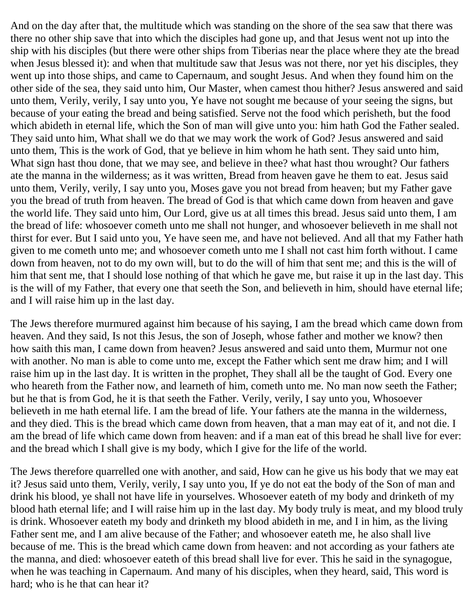And on the day after that, the multitude which was standing on the shore of the sea saw that there was there no other ship save that into which the disciples had gone up, and that Jesus went not up into the ship with his disciples (but there were other ships from Tiberias near the place where they ate the bread when Jesus blessed it): and when that multitude saw that Jesus was not there, nor yet his disciples, they went up into those ships, and came to Capernaum, and sought Jesus. And when they found him on the other side of the sea, they said unto him, Our Master, when camest thou hither? Jesus answered and said unto them, Verily, verily, I say unto you, Ye have not sought me because of your seeing the signs, but because of your eating the bread and being satisfied. Serve not the food which perisheth, but the food which abideth in eternal life, which the Son of man will give unto you: him hath God the Father sealed. They said unto him, What shall we do that we may work the work of God? Jesus answered and said unto them, This is the work of God, that ye believe in him whom he hath sent. They said unto him, What sign hast thou done, that we may see, and believe in thee? what hast thou wrought? Our fathers ate the manna in the wilderness; as it was written, Bread from heaven gave he them to eat. Jesus said unto them, Verily, verily, I say unto you, Moses gave you not bread from heaven; but my Father gave you the bread of truth from heaven. The bread of God is that which came down from heaven and gave the world life. They said unto him, Our Lord, give us at all times this bread. Jesus said unto them, I am the bread of life: whosoever cometh unto me shall not hunger, and whosoever believeth in me shall not thirst for ever. But I said unto you, Ye have seen me, and have not believed. And all that my Father hath given to me cometh unto me; and whosoever cometh unto me I shall not cast him forth without. I came down from heaven, not to do my own will, but to do the will of him that sent me; and this is the will of him that sent me, that I should lose nothing of that which he gave me, but raise it up in the last day. This is the will of my Father, that every one that seeth the Son, and believeth in him, should have eternal life; and I will raise him up in the last day.

The Jews therefore murmured against him because of his saying, I am the bread which came down from heaven. And they said, Is not this Jesus, the son of Joseph, whose father and mother we know? then how saith this man, I came down from heaven? Jesus answered and said unto them, Murmur not one with another. No man is able to come unto me, except the Father which sent me draw him; and I will raise him up in the last day. It is written in the prophet, They shall all be the taught of God. Every one who heareth from the Father now, and learneth of him, cometh unto me. No man now seeth the Father; but he that is from God, he it is that seeth the Father. Verily, verily, I say unto you, Whosoever believeth in me hath eternal life. I am the bread of life. Your fathers ate the manna in the wilderness, and they died. This is the bread which came down from heaven, that a man may eat of it, and not die. I am the bread of life which came down from heaven: and if a man eat of this bread he shall live for ever: and the bread which I shall give is my body, which I give for the life of the world.

The Jews therefore quarrelled one with another, and said, How can he give us his body that we may eat it? Jesus said unto them, Verily, verily, I say unto you, If ye do not eat the body of the Son of man and drink his blood, ye shall not have life in yourselves. Whosoever eateth of my body and drinketh of my blood hath eternal life; and I will raise him up in the last day. My body truly is meat, and my blood truly is drink. Whosoever eateth my body and drinketh my blood abideth in me, and I in him, as the living Father sent me, and I am alive because of the Father; and whosoever eateth me, he also shall live because of me. This is the bread which came down from heaven: and not according as your fathers ate the manna, and died: whosoever eateth of this bread shall live for ever. This he said in the synagogue, when he was teaching in Capernaum. And many of his disciples, when they heard, said, This word is hard; who is he that can hear it?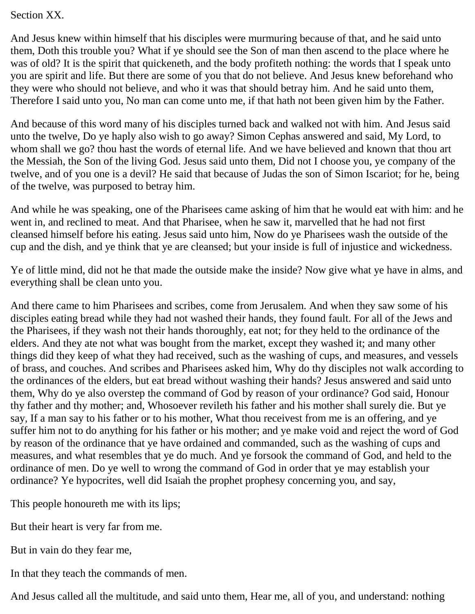#### Section XX.

And Jesus knew within himself that his disciples were murmuring because of that, and he said unto them, Doth this trouble you? What if ye should see the Son of man then ascend to the place where he was of old? It is the spirit that quickeneth, and the body profiteth nothing: the words that I speak unto you are spirit and life. But there are some of you that do not believe. And Jesus knew beforehand who they were who should not believe, and who it was that should betray him. And he said unto them, Therefore I said unto you, No man can come unto me, if that hath not been given him by the Father.

And because of this word many of his disciples turned back and walked not with him. And Jesus said unto the twelve, Do ye haply also wish to go away? Simon Cephas answered and said, My Lord, to whom shall we go? thou hast the words of eternal life. And we have believed and known that thou art the Messiah, the Son of the living God. Jesus said unto them, Did not I choose you, ye company of the twelve, and of you one is a devil? He said that because of Judas the son of Simon Iscariot; for he, being of the twelve, was purposed to betray him.

And while he was speaking, one of the Pharisees came asking of him that he would eat with him: and he went in, and reclined to meat. And that Pharisee, when he saw it, marvelled that he had not first cleansed himself before his eating. Jesus said unto him, Now do ye Pharisees wash the outside of the cup and the dish, and ye think that ye are cleansed; but your inside is full of injustice and wickedness.

Ye of little mind, did not he that made the outside make the inside? Now give what ye have in alms, and everything shall be clean unto you.

And there came to him Pharisees and scribes, come from Jerusalem. And when they saw some of his disciples eating bread while they had not washed their hands, they found fault. For all of the Jews and the Pharisees, if they wash not their hands thoroughly, eat not; for they held to the ordinance of the elders. And they ate not what was bought from the market, except they washed it; and many other things did they keep of what they had received, such as the washing of cups, and measures, and vessels of brass, and couches. And scribes and Pharisees asked him, Why do thy disciples not walk according to the ordinances of the elders, but eat bread without washing their hands? Jesus answered and said unto them, Why do ye also overstep the command of God by reason of your ordinance? God said, Honour thy father and thy mother; and, Whosoever revileth his father and his mother shall surely die. But ye say, If a man say to his father or to his mother, What thou receivest from me is an offering, and ye suffer him not to do anything for his father or his mother; and ye make void and reject the word of God by reason of the ordinance that ye have ordained and commanded, such as the washing of cups and measures, and what resembles that ye do much. And ye forsook the command of God, and held to the ordinance of men. Do ye well to wrong the command of God in order that ye may establish your ordinance? Ye hypocrites, well did Isaiah the prophet prophesy concerning you, and say,

This people honoureth me with its lips;

But their heart is very far from me.

But in vain do they fear me,

In that they teach the commands of men.

And Jesus called all the multitude, and said unto them, Hear me, all of you, and understand: nothing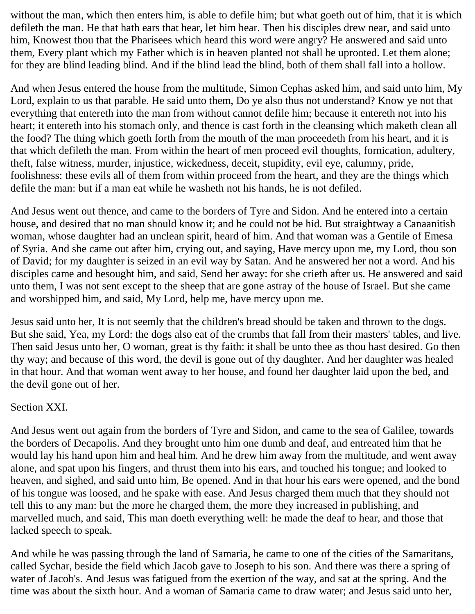without the man, which then enters him, is able to defile him; but what goeth out of him, that it is which defileth the man. He that hath ears that hear, let him hear. Then his disciples drew near, and said unto him, Knowest thou that the Pharisees which heard this word were angry? He answered and said unto them, Every plant which my Father which is in heaven planted not shall be uprooted. Let them alone; for they are blind leading blind. And if the blind lead the blind, both of them shall fall into a hollow.

And when Jesus entered the house from the multitude, Simon Cephas asked him, and said unto him, My Lord, explain to us that parable. He said unto them, Do ye also thus not understand? Know ye not that everything that entereth into the man from without cannot defile him; because it entereth not into his heart; it entereth into his stomach only, and thence is cast forth in the cleansing which maketh clean all the food? The thing which goeth forth from the mouth of the man proceedeth from his heart, and it is that which defileth the man. From within the heart of men proceed evil thoughts, fornication, adultery, theft, false witness, murder, injustice, wickedness, deceit, stupidity, evil eye, calumny, pride, foolishness: these evils all of them from within proceed from the heart, and they are the things which defile the man: but if a man eat while he washeth not his hands, he is not defiled.

And Jesus went out thence, and came to the borders of Tyre and Sidon. And he entered into a certain house, and desired that no man should know it; and he could not be hid. But straightway a Canaanitish woman, whose daughter had an unclean spirit, heard of him. And that woman was a Gentile of Emesa of Syria. And she came out after him, crying out, and saying, Have mercy upon me, my Lord, thou son of David; for my daughter is seized in an evil way by Satan. And he answered her not a word. And his disciples came and besought him, and said, Send her away: for she crieth after us. He answered and said unto them, I was not sent except to the sheep that are gone astray of the house of Israel. But she came and worshipped him, and said, My Lord, help me, have mercy upon me.

Jesus said unto her, It is not seemly that the children's bread should be taken and thrown to the dogs. But she said, Yea, my Lord: the dogs also eat of the crumbs that fall from their masters' tables, and live. Then said Jesus unto her, O woman, great is thy faith: it shall be unto thee as thou hast desired. Go then thy way; and because of this word, the devil is gone out of thy daughter. And her daughter was healed in that hour. And that woman went away to her house, and found her daughter laid upon the bed, and the devil gone out of her.

## Section XXI.

And Jesus went out again from the borders of Tyre and Sidon, and came to the sea of Galilee, towards the borders of Decapolis. And they brought unto him one dumb and deaf, and entreated him that he would lay his hand upon him and heal him. And he drew him away from the multitude, and went away alone, and spat upon his fingers, and thrust them into his ears, and touched his tongue; and looked to heaven, and sighed, and said unto him, Be opened. And in that hour his ears were opened, and the bond of his tongue was loosed, and he spake with ease. And Jesus charged them much that they should not tell this to any man: but the more he charged them, the more they increased in publishing, and marvelled much, and said, This man doeth everything well: he made the deaf to hear, and those that lacked speech to speak.

And while he was passing through the land of Samaria, he came to one of the cities of the Samaritans, called Sychar, beside the field which Jacob gave to Joseph to his son. And there was there a spring of water of Jacob's. And Jesus was fatigued from the exertion of the way, and sat at the spring. And the time was about the sixth hour. And a woman of Samaria came to draw water; and Jesus said unto her,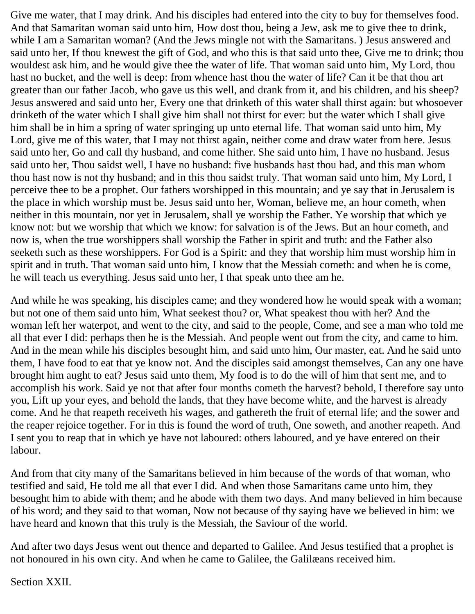Give me water, that I may drink. And his disciples had entered into the city to buy for themselves food. And that Samaritan woman said unto him, How dost thou, being a Jew, ask me to give thee to drink, while I am a Samaritan woman? (And the Jews mingle not with the Samaritans. ) Jesus answered and said unto her, If thou knewest the gift of God, and who this is that said unto thee, Give me to drink; thou wouldest ask him, and he would give thee the water of life. That woman said unto him, My Lord, thou hast no bucket, and the well is deep: from whence hast thou the water of life? Can it be that thou art greater than our father Jacob, who gave us this well, and drank from it, and his children, and his sheep? Jesus answered and said unto her, Every one that drinketh of this water shall thirst again: but whosoever drinketh of the water which I shall give him shall not thirst for ever: but the water which I shall give him shall be in him a spring of water springing up unto eternal life. That woman said unto him, My Lord, give me of this water, that I may not thirst again, neither come and draw water from here. Jesus said unto her, Go and call thy husband, and come hither. She said unto him, I have no husband. Jesus said unto her, Thou saidst well, I have no husband: five husbands hast thou had, and this man whom thou hast now is not thy husband; and in this thou saidst truly. That woman said unto him, My Lord, I perceive thee to be a prophet. Our fathers worshipped in this mountain; and ye say that in Jerusalem is the place in which worship must be. Jesus said unto her, Woman, believe me, an hour cometh, when neither in this mountain, nor yet in Jerusalem, shall ye worship the Father. Ye worship that which ye know not: but we worship that which we know: for salvation is of the Jews. But an hour cometh, and now is, when the true worshippers shall worship the Father in spirit and truth: and the Father also seeketh such as these worshippers. For God is a Spirit: and they that worship him must worship him in spirit and in truth. That woman said unto him, I know that the Messiah cometh: and when he is come, he will teach us everything. Jesus said unto her, I that speak unto thee am he.

And while he was speaking, his disciples came; and they wondered how he would speak with a woman; but not one of them said unto him, What seekest thou? or, What speakest thou with her? And the woman left her waterpot, and went to the city, and said to the people, Come, and see a man who told me all that ever I did: perhaps then he is the Messiah. And people went out from the city, and came to him. And in the mean while his disciples besought him, and said unto him, Our master, eat. And he said unto them, I have food to eat that ye know not. And the disciples said amongst themselves, Can any one have brought him aught to eat? Jesus said unto them, My food is to do the will of him that sent me, and to accomplish his work. Said ye not that after four months cometh the harvest? behold, I therefore say unto you, Lift up your eyes, and behold the lands, that they have become white, and the harvest is already come. And he that reapeth receiveth his wages, and gathereth the fruit of eternal life; and the sower and the reaper rejoice together. For in this is found the word of truth, One soweth, and another reapeth. And I sent you to reap that in which ye have not laboured: others laboured, and ye have entered on their labour.

And from that city many of the Samaritans believed in him because of the words of that woman, who testified and said, He told me all that ever I did. And when those Samaritans came unto him, they besought him to abide with them; and he abode with them two days. And many believed in him because of his word; and they said to that woman, Now not because of thy saying have we believed in him: we have heard and known that this truly is the Messiah, the Saviour of the world.

And after two days Jesus went out thence and departed to Galilee. And Jesus testified that a prophet is not honoured in his own city. And when he came to Galilee, the Galilæans received him.

Section XXII.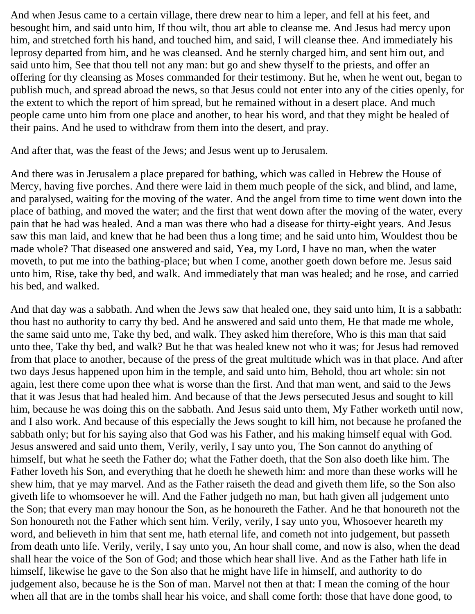And when Jesus came to a certain village, there drew near to him a leper, and fell at his feet, and besought him, and said unto him, If thou wilt, thou art able to cleanse me. And Jesus had mercy upon him, and stretched forth his hand, and touched him, and said, I will cleanse thee. And immediately his leprosy departed from him, and he was cleansed. And he sternly charged him, and sent him out, and said unto him, See that thou tell not any man: but go and shew thyself to the priests, and offer an offering for thy cleansing as Moses commanded for their testimony. But he, when he went out, began to publish much, and spread abroad the news, so that Jesus could not enter into any of the cities openly, for the extent to which the report of him spread, but he remained without in a desert place. And much people came unto him from one place and another, to hear his word, and that they might be healed of their pains. And he used to withdraw from them into the desert, and pray.

And after that, was the feast of the Jews; and Jesus went up to Jerusalem.

And there was in Jerusalem a place prepared for bathing, which was called in Hebrew the House of Mercy, having five porches. And there were laid in them much people of the sick, and blind, and lame, and paralysed, waiting for the moving of the water. And the angel from time to time went down into the place of bathing, and moved the water; and the first that went down after the moving of the water, every pain that he had was healed. And a man was there who had a disease for thirty-eight years. And Jesus saw this man laid, and knew that he had been thus a long time; and he said unto him, Wouldest thou be made whole? That diseased one answered and said, Yea, my Lord, I have no man, when the water moveth, to put me into the bathing-place; but when I come, another goeth down before me. Jesus said unto him, Rise, take thy bed, and walk. And immediately that man was healed; and he rose, and carried his bed, and walked.

And that day was a sabbath. And when the Jews saw that healed one, they said unto him, It is a sabbath: thou hast no authority to carry thy bed. And he answered and said unto them, He that made me whole, the same said unto me, Take thy bed, and walk. They asked him therefore, Who is this man that said unto thee, Take thy bed, and walk? But he that was healed knew not who it was; for Jesus had removed from that place to another, because of the press of the great multitude which was in that place. And after two days Jesus happened upon him in the temple, and said unto him, Behold, thou art whole: sin not again, lest there come upon thee what is worse than the first. And that man went, and said to the Jews that it was Jesus that had healed him. And because of that the Jews persecuted Jesus and sought to kill him, because he was doing this on the sabbath. And Jesus said unto them, My Father worketh until now, and I also work. And because of this especially the Jews sought to kill him, not because he profaned the sabbath only; but for his saying also that God was his Father, and his making himself equal with God. Jesus answered and said unto them, Verily, verily, I say unto you, The Son cannot do anything of himself, but what he seeth the Father do; what the Father doeth, that the Son also doeth like him. The Father loveth his Son, and everything that he doeth he sheweth him: and more than these works will he shew him, that ye may marvel. And as the Father raiseth the dead and giveth them life, so the Son also giveth life to whomsoever he will. And the Father judgeth no man, but hath given all judgement unto the Son; that every man may honour the Son, as he honoureth the Father. And he that honoureth not the Son honoureth not the Father which sent him. Verily, verily, I say unto you, Whosoever heareth my word, and believeth in him that sent me, hath eternal life, and cometh not into judgement, but passeth from death unto life. Verily, verily, I say unto you, An hour shall come, and now is also, when the dead shall hear the voice of the Son of God; and those which hear shall live. And as the Father hath life in himself, likewise he gave to the Son also that he might have life in himself, and authority to do judgement also, because he is the Son of man. Marvel not then at that: I mean the coming of the hour when all that are in the tombs shall hear his voice, and shall come forth: those that have done good, to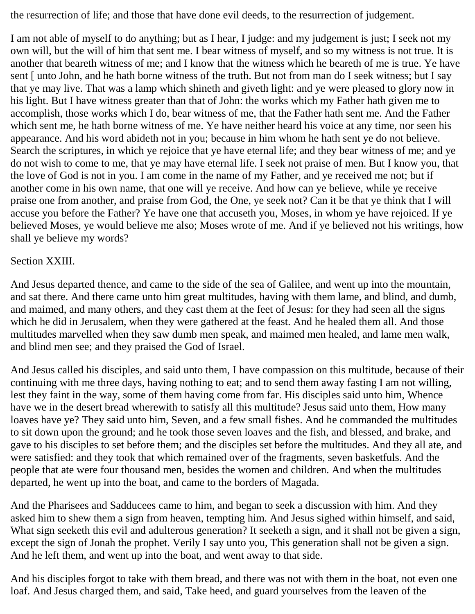the resurrection of life; and those that have done evil deeds, to the resurrection of judgement.

I am not able of myself to do anything; but as I hear, I judge: and my judgement is just; I seek not my own will, but the will of him that sent me. I bear witness of myself, and so my witness is not true. It is another that beareth witness of me; and I know that the witness which he beareth of me is true. Ye have sent [ unto John, and he hath borne witness of the truth. But not from man do I seek witness; but I say that ye may live. That was a lamp which shineth and giveth light: and ye were pleased to glory now in his light. But I have witness greater than that of John: the works which my Father hath given me to accomplish, those works which I do, bear witness of me, that the Father hath sent me. And the Father which sent me, he hath borne witness of me. Ye have neither heard his voice at any time, nor seen his appearance. And his word abideth not in you; because in him whom he hath sent ye do not believe. Search the scriptures, in which ye rejoice that ye have eternal life; and they bear witness of me; and ye do not wish to come to me, that ye may have eternal life. I seek not praise of men. But I know you, that the love of God is not in you. I am come in the name of my Father, and ye received me not; but if another come in his own name, that one will ye receive. And how can ye believe, while ye receive praise one from another, and praise from God, the One, ye seek not? Can it be that ye think that I will accuse you before the Father? Ye have one that accuseth you, Moses, in whom ye have rejoiced. If ye believed Moses, ye would believe me also; Moses wrote of me. And if ye believed not his writings, how shall ye believe my words?

## Section XXIII.

And Jesus departed thence, and came to the side of the sea of Galilee, and went up into the mountain, and sat there. And there came unto him great multitudes, having with them lame, and blind, and dumb, and maimed, and many others, and they cast them at the feet of Jesus: for they had seen all the signs which he did in Jerusalem, when they were gathered at the feast. And he healed them all. And those multitudes marvelled when they saw dumb men speak, and maimed men healed, and lame men walk, and blind men see; and they praised the God of Israel.

And Jesus called his disciples, and said unto them, I have compassion on this multitude, because of their continuing with me three days, having nothing to eat; and to send them away fasting I am not willing, lest they faint in the way, some of them having come from far. His disciples said unto him, Whence have we in the desert bread wherewith to satisfy all this multitude? Jesus said unto them, How many loaves have ye? They said unto him, Seven, and a few small fishes. And he commanded the multitudes to sit down upon the ground; and he took those seven loaves and the fish, and blessed, and brake, and gave to his disciples to set before them; and the disciples set before the multitudes. And they all ate, and were satisfied: and they took that which remained over of the fragments, seven basketfuls. And the people that ate were four thousand men, besides the women and children. And when the multitudes departed, he went up into the boat, and came to the borders of Magada.

And the Pharisees and Sadducees came to him, and began to seek a discussion with him. And they asked him to shew them a sign from heaven, tempting him. And Jesus sighed within himself, and said, What sign seeketh this evil and adulterous generation? It seeketh a sign, and it shall not be given a sign, except the sign of Jonah the prophet. Verily I say unto you, This generation shall not be given a sign. And he left them, and went up into the boat, and went away to that side.

And his disciples forgot to take with them bread, and there was not with them in the boat, not even one loaf. And Jesus charged them, and said, Take heed, and guard yourselves from the leaven of the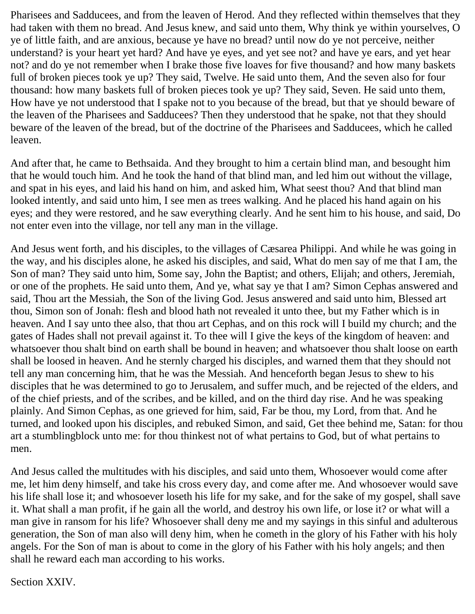Pharisees and Sadducees, and from the leaven of Herod. And they reflected within themselves that they had taken with them no bread. And Jesus knew, and said unto them, Why think ye within yourselves, O ye of little faith, and are anxious, because ye have no bread? until now do ye not perceive, neither understand? is your heart yet hard? And have ye eyes, and yet see not? and have ye ears, and yet hear not? and do ye not remember when I brake those five loaves for five thousand? and how many baskets full of broken pieces took ye up? They said, Twelve. He said unto them, And the seven also for four thousand: how many baskets full of broken pieces took ye up? They said, Seven. He said unto them, How have ye not understood that I spake not to you because of the bread, but that ye should beware of the leaven of the Pharisees and Sadducees? Then they understood that he spake, not that they should beware of the leaven of the bread, but of the doctrine of the Pharisees and Sadducees, which he called leaven.

And after that, he came to Bethsaida. And they brought to him a certain blind man, and besought him that he would touch him. And he took the hand of that blind man, and led him out without the village, and spat in his eyes, and laid his hand on him, and asked him, What seest thou? And that blind man looked intently, and said unto him, I see men as trees walking. And he placed his hand again on his eyes; and they were restored, and he saw everything clearly. And he sent him to his house, and said, Do not enter even into the village, nor tell any man in the village.

And Jesus went forth, and his disciples, to the villages of Cæsarea Philippi. And while he was going in the way, and his disciples alone, he asked his disciples, and said, What do men say of me that I am, the Son of man? They said unto him, Some say, John the Baptist; and others, Elijah; and others, Jeremiah, or one of the prophets. He said unto them, And ye, what say ye that I am? Simon Cephas answered and said, Thou art the Messiah, the Son of the living God. Jesus answered and said unto him, Blessed art thou, Simon son of Jonah: flesh and blood hath not revealed it unto thee, but my Father which is in heaven. And I say unto thee also, that thou art Cephas, and on this rock will I build my church; and the gates of Hades shall not prevail against it. To thee will I give the keys of the kingdom of heaven: and whatsoever thou shalt bind on earth shall be bound in heaven; and whatsoever thou shalt loose on earth shall be loosed in heaven. And he sternly charged his disciples, and warned them that they should not tell any man concerning him, that he was the Messiah. And henceforth began Jesus to shew to his disciples that he was determined to go to Jerusalem, and suffer much, and be rejected of the elders, and of the chief priests, and of the scribes, and be killed, and on the third day rise. And he was speaking plainly. And Simon Cephas, as one grieved for him, said, Far be thou, my Lord, from that. And he turned, and looked upon his disciples, and rebuked Simon, and said, Get thee behind me, Satan: for thou art a stumblingblock unto me: for thou thinkest not of what pertains to God, but of what pertains to men.

And Jesus called the multitudes with his disciples, and said unto them, Whosoever would come after me, let him deny himself, and take his cross every day, and come after me. And whosoever would save his life shall lose it; and whosoever loseth his life for my sake, and for the sake of my gospel, shall save it. What shall a man profit, if he gain all the world, and destroy his own life, or lose it? or what will a man give in ransom for his life? Whosoever shall deny me and my sayings in this sinful and adulterous generation, the Son of man also will deny him, when he cometh in the glory of his Father with his holy angels. For the Son of man is about to come in the glory of his Father with his holy angels; and then shall he reward each man according to his works.

Section XXIV.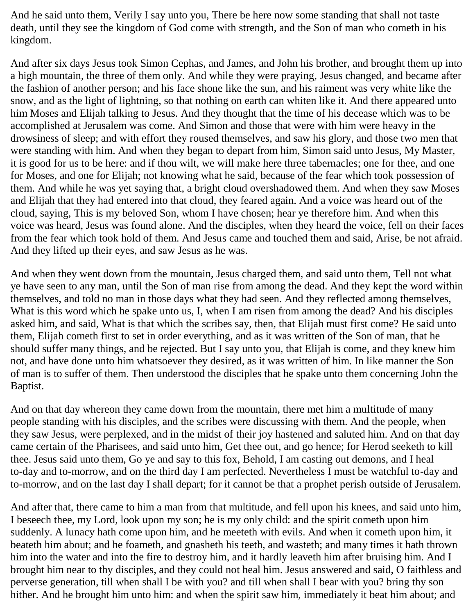And he said unto them, Verily I say unto you, There be here now some standing that shall not taste death, until they see the kingdom of God come with strength, and the Son of man who cometh in his kingdom.

And after six days Jesus took Simon Cephas, and James, and John his brother, and brought them up into a high mountain, the three of them only. And while they were praying, Jesus changed, and became after the fashion of another person; and his face shone like the sun, and his raiment was very white like the snow, and as the light of lightning, so that nothing on earth can whiten like it. And there appeared unto him Moses and Elijah talking to Jesus. And they thought that the time of his decease which was to be accomplished at Jerusalem was come. And Simon and those that were with him were heavy in the drowsiness of sleep; and with effort they roused themselves, and saw his glory, and those two men that were standing with him. And when they began to depart from him, Simon said unto Jesus, My Master, it is good for us to be here: and if thou wilt, we will make here three tabernacles; one for thee, and one for Moses, and one for Elijah; not knowing what he said, because of the fear which took possession of them. And while he was yet saying that, a bright cloud overshadowed them. And when they saw Moses and Elijah that they had entered into that cloud, they feared again. And a voice was heard out of the cloud, saying, This is my beloved Son, whom I have chosen; hear ye therefore him. And when this voice was heard, Jesus was found alone. And the disciples, when they heard the voice, fell on their faces from the fear which took hold of them. And Jesus came and touched them and said, Arise, be not afraid. And they lifted up their eyes, and saw Jesus as he was.

And when they went down from the mountain, Jesus charged them, and said unto them, Tell not what ye have seen to any man, until the Son of man rise from among the dead. And they kept the word within themselves, and told no man in those days what they had seen. And they reflected among themselves, What is this word which he spake unto us, I, when I am risen from among the dead? And his disciples asked him, and said, What is that which the scribes say, then, that Elijah must first come? He said unto them, Elijah cometh first to set in order everything, and as it was written of the Son of man, that he should suffer many things, and be rejected. But I say unto you, that Elijah is come, and they knew him not, and have done unto him whatsoever they desired, as it was written of him. In like manner the Son of man is to suffer of them. Then understood the disciples that he spake unto them concerning John the Baptist.

And on that day whereon they came down from the mountain, there met him a multitude of many people standing with his disciples, and the scribes were discussing with them. And the people, when they saw Jesus, were perplexed, and in the midst of their joy hastened and saluted him. And on that day came certain of the Pharisees, and said unto him, Get thee out, and go hence; for Herod seeketh to kill thee. Jesus said unto them, Go ye and say to this fox, Behold, I am casting out demons, and I heal to-day and to-morrow, and on the third day I am perfected. Nevertheless I must be watchful to-day and to-morrow, and on the last day I shall depart; for it cannot be that a prophet perish outside of Jerusalem.

And after that, there came to him a man from that multitude, and fell upon his knees, and said unto him, I beseech thee, my Lord, look upon my son; he is my only child: and the spirit cometh upon him suddenly. A lunacy hath come upon him, and he meeteth with evils. And when it cometh upon him, it beateth him about; and he foameth, and gnasheth his teeth, and wasteth; and many times it hath thrown him into the water and into the fire to destroy him, and it hardly leaveth him after bruising him. And I brought him near to thy disciples, and they could not heal him. Jesus answered and said, O faithless and perverse generation, till when shall I be with you? and till when shall I bear with you? bring thy son hither. And he brought him unto him: and when the spirit saw him, immediately it beat him about; and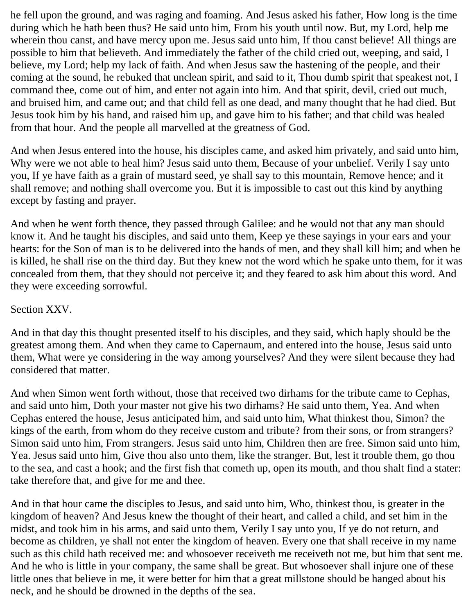he fell upon the ground, and was raging and foaming. And Jesus asked his father, How long is the time during which he hath been thus? He said unto him, From his youth until now. But, my Lord, help me wherein thou canst, and have mercy upon me. Jesus said unto him, If thou canst believe! All things are possible to him that believeth. And immediately the father of the child cried out, weeping, and said, I believe, my Lord; help my lack of faith. And when Jesus saw the hastening of the people, and their coming at the sound, he rebuked that unclean spirit, and said to it, Thou dumb spirit that speakest not, I command thee, come out of him, and enter not again into him. And that spirit, devil, cried out much, and bruised him, and came out; and that child fell as one dead, and many thought that he had died. But Jesus took him by his hand, and raised him up, and gave him to his father; and that child was healed from that hour. And the people all marvelled at the greatness of God.

And when Jesus entered into the house, his disciples came, and asked him privately, and said unto him, Why were we not able to heal him? Jesus said unto them, Because of your unbelief. Verily I say unto you, If ye have faith as a grain of mustard seed, ye shall say to this mountain, Remove hence; and it shall remove; and nothing shall overcome you. But it is impossible to cast out this kind by anything except by fasting and prayer.

And when he went forth thence, they passed through Galilee: and he would not that any man should know it. And he taught his disciples, and said unto them, Keep ye these sayings in your ears and your hearts: for the Son of man is to be delivered into the hands of men, and they shall kill him; and when he is killed, he shall rise on the third day. But they knew not the word which he spake unto them, for it was concealed from them, that they should not perceive it; and they feared to ask him about this word. And they were exceeding sorrowful.

## Section XXV.

And in that day this thought presented itself to his disciples, and they said, which haply should be the greatest among them. And when they came to Capernaum, and entered into the house, Jesus said unto them, What were ye considering in the way among yourselves? And they were silent because they had considered that matter.

And when Simon went forth without, those that received two dirhams for the tribute came to Cephas, and said unto him, Doth your master not give his two dirhams? He said unto them, Yea. And when Cephas entered the house, Jesus anticipated him, and said unto him, What thinkest thou, Simon? the kings of the earth, from whom do they receive custom and tribute? from their sons, or from strangers? Simon said unto him, From strangers. Jesus said unto him, Children then are free. Simon said unto him, Yea. Jesus said unto him, Give thou also unto them, like the stranger. But, lest it trouble them, go thou to the sea, and cast a hook; and the first fish that cometh up, open its mouth, and thou shalt find a stater: take therefore that, and give for me and thee.

And in that hour came the disciples to Jesus, and said unto him, Who, thinkest thou, is greater in the kingdom of heaven? And Jesus knew the thought of their heart, and called a child, and set him in the midst, and took him in his arms, and said unto them, Verily I say unto you, If ye do not return, and become as children, ye shall not enter the kingdom of heaven. Every one that shall receive in my name such as this child hath received me: and whosoever receiveth me receiveth not me, but him that sent me. And he who is little in your company, the same shall be great. But whosoever shall injure one of these little ones that believe in me, it were better for him that a great millstone should be hanged about his neck, and he should be drowned in the depths of the sea.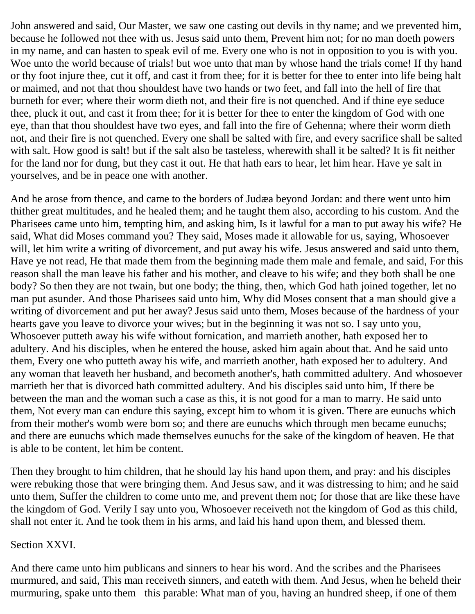John answered and said, Our Master, we saw one casting out devils in thy name; and we prevented him, because he followed not thee with us. Jesus said unto them, Prevent him not; for no man doeth powers in my name, and can hasten to speak evil of me. Every one who is not in opposition to you is with you. Woe unto the world because of trials! but woe unto that man by whose hand the trials come! If thy hand or thy foot injure thee, cut it off, and cast it from thee; for it is better for thee to enter into life being halt or maimed, and not that thou shouldest have two hands or two feet, and fall into the hell of fire that burneth for ever; where their worm dieth not, and their fire is not quenched. And if thine eye seduce thee, pluck it out, and cast it from thee; for it is better for thee to enter the kingdom of God with one eye, than that thou shouldest have two eyes, and fall into the fire of Gehenna; where their worm dieth not, and their fire is not quenched. Every one shall be salted with fire, and every sacrifice shall be salted with salt. How good is salt! but if the salt also be tasteless, wherewith shall it be salted? It is fit neither for the land nor for dung, but they cast it out. He that hath ears to hear, let him hear. Have ye salt in yourselves, and be in peace one with another.

And he arose from thence, and came to the borders of Judæa beyond Jordan: and there went unto him thither great multitudes, and he healed them; and he taught them also, according to his custom. And the Pharisees came unto him, tempting him, and asking him, Is it lawful for a man to put away his wife? He said, What did Moses command you? They said, Moses made it allowable for us, saying, Whosoever will, let him write a writing of divorcement, and put away his wife. Jesus answered and said unto them, Have ye not read, He that made them from the beginning made them male and female, and said, For this reason shall the man leave his father and his mother, and cleave to his wife; and they both shall be one body? So then they are not twain, but one body; the thing, then, which God hath joined together, let no man put asunder. And those Pharisees said unto him, Why did Moses consent that a man should give a writing of divorcement and put her away? Jesus said unto them, Moses because of the hardness of your hearts gave you leave to divorce your wives; but in the beginning it was not so. I say unto you, Whosoever putteth away his wife without fornication, and marrieth another, hath exposed her to adultery. And his disciples, when he entered the house, asked him again about that. And he said unto them, Every one who putteth away his wife, and marrieth another, hath exposed her to adultery. And any woman that leaveth her husband, and becometh another's, hath committed adultery. And whosoever marrieth her that is divorced hath committed adultery. And his disciples said unto him, If there be between the man and the woman such a case as this, it is not good for a man to marry. He said unto them, Not every man can endure this saying, except him to whom it is given. There are eunuchs which from their mother's womb were born so; and there are eunuchs which through men became eunuchs; and there are eunuchs which made themselves eunuchs for the sake of the kingdom of heaven. He that is able to be content, let him be content.

Then they brought to him children, that he should lay his hand upon them, and pray: and his disciples were rebuking those that were bringing them. And Jesus saw, and it was distressing to him; and he said unto them, Suffer the children to come unto me, and prevent them not; for those that are like these have the kingdom of God. Verily I say unto you, Whosoever receiveth not the kingdom of God as this child, shall not enter it. And he took them in his arms, and laid his hand upon them, and blessed them.

### Section XXVI.

And there came unto him publicans and sinners to hear his word. And the scribes and the Pharisees murmured, and said, This man receiveth sinners, and eateth with them. And Jesus, when he beheld their murmuring, spake unto them this parable: What man of you, having an hundred sheep, if one of them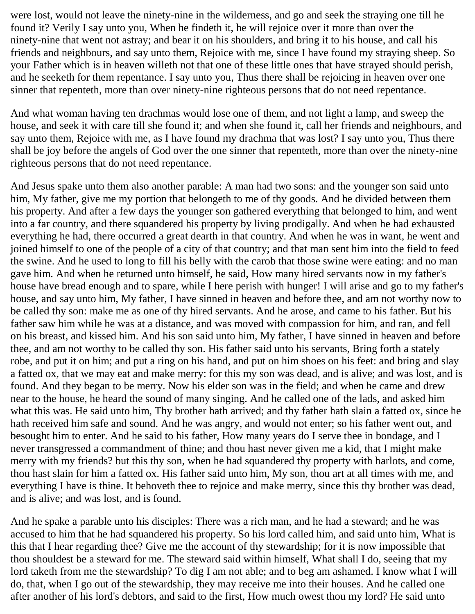were lost, would not leave the ninety-nine in the wilderness, and go and seek the straying one till he found it? Verily I say unto you, When he findeth it, he will rejoice over it more than over the ninety-nine that went not astray; and bear it on his shoulders, and bring it to his house, and call his friends and neighbours, and say unto them, Rejoice with me, since I have found my straying sheep. So your Father which is in heaven willeth not that one of these little ones that have strayed should perish, and he seeketh for them repentance. I say unto you, Thus there shall be rejoicing in heaven over one sinner that repenteth, more than over ninety-nine righteous persons that do not need repentance.

And what woman having ten drachmas would lose one of them, and not light a lamp, and sweep the house, and seek it with care till she found it; and when she found it, call her friends and neighbours, and say unto them, Rejoice with me, as I have found my drachma that was lost? I say unto you, Thus there shall be joy before the angels of God over the one sinner that repenteth, more than over the ninety-nine righteous persons that do not need repentance.

And Jesus spake unto them also another parable: A man had two sons: and the younger son said unto him, My father, give me my portion that belongeth to me of thy goods. And he divided between them his property. And after a few days the younger son gathered everything that belonged to him, and went into a far country, and there squandered his property by living prodigally. And when he had exhausted everything he had, there occurred a great dearth in that country. And when he was in want, he went and joined himself to one of the people of a city of that country; and that man sent him into the field to feed the swine. And he used to long to fill his belly with the carob that those swine were eating: and no man gave him. And when he returned unto himself, he said, How many hired servants now in my father's house have bread enough and to spare, while I here perish with hunger! I will arise and go to my father's house, and say unto him, My father, I have sinned in heaven and before thee, and am not worthy now to be called thy son: make me as one of thy hired servants. And he arose, and came to his father. But his father saw him while he was at a distance, and was moved with compassion for him, and ran, and fell on his breast, and kissed him. And his son said unto him, My father, I have sinned in heaven and before thee, and am not worthy to be called thy son. His father said unto his servants, Bring forth a stately robe, and put it on him; and put a ring on his hand, and put on him shoes on his feet: and bring and slay a fatted ox, that we may eat and make merry: for this my son was dead, and is alive; and was lost, and is found. And they began to be merry. Now his elder son was in the field; and when he came and drew near to the house, he heard the sound of many singing. And he called one of the lads, and asked him what this was. He said unto him, Thy brother hath arrived; and thy father hath slain a fatted ox, since he hath received him safe and sound. And he was angry, and would not enter; so his father went out, and besought him to enter. And he said to his father, How many years do I serve thee in bondage, and I never transgressed a commandment of thine; and thou hast never given me a kid, that I might make merry with my friends? but this thy son, when he had squandered thy property with harlots, and come, thou hast slain for him a fatted ox. His father said unto him, My son, thou art at all times with me, and everything I have is thine. It behoveth thee to rejoice and make merry, since this thy brother was dead, and is alive; and was lost, and is found.

And he spake a parable unto his disciples: There was a rich man, and he had a steward; and he was accused to him that he had squandered his property. So his lord called him, and said unto him, What is this that I hear regarding thee? Give me the account of thy stewardship; for it is now impossible that thou shouldest be a steward for me. The steward said within himself, What shall I do, seeing that my lord taketh from me the stewardship? To dig I am not able; and to beg am ashamed. I know what I will do, that, when I go out of the stewardship, they may receive me into their houses. And he called one after another of his lord's debtors, and said to the first, How much owest thou my lord? He said unto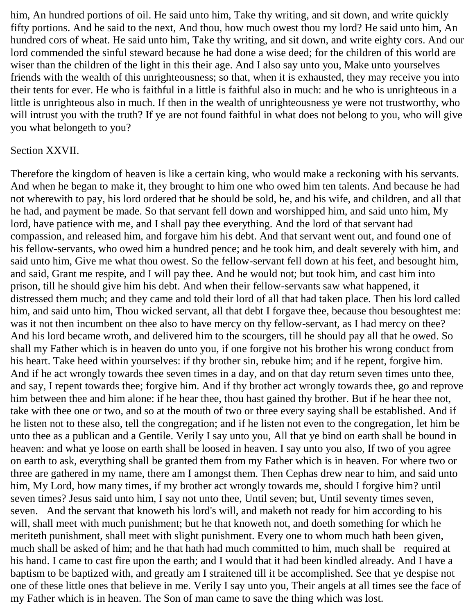him, An hundred portions of oil. He said unto him, Take thy writing, and sit down, and write quickly fifty portions. And he said to the next, And thou, how much owest thou my lord? He said unto him, An hundred cors of wheat. He said unto him, Take thy writing, and sit down, and write eighty cors. And our lord commended the sinful steward because he had done a wise deed; for the children of this world are wiser than the children of the light in this their age. And I also say unto you, Make unto yourselves friends with the wealth of this unrighteousness; so that, when it is exhausted, they may receive you into their tents for ever. He who is faithful in a little is faithful also in much: and he who is unrighteous in a little is unrighteous also in much. If then in the wealth of unrighteousness ye were not trustworthy, who will intrust you with the truth? If ye are not found faithful in what does not belong to you, who will give you what belongeth to you?

#### Section XXVII.

Therefore the kingdom of heaven is like a certain king, who would make a reckoning with his servants. And when he began to make it, they brought to him one who owed him ten talents. And because he had not wherewith to pay, his lord ordered that he should be sold, he, and his wife, and children, and all that he had, and payment be made. So that servant fell down and worshipped him, and said unto him, My lord, have patience with me, and I shall pay thee everything. And the lord of that servant had compassion, and released him, and forgave him his debt. And that servant went out, and found one of his fellow-servants, who owed him a hundred pence; and he took him, and dealt severely with him, and said unto him, Give me what thou owest. So the fellow-servant fell down at his feet, and besought him, and said, Grant me respite, and I will pay thee. And he would not; but took him, and cast him into prison, till he should give him his debt. And when their fellow-servants saw what happened, it distressed them much; and they came and told their lord of all that had taken place. Then his lord called him, and said unto him, Thou wicked servant, all that debt I forgave thee, because thou besoughtest me: was it not then incumbent on thee also to have mercy on thy fellow-servant, as I had mercy on thee? And his lord became wroth, and delivered him to the scourgers, till he should pay all that he owed. So shall my Father which is in heaven do unto you, if one forgive not his brother his wrong conduct from his heart. Take heed within yourselves: if thy brother sin, rebuke him; and if he repent, forgive him. And if he act wrongly towards thee seven times in a day, and on that day return seven times unto thee, and say, I repent towards thee; forgive him. And if thy brother act wrongly towards thee, go and reprove him between thee and him alone: if he hear thee, thou hast gained thy brother. But if he hear thee not, take with thee one or two, and so at the mouth of two or three every saying shall be established. And if he listen not to these also, tell the congregation; and if he listen not even to the congregation, let him be unto thee as a publican and a Gentile. Verily I say unto you, All that ye bind on earth shall be bound in heaven: and what ye loose on earth shall be loosed in heaven. I say unto you also, If two of you agree on earth to ask, everything shall be granted them from my Father which is in heaven. For where two or three are gathered in my name, there am I amongst them. Then Cephas drew near to him, and said unto him, My Lord, how many times, if my brother act wrongly towards me, should I forgive him? until seven times? Jesus said unto him, I say not unto thee, Until seven; but, Until seventy times seven, seven. And the servant that knoweth his lord's will, and maketh not ready for him according to his will, shall meet with much punishment; but he that knoweth not, and doeth something for which he meriteth punishment, shall meet with slight punishment. Every one to whom much hath been given, much shall be asked of him; and he that hath had much committed to him, much shall be required at his hand. I came to cast fire upon the earth; and I would that it had been kindled already. And I have a baptism to be baptized with, and greatly am I straitened till it be accomplished. See that ye despise not one of these little ones that believe in me. Verily I say unto you, Their angels at all times see the face of my Father which is in heaven. The Son of man came to save the thing which was lost.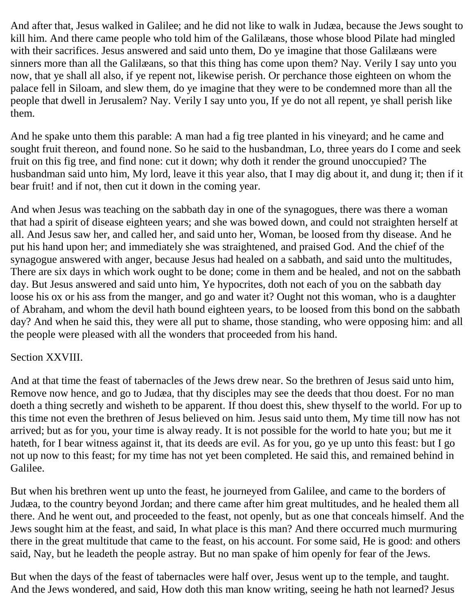And after that, Jesus walked in Galilee; and he did not like to walk in Judæa, because the Jews sought to kill him. And there came people who told him of the Galilæans, those whose blood Pilate had mingled with their sacrifices. Jesus answered and said unto them, Do ye imagine that those Galilæans were sinners more than all the Galilæans, so that this thing has come upon them? Nay. Verily I say unto you now, that ye shall all also, if ye repent not, likewise perish. Or perchance those eighteen on whom the palace fell in Siloam, and slew them, do ye imagine that they were to be condemned more than all the people that dwell in Jerusalem? Nay. Verily I say unto you, If ye do not all repent, ye shall perish like them.

And he spake unto them this parable: A man had a fig tree planted in his vineyard; and he came and sought fruit thereon, and found none. So he said to the husbandman, Lo, three years do I come and seek fruit on this fig tree, and find none: cut it down; why doth it render the ground unoccupied? The husbandman said unto him, My lord, leave it this year also, that I may dig about it, and dung it; then if it bear fruit! and if not, then cut it down in the coming year.

And when Jesus was teaching on the sabbath day in one of the synagogues, there was there a woman that had a spirit of disease eighteen years; and she was bowed down, and could not straighten herself at all. And Jesus saw her, and called her, and said unto her, Woman, be loosed from thy disease. And he put his hand upon her; and immediately she was straightened, and praised God. And the chief of the synagogue answered with anger, because Jesus had healed on a sabbath, and said unto the multitudes, There are six days in which work ought to be done; come in them and be healed, and not on the sabbath day. But Jesus answered and said unto him, Ye hypocrites, doth not each of you on the sabbath day loose his ox or his ass from the manger, and go and water it? Ought not this woman, who is a daughter of Abraham, and whom the devil hath bound eighteen years, to be loosed from this bond on the sabbath day? And when he said this, they were all put to shame, those standing, who were opposing him: and all the people were pleased with all the wonders that proceeded from his hand.

## Section XXVIII.

And at that time the feast of tabernacles of the Jews drew near. So the brethren of Jesus said unto him, Remove now hence, and go to Judæa, that thy disciples may see the deeds that thou doest. For no man doeth a thing secretly and wisheth to be apparent. If thou doest this, shew thyself to the world. For up to this time not even the brethren of Jesus believed on him. Jesus said unto them, My time till now has not arrived; but as for you, your time is alway ready. It is not possible for the world to hate you; but me it hateth, for I bear witness against it, that its deeds are evil. As for you, go ye up unto this feast: but I go not up now to this feast; for my time has not yet been completed. He said this, and remained behind in Galilee.

But when his brethren went up unto the feast, he journeyed from Galilee, and came to the borders of Judæa, to the country beyond Jordan; and there came after him great multitudes, and he healed them all there. And he went out, and proceeded to the feast, not openly, but as one that conceals himself. And the Jews sought him at the feast, and said, In what place is this man? And there occurred much murmuring there in the great multitude that came to the feast, on his account. For some said, He is good: and others said, Nay, but he leadeth the people astray. But no man spake of him openly for fear of the Jews.

But when the days of the feast of tabernacles were half over, Jesus went up to the temple, and taught. And the Jews wondered, and said, How doth this man know writing, seeing he hath not learned? Jesus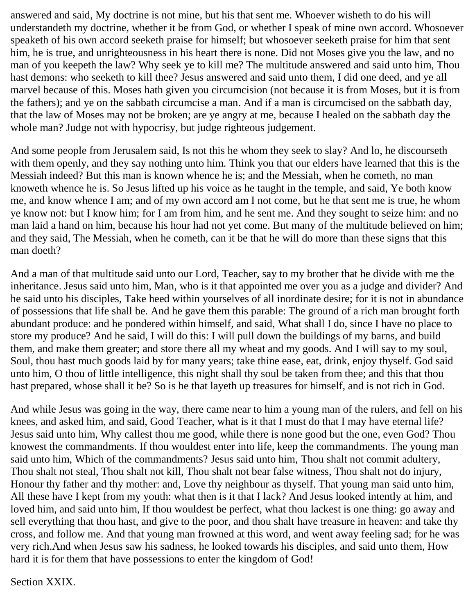answered and said, My doctrine is not mine, but his that sent me. Whoever wisheth to do his will understandeth my doctrine, whether it be from God, or whether I speak of mine own accord. Whosoever speaketh of his own accord seeketh praise for himself; but whosoever seeketh praise for him that sent him, he is true, and unrighteousness in his heart there is none. Did not Moses give you the law, and no man of you keepeth the law? Why seek ye to kill me? The multitude answered and said unto him, Thou hast demons: who seeketh to kill thee? Jesus answered and said unto them, I did one deed, and ye all marvel because of this. Moses hath given you circumcision (not because it is from Moses, but it is from the fathers); and ye on the sabbath circumcise a man. And if a man is circumcised on the sabbath day, that the law of Moses may not be broken; are ye angry at me, because I healed on the sabbath day the whole man? Judge not with hypocrisy, but judge righteous judgement.

And some people from Jerusalem said, Is not this he whom they seek to slay? And lo, he discourseth with them openly, and they say nothing unto him. Think you that our elders have learned that this is the Messiah indeed? But this man is known whence he is; and the Messiah, when he cometh, no man knoweth whence he is. So Jesus lifted up his voice as he taught in the temple, and said, Ye both know me, and know whence I am; and of my own accord am I not come, but he that sent me is true, he whom ye know not: but I know him; for I am from him, and he sent me. And they sought to seize him: and no man laid a hand on him, because his hour had not yet come. But many of the multitude believed on him; and they said, The Messiah, when he cometh, can it be that he will do more than these signs that this man doeth?

And a man of that multitude said unto our Lord, Teacher, say to my brother that he divide with me the inheritance. Jesus said unto him, Man, who is it that appointed me over you as a judge and divider? And he said unto his disciples, Take heed within yourselves of all inordinate desire; for it is not in abundance of possessions that life shall be. And he gave them this parable: The ground of a rich man brought forth abundant produce: and he pondered within himself, and said, What shall I do, since I have no place to store my produce? And he said, I will do this: I will pull down the buildings of my barns, and build them, and make them greater; and store there all my wheat and my goods. And I will say to my soul, Soul, thou hast much goods laid by for many years; take thine ease, eat, drink, enjoy thyself. God said unto him, O thou of little intelligence, this night shall thy soul be taken from thee; and this that thou hast prepared, whose shall it be? So is he that layeth up treasures for himself, and is not rich in God.

And while Jesus was going in the way, there came near to him a young man of the rulers, and fell on his knees, and asked him, and said, Good Teacher, what is it that I must do that I may have eternal life? Jesus said unto him, Why callest thou me good, while there is none good but the one, even God? Thou knowest the commandments. If thou wouldest enter into life, keep the commandments. The young man said unto him, Which of the commandments? Jesus said unto him, Thou shalt not commit adultery, Thou shalt not steal, Thou shalt not kill, Thou shalt not bear false witness, Thou shalt not do injury, Honour thy father and thy mother: and, Love thy neighbour as thyself. That young man said unto him, All these have I kept from my youth: what then is it that I lack? And Jesus looked intently at him, and loved him, and said unto him, If thou wouldest be perfect, what thou lackest is one thing: go away and sell everything that thou hast, and give to the poor, and thou shalt have treasure in heaven: and take thy cross, and follow me. And that young man frowned at this word, and went away feeling sad; for he was very rich.And when Jesus saw his sadness, he looked towards his disciples, and said unto them, How hard it is for them that have possessions to enter the kingdom of God!

Section XXIX.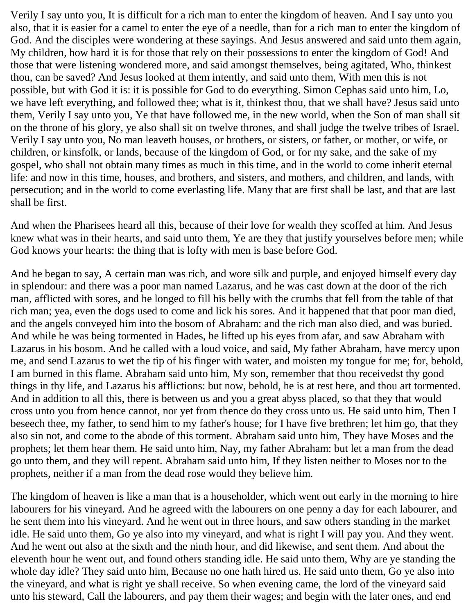Verily I say unto you, It is difficult for a rich man to enter the kingdom of heaven. And I say unto you also, that it is easier for a camel to enter the eye of a needle, than for a rich man to enter the kingdom of God. And the disciples were wondering at these sayings. And Jesus answered and said unto them again, My children, how hard it is for those that rely on their possessions to enter the kingdom of God! And those that were listening wondered more, and said amongst themselves, being agitated, Who, thinkest thou, can be saved? And Jesus looked at them intently, and said unto them, With men this is not possible, but with God it is: it is possible for God to do everything. Simon Cephas said unto him, Lo, we have left everything, and followed thee; what is it, thinkest thou, that we shall have? Jesus said unto them, Verily I say unto you, Ye that have followed me, in the new world, when the Son of man shall sit on the throne of his glory, ye also shall sit on twelve thrones, and shall judge the twelve tribes of Israel. Verily I say unto you, No man leaveth houses, or brothers, or sisters, or father, or mother, or wife, or children, or kinsfolk, or lands, because of the kingdom of God, or for my sake, and the sake of my gospel, who shall not obtain many times as much in this time, and in the world to come inherit eternal life: and now in this time, houses, and brothers, and sisters, and mothers, and children, and lands, with persecution; and in the world to come everlasting life. Many that are first shall be last, and that are last shall be first.

And when the Pharisees heard all this, because of their love for wealth they scoffed at him. And Jesus knew what was in their hearts, and said unto them, Ye are they that justify yourselves before men; while God knows your hearts: the thing that is lofty with men is base before God.

And he began to say, A certain man was rich, and wore silk and purple, and enjoyed himself every day in splendour: and there was a poor man named Lazarus, and he was cast down at the door of the rich man, afflicted with sores, and he longed to fill his belly with the crumbs that fell from the table of that rich man; yea, even the dogs used to come and lick his sores. And it happened that that poor man died, and the angels conveyed him into the bosom of Abraham: and the rich man also died, and was buried. And while he was being tormented in Hades, he lifted up his eyes from afar, and saw Abraham with Lazarus in his bosom. And he called with a loud voice, and said, My father Abraham, have mercy upon me, and send Lazarus to wet the tip of his finger with water, and moisten my tongue for me; for, behold, I am burned in this flame. Abraham said unto him, My son, remember that thou receivedst thy good things in thy life, and Lazarus his afflictions: but now, behold, he is at rest here, and thou art tormented. And in addition to all this, there is between us and you a great abyss placed, so that they that would cross unto you from hence cannot, nor yet from thence do they cross unto us. He said unto him, Then I beseech thee, my father, to send him to my father's house; for I have five brethren; let him go, that they also sin not, and come to the abode of this torment. Abraham said unto him, They have Moses and the prophets; let them hear them. He said unto him, Nay, my father Abraham: but let a man from the dead go unto them, and they will repent. Abraham said unto him, If they listen neither to Moses nor to the prophets, neither if a man from the dead rose would they believe him.

The kingdom of heaven is like a man that is a householder, which went out early in the morning to hire labourers for his vineyard. And he agreed with the labourers on one penny a day for each labourer, and he sent them into his vineyard. And he went out in three hours, and saw others standing in the market idle. He said unto them, Go ye also into my vineyard, and what is right I will pay you. And they went. And he went out also at the sixth and the ninth hour, and did likewise, and sent them. And about the eleventh hour he went out, and found others standing idle. He said unto them, Why are ye standing the whole day idle? They said unto him, Because no one hath hired us. He said unto them, Go ye also into the vineyard, and what is right ye shall receive. So when evening came, the lord of the vineyard said unto his steward, Call the labourers, and pay them their wages; and begin with the later ones, and end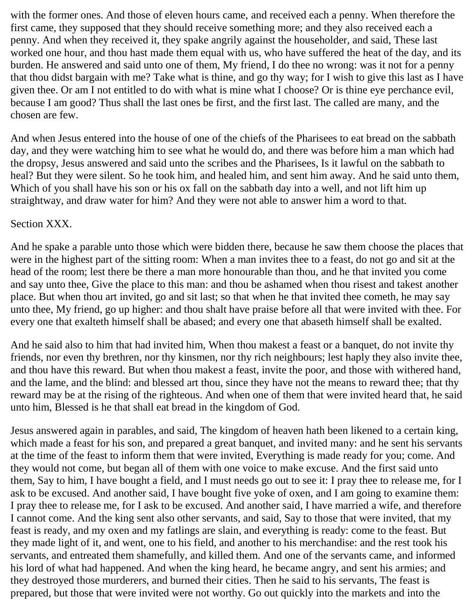with the former ones. And those of eleven hours came, and received each a penny. When therefore the first came, they supposed that they should receive something more; and they also received each a penny. And when they received it, they spake angrily against the householder, and said, These last worked one hour, and thou hast made them equal with us, who have suffered the heat of the day, and its burden. He answered and said unto one of them, My friend, I do thee no wrong: was it not for a penny that thou didst bargain with me? Take what is thine, and go thy way; for I wish to give this last as I have given thee. Or am I not entitled to do with what is mine what I choose? Or is thine eye perchance evil, because I am good? Thus shall the last ones be first, and the first last. The called are many, and the chosen are few.

And when Jesus entered into the house of one of the chiefs of the Pharisees to eat bread on the sabbath day, and they were watching him to see what he would do, and there was before him a man which had the dropsy, Jesus answered and said unto the scribes and the Pharisees, Is it lawful on the sabbath to heal? But they were silent. So he took him, and healed him, and sent him away. And he said unto them, Which of you shall have his son or his ox fall on the sabbath day into a well, and not lift him up straightway, and draw water for him? And they were not able to answer him a word to that.

## Section XXX.

And he spake a parable unto those which were bidden there, because he saw them choose the places that were in the highest part of the sitting room: When a man invites thee to a feast, do not go and sit at the head of the room; lest there be there a man more honourable than thou, and he that invited you come and say unto thee, Give the place to this man: and thou be ashamed when thou risest and takest another place. But when thou art invited, go and sit last; so that when he that invited thee cometh, he may say unto thee, My friend, go up higher: and thou shalt have praise before all that were invited with thee. For every one that exalteth himself shall be abased; and every one that abaseth himself shall be exalted.

And he said also to him that had invited him, When thou makest a feast or a banquet, do not invite thy friends, nor even thy brethren, nor thy kinsmen, nor thy rich neighbours; lest haply they also invite thee, and thou have this reward. But when thou makest a feast, invite the poor, and those with withered hand, and the lame, and the blind: and blessed art thou, since they have not the means to reward thee; that thy reward may be at the rising of the righteous. And when one of them that were invited heard that, he said unto him, Blessed is he that shall eat bread in the kingdom of God.

Jesus answered again in parables, and said, The kingdom of heaven hath been likened to a certain king, which made a feast for his son, and prepared a great banquet, and invited many: and he sent his servants at the time of the feast to inform them that were invited, Everything is made ready for you; come. And they would not come, but began all of them with one voice to make excuse. And the first said unto them, Say to him, I have bought a field, and I must needs go out to see it: I pray thee to release me, for I ask to be excused. And another said, I have bought five yoke of oxen, and I am going to examine them: I pray thee to release me, for I ask to be excused. And another said, I have married a wife, and therefore I cannot come. And the king sent also other servants, and said, Say to those that were invited, that my feast is ready, and my oxen and my fatlings are slain, and everything is ready: come to the feast. But they made light of it, and went, one to his field, and another to his merchandise: and the rest took his servants, and entreated them shamefully, and killed them. And one of the servants came, and informed his lord of what had happened. And when the king heard, he became angry, and sent his armies; and they destroyed those murderers, and burned their cities. Then he said to his servants, The feast is prepared, but those that were invited were not worthy. Go out quickly into the markets and into the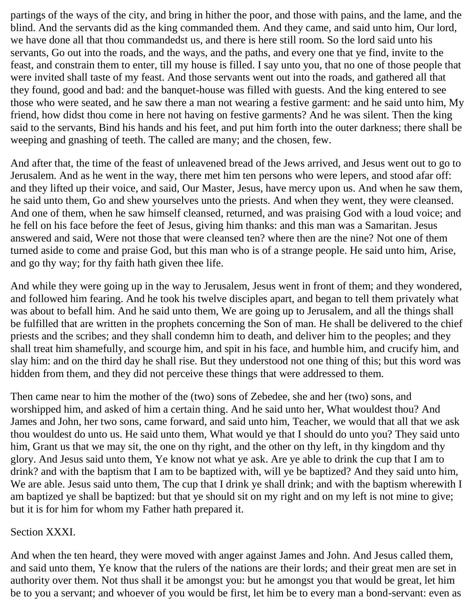partings of the ways of the city, and bring in hither the poor, and those with pains, and the lame, and the blind. And the servants did as the king commanded them. And they came, and said unto him, Our lord, we have done all that thou commandedst us, and there is here still room. So the lord said unto his servants, Go out into the roads, and the ways, and the paths, and every one that ye find, invite to the feast, and constrain them to enter, till my house is filled. I say unto you, that no one of those people that were invited shall taste of my feast. And those servants went out into the roads, and gathered all that they found, good and bad: and the banquet-house was filled with guests. And the king entered to see those who were seated, and he saw there a man not wearing a festive garment: and he said unto him, My friend, how didst thou come in here not having on festive garments? And he was silent. Then the king said to the servants, Bind his hands and his feet, and put him forth into the outer darkness; there shall be weeping and gnashing of teeth. The called are many; and the chosen, few.

And after that, the time of the feast of unleavened bread of the Jews arrived, and Jesus went out to go to Jerusalem. And as he went in the way, there met him ten persons who were lepers, and stood afar off: and they lifted up their voice, and said, Our Master, Jesus, have mercy upon us. And when he saw them, he said unto them, Go and shew yourselves unto the priests. And when they went, they were cleansed. And one of them, when he saw himself cleansed, returned, and was praising God with a loud voice; and he fell on his face before the feet of Jesus, giving him thanks: and this man was a Samaritan. Jesus answered and said, Were not those that were cleansed ten? where then are the nine? Not one of them turned aside to come and praise God, but this man who is of a strange people. He said unto him, Arise, and go thy way; for thy faith hath given thee life.

And while they were going up in the way to Jerusalem, Jesus went in front of them; and they wondered, and followed him fearing. And he took his twelve disciples apart, and began to tell them privately what was about to befall him. And he said unto them, We are going up to Jerusalem, and all the things shall be fulfilled that are written in the prophets concerning the Son of man. He shall be delivered to the chief priests and the scribes; and they shall condemn him to death, and deliver him to the peoples; and they shall treat him shamefully, and scourge him, and spit in his face, and humble him, and crucify him, and slay him: and on the third day he shall rise. But they understood not one thing of this; but this word was hidden from them, and they did not perceive these things that were addressed to them.

Then came near to him the mother of the (two) sons of Zebedee, she and her (two) sons, and worshipped him, and asked of him a certain thing. And he said unto her, What wouldest thou? And James and John, her two sons, came forward, and said unto him, Teacher, we would that all that we ask thou wouldest do unto us. He said unto them, What would ye that I should do unto you? They said unto him, Grant us that we may sit, the one on thy right, and the other on thy left, in thy kingdom and thy glory. And Jesus said unto them, Ye know not what ye ask. Are ye able to drink the cup that I am to drink? and with the baptism that I am to be baptized with, will ye be baptized? And they said unto him, We are able. Jesus said unto them, The cup that I drink ye shall drink; and with the baptism wherewith I am baptized ye shall be baptized: but that ye should sit on my right and on my left is not mine to give; but it is for him for whom my Father hath prepared it.

### Section XXXI.

And when the ten heard, they were moved with anger against James and John. And Jesus called them, and said unto them, Ye know that the rulers of the nations are their lords; and their great men are set in authority over them. Not thus shall it be amongst you: but he amongst you that would be great, let him be to you a servant; and whoever of you would be first, let him be to every man a bond-servant: even as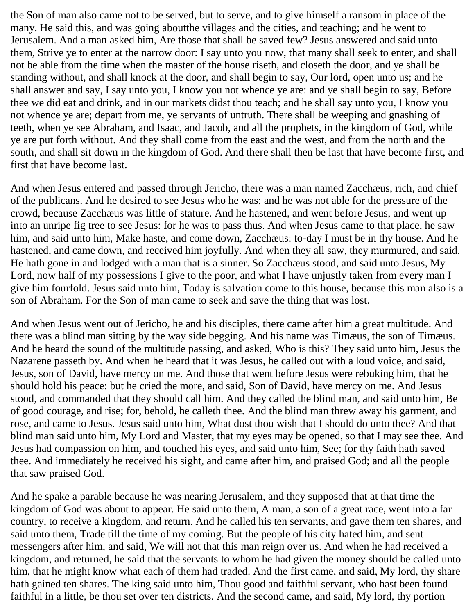the Son of man also came not to be served, but to serve, and to give himself a ransom in place of the many. He said this, and was going aboutthe villages and the cities, and teaching; and he went to Jerusalem. And a man asked him, Are those that shall be saved few? Jesus answered and said unto them, Strive ye to enter at the narrow door: I say unto you now, that many shall seek to enter, and shall not be able from the time when the master of the house riseth, and closeth the door, and ye shall be standing without, and shall knock at the door, and shall begin to say, Our lord, open unto us; and he shall answer and say, I say unto you, I know you not whence ye are: and ye shall begin to say, Before thee we did eat and drink, and in our markets didst thou teach; and he shall say unto you, I know you not whence ye are; depart from me, ye servants of untruth. There shall be weeping and gnashing of teeth, when ye see Abraham, and Isaac, and Jacob, and all the prophets, in the kingdom of God, while ye are put forth without. And they shall come from the east and the west, and from the north and the south, and shall sit down in the kingdom of God. And there shall then be last that have become first, and first that have become last.

And when Jesus entered and passed through Jericho, there was a man named Zacchæus, rich, and chief of the publicans. And he desired to see Jesus who he was; and he was not able for the pressure of the crowd, because Zacchæus was little of stature. And he hastened, and went before Jesus, and went up into an unripe fig tree to see Jesus: for he was to pass thus. And when Jesus came to that place, he saw him, and said unto him, Make haste, and come down, Zacchæus: to-day I must be in thy house. And he hastened, and came down, and received him joyfully. And when they all saw, they murmured, and said, He hath gone in and lodged with a man that is a sinner. So Zacchæus stood, and said unto Jesus, My Lord, now half of my possessions I give to the poor, and what I have unjustly taken from every man I give him fourfold. Jesus said unto him, Today is salvation come to this house, because this man also is a son of Abraham. For the Son of man came to seek and save the thing that was lost.

And when Jesus went out of Jericho, he and his disciples, there came after him a great multitude. And there was a blind man sitting by the way side begging. And his name was Timæus, the son of Timæus. And he heard the sound of the multitude passing, and asked, Who is this? They said unto him, Jesus the Nazarene passeth by. And when he heard that it was Jesus, he called out with a loud voice, and said, Jesus, son of David, have mercy on me. And those that went before Jesus were rebuking him, that he should hold his peace: but he cried the more, and said, Son of David, have mercy on me. And Jesus stood, and commanded that they should call him. And they called the blind man, and said unto him, Be of good courage, and rise; for, behold, he calleth thee. And the blind man threw away his garment, and rose, and came to Jesus. Jesus said unto him, What dost thou wish that I should do unto thee? And that blind man said unto him, My Lord and Master, that my eyes may be opened, so that I may see thee. And Jesus had compassion on him, and touched his eyes, and said unto him, See; for thy faith hath saved thee. And immediately he received his sight, and came after him, and praised God; and all the people that saw praised God.

And he spake a parable because he was nearing Jerusalem, and they supposed that at that time the kingdom of God was about to appear. He said unto them, A man, a son of a great race, went into a far country, to receive a kingdom, and return. And he called his ten servants, and gave them ten shares, and said unto them, Trade till the time of my coming. But the people of his city hated him, and sent messengers after him, and said, We will not that this man reign over us. And when he had received a kingdom, and returned, he said that the servants to whom he had given the money should be called unto him, that he might know what each of them had traded. And the first came, and said, My lord, thy share hath gained ten shares. The king said unto him, Thou good and faithful servant, who hast been found faithful in a little, be thou set over ten districts. And the second came, and said, My lord, thy portion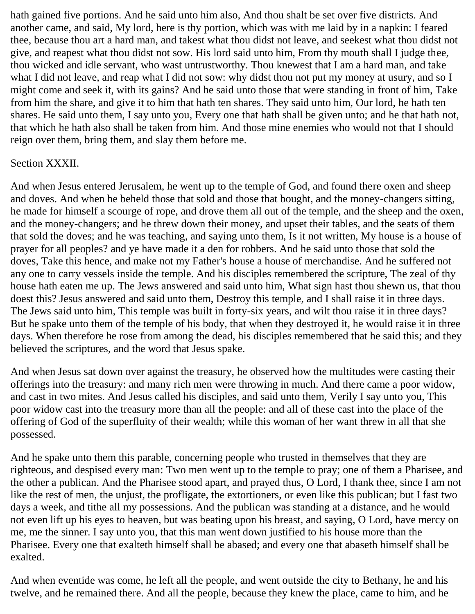hath gained five portions. And he said unto him also, And thou shalt be set over five districts. And another came, and said, My lord, here is thy portion, which was with me laid by in a napkin: I feared thee, because thou art a hard man, and takest what thou didst not leave, and seekest what thou didst not give, and reapest what thou didst not sow. His lord said unto him, From thy mouth shall I judge thee, thou wicked and idle servant, who wast untrustworthy. Thou knewest that I am a hard man, and take what I did not leave, and reap what I did not sow: why didst thou not put my money at usury, and so I might come and seek it, with its gains? And he said unto those that were standing in front of him, Take from him the share, and give it to him that hath ten shares. They said unto him, Our lord, he hath ten shares. He said unto them, I say unto you, Every one that hath shall be given unto; and he that hath not, that which he hath also shall be taken from him. And those mine enemies who would not that I should reign over them, bring them, and slay them before me.

## Section XXXII.

And when Jesus entered Jerusalem, he went up to the temple of God, and found there oxen and sheep and doves. And when he beheld those that sold and those that bought, and the money-changers sitting, he made for himself a scourge of rope, and drove them all out of the temple, and the sheep and the oxen, and the money-changers; and he threw down their money, and upset their tables, and the seats of them that sold the doves; and he was teaching, and saying unto them, Is it not written, My house is a house of prayer for all peoples? and ye have made it a den for robbers. And he said unto those that sold the doves, Take this hence, and make not my Father's house a house of merchandise. And he suffered not any one to carry vessels inside the temple. And his disciples remembered the scripture, The zeal of thy house hath eaten me up. The Jews answered and said unto him, What sign hast thou shewn us, that thou doest this? Jesus answered and said unto them, Destroy this temple, and I shall raise it in three days. The Jews said unto him, This temple was built in forty-six years, and wilt thou raise it in three days? But he spake unto them of the temple of his body, that when they destroyed it, he would raise it in three days. When therefore he rose from among the dead, his disciples remembered that he said this; and they believed the scriptures, and the word that Jesus spake.

And when Jesus sat down over against the treasury, he observed how the multitudes were casting their offerings into the treasury: and many rich men were throwing in much. And there came a poor widow, and cast in two mites. And Jesus called his disciples, and said unto them, Verily I say unto you, This poor widow cast into the treasury more than all the people: and all of these cast into the place of the offering of God of the superfluity of their wealth; while this woman of her want threw in all that she possessed.

And he spake unto them this parable, concerning people who trusted in themselves that they are righteous, and despised every man: Two men went up to the temple to pray; one of them a Pharisee, and the other a publican. And the Pharisee stood apart, and prayed thus, O Lord, I thank thee, since I am not like the rest of men, the unjust, the profligate, the extortioners, or even like this publican; but I fast two days a week, and tithe all my possessions. And the publican was standing at a distance, and he would not even lift up his eyes to heaven, but was beating upon his breast, and saying, O Lord, have mercy on me, me the sinner. I say unto you, that this man went down justified to his house more than the Pharisee. Every one that exalteth himself shall be abased; and every one that abaseth himself shall be exalted.

And when eventide was come, he left all the people, and went outside the city to Bethany, he and his twelve, and he remained there. And all the people, because they knew the place, came to him, and he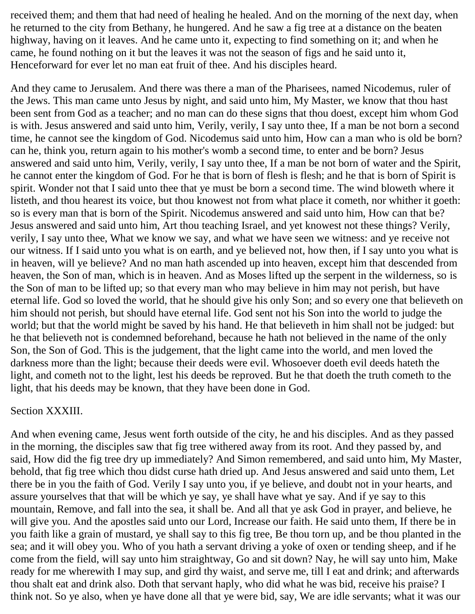received them; and them that had need of healing he healed. And on the morning of the next day, when he returned to the city from Bethany, he hungered. And he saw a fig tree at a distance on the beaten highway, having on it leaves. And he came unto it, expecting to find something on it; and when he came, he found nothing on it but the leaves it was not the season of figs and he said unto it, Henceforward for ever let no man eat fruit of thee. And his disciples heard.

And they came to Jerusalem. And there was there a man of the Pharisees, named Nicodemus, ruler of the Jews. This man came unto Jesus by night, and said unto him, My Master, we know that thou hast been sent from God as a teacher; and no man can do these signs that thou doest, except him whom God is with. Jesus answered and said unto him, Verily, verily, I say unto thee, If a man be not born a second time, he cannot see the kingdom of God. Nicodemus said unto him, How can a man who is old be born? can he, think you, return again to his mother's womb a second time, to enter and be born? Jesus answered and said unto him, Verily, verily, I say unto thee, If a man be not born of water and the Spirit, he cannot enter the kingdom of God. For he that is born of flesh is flesh; and he that is born of Spirit is spirit. Wonder not that I said unto thee that ye must be born a second time. The wind bloweth where it listeth, and thou hearest its voice, but thou knowest not from what place it cometh, nor whither it goeth: so is every man that is born of the Spirit. Nicodemus answered and said unto him, How can that be? Jesus answered and said unto him, Art thou teaching Israel, and yet knowest not these things? Verily, verily, I say unto thee, What we know we say, and what we have seen we witness: and ye receive not our witness. If I said unto you what is on earth, and ye believed not, how then, if I say unto you what is in heaven, will ye believe? And no man hath ascended up into heaven, except him that descended from heaven, the Son of man, which is in heaven. And as Moses lifted up the serpent in the wilderness, so is the Son of man to be lifted up; so that every man who may believe in him may not perish, but have eternal life. God so loved the world, that he should give his only Son; and so every one that believeth on him should not perish, but should have eternal life. God sent not his Son into the world to judge the world; but that the world might be saved by his hand. He that believeth in him shall not be judged: but he that believeth not is condemned beforehand, because he hath not believed in the name of the only Son, the Son of God. This is the judgement, that the light came into the world, and men loved the darkness more than the light; because their deeds were evil. Whosoever doeth evil deeds hateth the light, and cometh not to the light, lest his deeds be reproved. But he that doeth the truth cometh to the light, that his deeds may be known, that they have been done in God.

## Section XXXIII.

And when evening came, Jesus went forth outside of the city, he and his disciples. And as they passed in the morning, the disciples saw that fig tree withered away from its root. And they passed by, and said, How did the fig tree dry up immediately? And Simon remembered, and said unto him, My Master, behold, that fig tree which thou didst curse hath dried up. And Jesus answered and said unto them, Let there be in you the faith of God. Verily I say unto you, if ye believe, and doubt not in your hearts, and assure yourselves that that will be which ye say, ye shall have what ye say. And if ye say to this mountain, Remove, and fall into the sea, it shall be. And all that ye ask God in prayer, and believe, he will give you. And the apostles said unto our Lord, Increase our faith. He said unto them, If there be in you faith like a grain of mustard, ye shall say to this fig tree, Be thou torn up, and be thou planted in the sea; and it will obey you. Who of you hath a servant driving a yoke of oxen or tending sheep, and if he come from the field, will say unto him straightway, Go and sit down? Nay, he will say unto him, Make ready for me wherewith I may sup, and gird thy waist, and serve me, till I eat and drink; and afterwards thou shalt eat and drink also. Doth that servant haply, who did what he was bid, receive his praise? I think not. So ye also, when ye have done all that ye were bid, say, We are idle servants; what it was our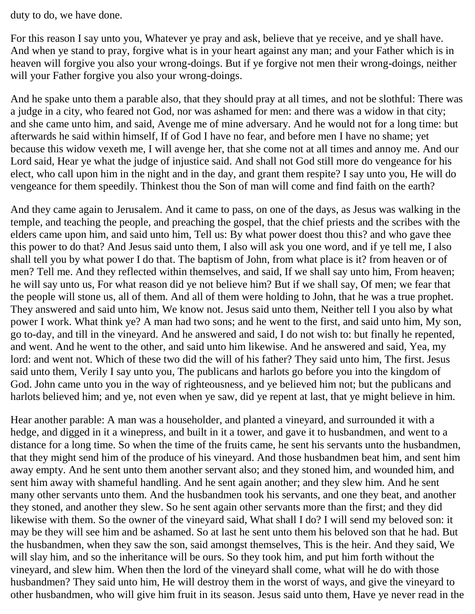duty to do, we have done.

For this reason I say unto you, Whatever ye pray and ask, believe that ye receive, and ye shall have. And when ye stand to pray, forgive what is in your heart against any man; and your Father which is in heaven will forgive you also your wrong-doings. But if ye forgive not men their wrong-doings, neither will your Father forgive you also your wrong-doings.

And he spake unto them a parable also, that they should pray at all times, and not be slothful: There was a judge in a city, who feared not God, nor was ashamed for men: and there was a widow in that city; and she came unto him, and said, Avenge me of mine adversary. And he would not for a long time: but afterwards he said within himself, If of God I have no fear, and before men I have no shame; yet because this widow vexeth me, I will avenge her, that she come not at all times and annoy me. And our Lord said, Hear ye what the judge of injustice said. And shall not God still more do vengeance for his elect, who call upon him in the night and in the day, and grant them respite? I say unto you, He will do vengeance for them speedily. Thinkest thou the Son of man will come and find faith on the earth?

And they came again to Jerusalem. And it came to pass, on one of the days, as Jesus was walking in the temple, and teaching the people, and preaching the gospel, that the chief priests and the scribes with the elders came upon him, and said unto him, Tell us: By what power doest thou this? and who gave thee this power to do that? And Jesus said unto them, I also will ask you one word, and if ye tell me, I also shall tell you by what power I do that. The baptism of John, from what place is it? from heaven or of men? Tell me. And they reflected within themselves, and said, If we shall say unto him, From heaven; he will say unto us, For what reason did ye not believe him? But if we shall say, Of men; we fear that the people will stone us, all of them. And all of them were holding to John, that he was a true prophet. They answered and said unto him, We know not. Jesus said unto them, Neither tell I you also by what power I work. What think ye? A man had two sons; and he went to the first, and said unto him, My son, go to-day, and till in the vineyard. And he answered and said, I do not wish to: but finally he repented, and went. And he went to the other, and said unto him likewise. And he answered and said, Yea, my lord: and went not. Which of these two did the will of his father? They said unto him, The first. Jesus said unto them, Verily I say unto you, The publicans and harlots go before you into the kingdom of God. John came unto you in the way of righteousness, and ye believed him not; but the publicans and harlots believed him; and ye, not even when ye saw, did ye repent at last, that ye might believe in him.

Hear another parable: A man was a householder, and planted a vineyard, and surrounded it with a hedge, and digged in it a winepress, and built in it a tower, and gave it to husbandmen, and went to a distance for a long time. So when the time of the fruits came, he sent his servants unto the husbandmen, that they might send him of the produce of his vineyard. And those husbandmen beat him, and sent him away empty. And he sent unto them another servant also; and they stoned him, and wounded him, and sent him away with shameful handling. And he sent again another; and they slew him. And he sent many other servants unto them. And the husbandmen took his servants, and one they beat, and another they stoned, and another they slew. So he sent again other servants more than the first; and they did likewise with them. So the owner of the vineyard said, What shall I do? I will send my beloved son: it may be they will see him and be ashamed. So at last he sent unto them his beloved son that he had. But the husbandmen, when they saw the son, said amongst themselves, This is the heir. And they said, We will slay him, and so the inheritance will be ours. So they took him, and put him forth without the vineyard, and slew him. When then the lord of the vineyard shall come, what will he do with those husbandmen? They said unto him, He will destroy them in the worst of ways, and give the vineyard to other husbandmen, who will give him fruit in its season. Jesus said unto them, Have ye never read in the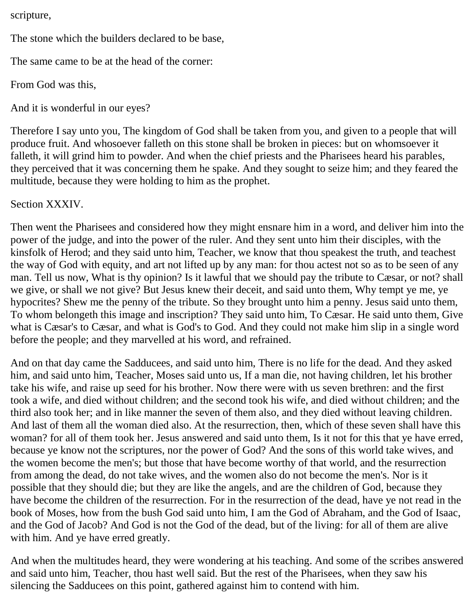scripture,

The stone which the builders declared to be base,

The same came to be at the head of the corner:

From God was this,

And it is wonderful in our eyes?

Therefore I say unto you, The kingdom of God shall be taken from you, and given to a people that will produce fruit. And whosoever falleth on this stone shall be broken in pieces: but on whomsoever it falleth, it will grind him to powder. And when the chief priests and the Pharisees heard his parables, they perceived that it was concerning them he spake. And they sought to seize him; and they feared the multitude, because they were holding to him as the prophet.

# Section XXXIV.

Then went the Pharisees and considered how they might ensnare him in a word, and deliver him into the power of the judge, and into the power of the ruler. And they sent unto him their disciples, with the kinsfolk of Herod; and they said unto him, Teacher, we know that thou speakest the truth, and teachest the way of God with equity, and art not lifted up by any man: for thou actest not so as to be seen of any man. Tell us now, What is thy opinion? Is it lawful that we should pay the tribute to Cæsar, or not? shall we give, or shall we not give? But Jesus knew their deceit, and said unto them, Why tempt ye me, ye hypocrites? Shew me the penny of the tribute. So they brought unto him a penny. Jesus said unto them, To whom belongeth this image and inscription? They said unto him, To Cæsar. He said unto them, Give what is Cæsar's to Cæsar, and what is God's to God. And they could not make him slip in a single word before the people; and they marvelled at his word, and refrained.

And on that day came the Sadducees, and said unto him, There is no life for the dead. And they asked him, and said unto him, Teacher, Moses said unto us, If a man die, not having children, let his brother take his wife, and raise up seed for his brother. Now there were with us seven brethren: and the first took a wife, and died without children; and the second took his wife, and died without children; and the third also took her; and in like manner the seven of them also, and they died without leaving children. And last of them all the woman died also. At the resurrection, then, which of these seven shall have this woman? for all of them took her. Jesus answered and said unto them, Is it not for this that ye have erred, because ye know not the scriptures, nor the power of God? And the sons of this world take wives, and the women become the men's; but those that have become worthy of that world, and the resurrection from among the dead, do not take wives, and the women also do not become the men's. Nor is it possible that they should die; but they are like the angels, and are the children of God, because they have become the children of the resurrection. For in the resurrection of the dead, have ye not read in the book of Moses, how from the bush God said unto him, I am the God of Abraham, and the God of Isaac, and the God of Jacob? And God is not the God of the dead, but of the living: for all of them are alive with him. And ye have erred greatly.

And when the multitudes heard, they were wondering at his teaching. And some of the scribes answered and said unto him, Teacher, thou hast well said. But the rest of the Pharisees, when they saw his silencing the Sadducees on this point, gathered against him to contend with him.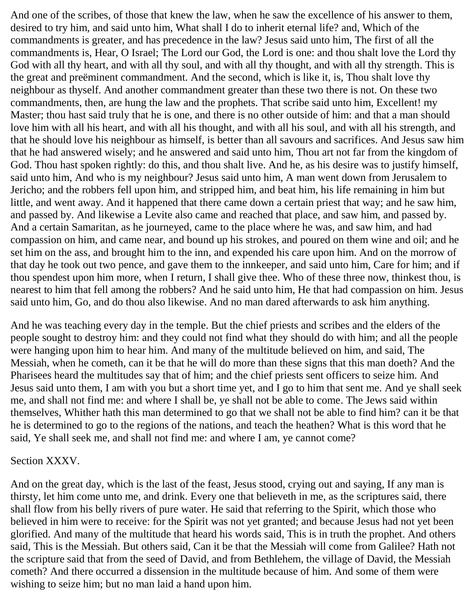And one of the scribes, of those that knew the law, when he saw the excellence of his answer to them, desired to try him, and said unto him, What shall I do to inherit eternal life? and, Which of the commandments is greater, and has precedence in the law? Jesus said unto him, The first of all the commandments is, Hear, O Israel; The Lord our God, the Lord is one: and thou shalt love the Lord thy God with all thy heart, and with all thy soul, and with all thy thought, and with all thy strength. This is the great and preëminent commandment. And the second, which is like it, is, Thou shalt love thy neighbour as thyself. And another commandment greater than these two there is not. On these two commandments, then, are hung the law and the prophets. That scribe said unto him, Excellent! my Master; thou hast said truly that he is one, and there is no other outside of him: and that a man should love him with all his heart, and with all his thought, and with all his soul, and with all his strength, and that he should love his neighbour as himself, is better than all savours and sacrifices. And Jesus saw him that he had answered wisely; and he answered and said unto him, Thou art not far from the kingdom of God. Thou hast spoken rightly: do this, and thou shalt live. And he, as his desire was to justify himself, said unto him, And who is my neighbour? Jesus said unto him, A man went down from Jerusalem to Jericho; and the robbers fell upon him, and stripped him, and beat him, his life remaining in him but little, and went away. And it happened that there came down a certain priest that way; and he saw him, and passed by. And likewise a Levite also came and reached that place, and saw him, and passed by. And a certain Samaritan, as he journeyed, came to the place where he was, and saw him, and had compassion on him, and came near, and bound up his strokes, and poured on them wine and oil; and he set him on the ass, and brought him to the inn, and expended his care upon him. And on the morrow of that day he took out two pence, and gave them to the innkeeper, and said unto him, Care for him; and if thou spendest upon him more, when I return, I shall give thee. Who of these three now, thinkest thou, is nearest to him that fell among the robbers? And he said unto him, He that had compassion on him. Jesus said unto him, Go, and do thou also likewise. And no man dared afterwards to ask him anything.

And he was teaching every day in the temple. But the chief priests and scribes and the elders of the people sought to destroy him: and they could not find what they should do with him; and all the people were hanging upon him to hear him. And many of the multitude believed on him, and said, The Messiah, when he cometh, can it be that he will do more than these signs that this man doeth? And the Pharisees heard the multitudes say that of him; and the chief priests sent officers to seize him. And Jesus said unto them, I am with you but a short time yet, and I go to him that sent me. And ye shall seek me, and shall not find me: and where I shall be, ye shall not be able to come. The Jews said within themselves, Whither hath this man determined to go that we shall not be able to find him? can it be that he is determined to go to the regions of the nations, and teach the heathen? What is this word that he said, Ye shall seek me, and shall not find me: and where I am, ye cannot come?

### Section XXXV.

And on the great day, which is the last of the feast, Jesus stood, crying out and saying, If any man is thirsty, let him come unto me, and drink. Every one that believeth in me, as the scriptures said, there shall flow from his belly rivers of pure water. He said that referring to the Spirit, which those who believed in him were to receive: for the Spirit was not yet granted; and because Jesus had not yet been glorified. And many of the multitude that heard his words said, This is in truth the prophet. And others said, This is the Messiah. But others said, Can it be that the Messiah will come from Galilee? Hath not the scripture said that from the seed of David, and from Bethlehem, the village of David, the Messiah cometh? And there occurred a dissension in the multitude because of him. And some of them were wishing to seize him; but no man laid a hand upon him.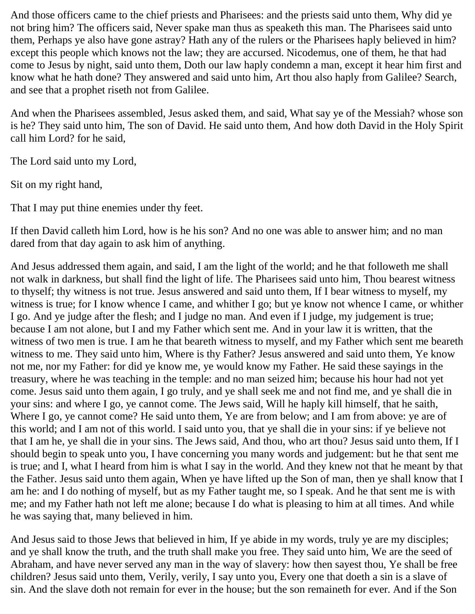And those officers came to the chief priests and Pharisees: and the priests said unto them, Why did ye not bring him? The officers said, Never spake man thus as speaketh this man. The Pharisees said unto them, Perhaps ye also have gone astray? Hath any of the rulers or the Pharisees haply believed in him? except this people which knows not the law; they are accursed. Nicodemus, one of them, he that had come to Jesus by night, said unto them, Doth our law haply condemn a man, except it hear him first and know what he hath done? They answered and said unto him, Art thou also haply from Galilee? Search, and see that a prophet riseth not from Galilee.

And when the Pharisees assembled, Jesus asked them, and said, What say ye of the Messiah? whose son is he? They said unto him, The son of David. He said unto them, And how doth David in the Holy Spirit call him Lord? for he said,

The Lord said unto my Lord,

Sit on my right hand,

That I may put thine enemies under thy feet.

If then David calleth him Lord, how is he his son? And no one was able to answer him; and no man dared from that day again to ask him of anything.

And Jesus addressed them again, and said, I am the light of the world; and he that followeth me shall not walk in darkness, but shall find the light of life. The Pharisees said unto him, Thou bearest witness to thyself; thy witness is not true. Jesus answered and said unto them, If I bear witness to myself, my witness is true; for I know whence I came, and whither I go; but ye know not whence I came, or whither I go. And ye judge after the flesh; and I judge no man. And even if I judge, my judgement is true; because I am not alone, but I and my Father which sent me. And in your law it is written, that the witness of two men is true. I am he that beareth witness to myself, and my Father which sent me beareth witness to me. They said unto him, Where is thy Father? Jesus answered and said unto them, Ye know not me, nor my Father: for did ye know me, ye would know my Father. He said these sayings in the treasury, where he was teaching in the temple: and no man seized him; because his hour had not yet come. Jesus said unto them again, I go truly, and ye shall seek me and not find me, and ye shall die in your sins: and where I go, ye cannot come. The Jews said, Will he haply kill himself, that he saith, Where I go, ye cannot come? He said unto them, Ye are from below; and I am from above: ye are of this world; and I am not of this world. I said unto you, that ye shall die in your sins: if ye believe not that I am he, ye shall die in your sins. The Jews said, And thou, who art thou? Jesus said unto them, If I should begin to speak unto you, I have concerning you many words and judgement: but he that sent me is true; and I, what I heard from him is what I say in the world. And they knew not that he meant by that the Father. Jesus said unto them again, When ye have lifted up the Son of man, then ye shall know that I am he: and I do nothing of myself, but as my Father taught me, so I speak. And he that sent me is with me; and my Father hath not left me alone; because I do what is pleasing to him at all times. And while he was saying that, many believed in him.

And Jesus said to those Jews that believed in him, If ye abide in my words, truly ye are my disciples; and ye shall know the truth, and the truth shall make you free. They said unto him, We are the seed of Abraham, and have never served any man in the way of slavery: how then sayest thou, Ye shall be free children? Jesus said unto them, Verily, verily, I say unto you, Every one that doeth a sin is a slave of sin. And the slave doth not remain for ever in the house; but the son remaineth for ever. And if the Son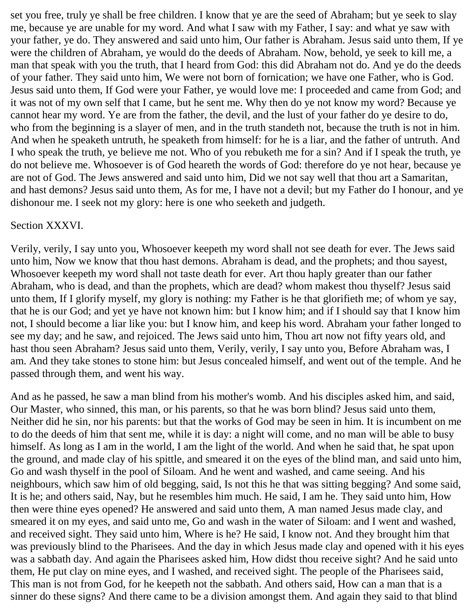set you free, truly ye shall be free children. I know that ye are the seed of Abraham; but ye seek to slay me, because ye are unable for my word. And what I saw with my Father, I say: and what ye saw with your father, ye do. They answered and said unto him, Our father is Abraham. Jesus said unto them, If ye were the children of Abraham, ye would do the deeds of Abraham. Now, behold, ye seek to kill me, a man that speak with you the truth, that I heard from God: this did Abraham not do. And ye do the deeds of your father. They said unto him, We were not born of fornication; we have one Father, who is God. Jesus said unto them, If God were your Father, ye would love me: I proceeded and came from God; and it was not of my own self that I came, but he sent me. Why then do ye not know my word? Because ye cannot hear my word. Ye are from the father, the devil, and the lust of your father do ye desire to do, who from the beginning is a slayer of men, and in the truth standeth not, because the truth is not in him. And when he speaketh untruth, he speaketh from himself: for he is a liar, and the father of untruth. And I who speak the truth, ye believe me not. Who of you rebuketh me for a sin? And if I speak the truth, ye do not believe me. Whosoever is of God heareth the words of God: therefore do ye not hear, because ye are not of God. The Jews answered and said unto him, Did we not say well that thou art a Samaritan, and hast demons? Jesus said unto them, As for me, I have not a devil; but my Father do I honour, and ye dishonour me. I seek not my glory: here is one who seeketh and judgeth.

### Section XXXVI.

Verily, verily, I say unto you, Whosoever keepeth my word shall not see death for ever. The Jews said unto him, Now we know that thou hast demons. Abraham is dead, and the prophets; and thou sayest, Whosoever keepeth my word shall not taste death for ever. Art thou haply greater than our father Abraham, who is dead, and than the prophets, which are dead? whom makest thou thyself? Jesus said unto them, If I glorify myself, my glory is nothing: my Father is he that glorifieth me; of whom ye say, that he is our God; and yet ye have not known him: but I know him; and if I should say that I know him not, I should become a liar like you: but I know him, and keep his word. Abraham your father longed to see my day; and he saw, and rejoiced. The Jews said unto him, Thou art now not fifty years old, and hast thou seen Abraham? Jesus said unto them, Verily, verily, I say unto you, Before Abraham was, I am. And they take stones to stone him: but Jesus concealed himself, and went out of the temple. And he passed through them, and went his way.

And as he passed, he saw a man blind from his mother's womb. And his disciples asked him, and said, Our Master, who sinned, this man, or his parents, so that he was born blind? Jesus said unto them, Neither did he sin, nor his parents: but that the works of God may be seen in him. It is incumbent on me to do the deeds of him that sent me, while it is day: a night will come, and no man will be able to busy himself. As long as I am in the world, I am the light of the world. And when he said that, he spat upon the ground, and made clay of his spittle, and smeared it on the eyes of the blind man, and said unto him, Go and wash thyself in the pool of Siloam. And he went and washed, and came seeing. And his neighbours, which saw him of old begging, said, Is not this he that was sitting begging? And some said, It is he; and others said, Nay, but he resembles him much. He said, I am he. They said unto him, How then were thine eyes opened? He answered and said unto them, A man named Jesus made clay, and smeared it on my eyes, and said unto me, Go and wash in the water of Siloam: and I went and washed, and received sight. They said unto him, Where is he? He said, I know not. And they brought him that was previously blind to the Pharisees. And the day in which Jesus made clay and opened with it his eyes was a sabbath day. And again the Pharisees asked him, How didst thou receive sight? And he said unto them, He put clay on mine eyes, and I washed, and received sight. The people of the Pharisees said, This man is not from God, for he keepeth not the sabbath. And others said, How can a man that is a sinner do these signs? And there came to be a division amongst them. And again they said to that blind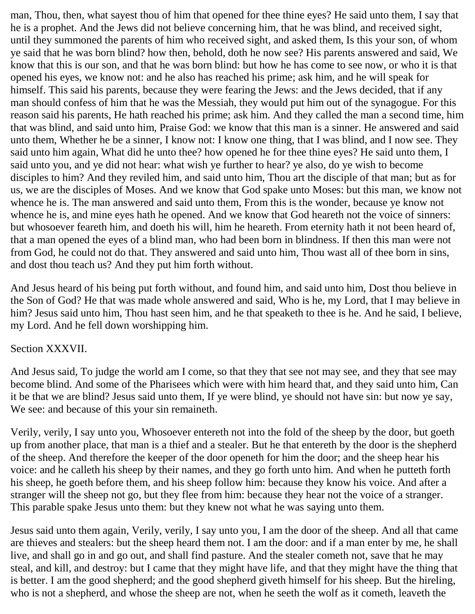man, Thou, then, what sayest thou of him that opened for thee thine eyes? He said unto them, I say that he is a prophet. And the Jews did not believe concerning him, that he was blind, and received sight, until they summoned the parents of him who received sight, and asked them, Is this your son, of whom ye said that he was born blind? how then, behold, doth he now see? His parents answered and said, We know that this is our son, and that he was born blind: but how he has come to see now, or who it is that opened his eyes, we know not: and he also has reached his prime; ask him, and he will speak for himself. This said his parents, because they were fearing the Jews: and the Jews decided, that if any man should confess of him that he was the Messiah, they would put him out of the synagogue. For this reason said his parents, He hath reached his prime; ask him. And they called the man a second time, him that was blind, and said unto him, Praise God: we know that this man is a sinner. He answered and said unto them, Whether he be a sinner, I know not: I know one thing, that I was blind, and I now see. They said unto him again, What did he unto thee? how opened he for thee thine eyes? He said unto them, I said unto you, and ye did not hear: what wish ye further to hear? ye also, do ye wish to become disciples to him? And they reviled him, and said unto him, Thou art the disciple of that man; but as for us, we are the disciples of Moses. And we know that God spake unto Moses: but this man, we know not whence he is. The man answered and said unto them, From this is the wonder, because ye know not whence he is, and mine eyes hath he opened. And we know that God heareth not the voice of sinners: but whosoever feareth him, and doeth his will, him he heareth. From eternity hath it not been heard of, that a man opened the eyes of a blind man, who had been born in blindness. If then this man were not from God, he could not do that. They answered and said unto him, Thou wast all of thee born in sins, and dost thou teach us? And they put him forth without.

And Jesus heard of his being put forth without, and found him, and said unto him, Dost thou believe in the Son of God? He that was made whole answered and said, Who is he, my Lord, that I may believe in him? Jesus said unto him, Thou hast seen him, and he that speaketh to thee is he. And he said, I believe, my Lord. And he fell down worshipping him.

## Section XXXVII.

And Jesus said, To judge the world am I come, so that they that see not may see, and they that see may become blind. And some of the Pharisees which were with him heard that, and they said unto him, Can it be that we are blind? Jesus said unto them, If ye were blind, ye should not have sin: but now ye say, We see: and because of this your sin remaineth.

Verily, verily, I say unto you, Whosoever entereth not into the fold of the sheep by the door, but goeth up from another place, that man is a thief and a stealer. But he that entereth by the door is the shepherd of the sheep. And therefore the keeper of the door openeth for him the door; and the sheep hear his voice: and he calleth his sheep by their names, and they go forth unto him. And when he putteth forth his sheep, he goeth before them, and his sheep follow him: because they know his voice. And after a stranger will the sheep not go, but they flee from him: because they hear not the voice of a stranger. This parable spake Jesus unto them: but they knew not what he was saying unto them.

Jesus said unto them again, Verily, verily, I say unto you, I am the door of the sheep. And all that came are thieves and stealers: but the sheep heard them not. I am the door: and if a man enter by me, he shall live, and shall go in and go out, and shall find pasture. And the stealer cometh not, save that he may steal, and kill, and destroy: but I came that they might have life, and that they might have the thing that is better. I am the good shepherd; and the good shepherd giveth himself for his sheep. But the hireling, who is not a shepherd, and whose the sheep are not, when he seeth the wolf as it cometh, leaveth the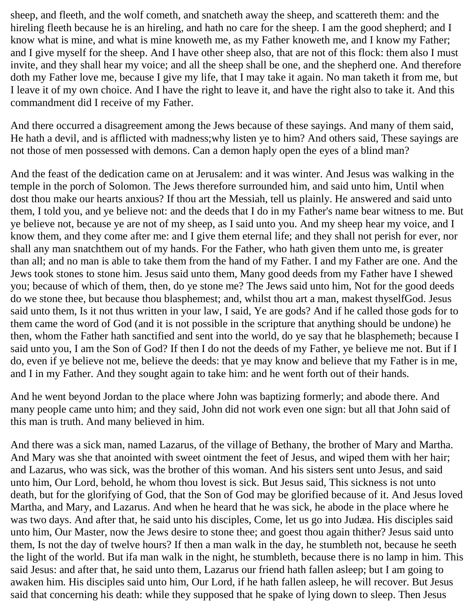sheep, and fleeth, and the wolf cometh, and snatcheth away the sheep, and scattereth them: and the hireling fleeth because he is an hireling, and hath no care for the sheep. I am the good shepherd; and I know what is mine, and what is mine knoweth me, as my Father knoweth me, and I know my Father; and I give myself for the sheep. And I have other sheep also, that are not of this flock: them also I must invite, and they shall hear my voice; and all the sheep shall be one, and the shepherd one. And therefore doth my Father love me, because I give my life, that I may take it again. No man taketh it from me, but I leave it of my own choice. And I have the right to leave it, and have the right also to take it. And this commandment did I receive of my Father.

And there occurred a disagreement among the Jews because of these sayings. And many of them said, He hath a devil, and is afflicted with madness;why listen ye to him? And others said, These sayings are not those of men possessed with demons. Can a demon haply open the eyes of a blind man?

And the feast of the dedication came on at Jerusalem: and it was winter. And Jesus was walking in the temple in the porch of Solomon. The Jews therefore surrounded him, and said unto him, Until when dost thou make our hearts anxious? If thou art the Messiah, tell us plainly. He answered and said unto them, I told you, and ye believe not: and the deeds that I do in my Father's name bear witness to me. But ye believe not, because ye are not of my sheep, as I said unto you. And my sheep hear my voice, and I know them, and they come after me: and I give them eternal life; and they shall not perish for ever, nor shall any man snatchthem out of my hands. For the Father, who hath given them unto me, is greater than all; and no man is able to take them from the hand of my Father. I and my Father are one. And the Jews took stones to stone him. Jesus said unto them, Many good deeds from my Father have I shewed you; because of which of them, then, do ye stone me? The Jews said unto him, Not for the good deeds do we stone thee, but because thou blasphemest; and, whilst thou art a man, makest thyselfGod. Jesus said unto them, Is it not thus written in your law, I said, Ye are gods? And if he called those gods for to them came the word of God (and it is not possible in the scripture that anything should be undone) he then, whom the Father hath sanctified and sent into the world, do ye say that he blasphemeth; because I said unto you, I am the Son of God? If then I do not the deeds of my Father, ye believe me not. But if I do, even if ye believe not me, believe the deeds: that ye may know and believe that my Father is in me, and I in my Father. And they sought again to take him: and he went forth out of their hands.

And he went beyond Jordan to the place where John was baptizing formerly; and abode there. And many people came unto him; and they said, John did not work even one sign: but all that John said of this man is truth. And many believed in him.

And there was a sick man, named Lazarus, of the village of Bethany, the brother of Mary and Martha. And Mary was she that anointed with sweet ointment the feet of Jesus, and wiped them with her hair; and Lazarus, who was sick, was the brother of this woman. And his sisters sent unto Jesus, and said unto him, Our Lord, behold, he whom thou lovest is sick. But Jesus said, This sickness is not unto death, but for the glorifying of God, that the Son of God may be glorified because of it. And Jesus loved Martha, and Mary, and Lazarus. And when he heard that he was sick, he abode in the place where he was two days. And after that, he said unto his disciples, Come, let us go into Judæa. His disciples said unto him, Our Master, now the Jews desire to stone thee; and goest thou again thither? Jesus said unto them, Is not the day of twelve hours? If then a man walk in the day, he stumbleth not, because he seeth the light of the world. But ifa man walk in the night, he stumbleth, because there is no lamp in him. This said Jesus: and after that, he said unto them, Lazarus our friend hath fallen asleep; but I am going to awaken him. His disciples said unto him, Our Lord, if he hath fallen asleep, he will recover. But Jesus said that concerning his death: while they supposed that he spake of lying down to sleep. Then Jesus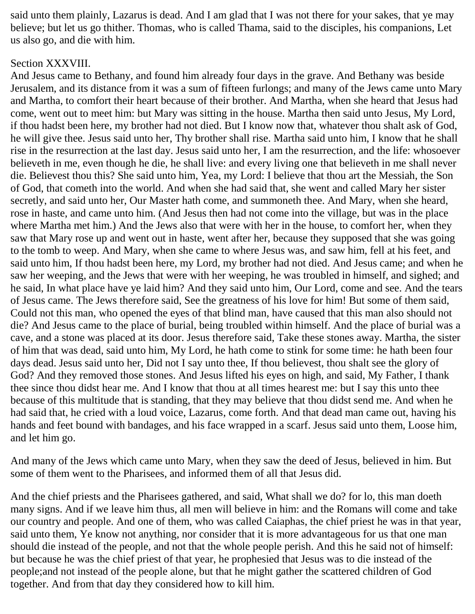said unto them plainly, Lazarus is dead. And I am glad that I was not there for your sakes, that ye may believe; but let us go thither. Thomas, who is called Thama, said to the disciples, his companions, Let us also go, and die with him.

#### Section XXXVIII.

And Jesus came to Bethany, and found him already four days in the grave. And Bethany was beside Jerusalem, and its distance from it was a sum of fifteen furlongs; and many of the Jews came unto Mary and Martha, to comfort their heart because of their brother. And Martha, when she heard that Jesus had come, went out to meet him: but Mary was sitting in the house. Martha then said unto Jesus, My Lord, if thou hadst been here, my brother had not died. But I know now that, whatever thou shalt ask of God, he will give thee. Jesus said unto her, Thy brother shall rise. Martha said unto him, I know that he shall rise in the resurrection at the last day. Jesus said unto her, I am the resurrection, and the life: whosoever believeth in me, even though he die, he shall live: and every living one that believeth in me shall never die. Believest thou this? She said unto him, Yea, my Lord: I believe that thou art the Messiah, the Son of God, that cometh into the world. And when she had said that, she went and called Mary her sister secretly, and said unto her, Our Master hath come, and summoneth thee. And Mary, when she heard, rose in haste, and came unto him. (And Jesus then had not come into the village, but was in the place where Martha met him.) And the Jews also that were with her in the house, to comfort her, when they saw that Mary rose up and went out in haste, went after her, because they supposed that she was going to the tomb to weep. And Mary, when she came to where Jesus was, and saw him, fell at his feet, and said unto him, If thou hadst been here, my Lord, my brother had not died. And Jesus came; and when he saw her weeping, and the Jews that were with her weeping, he was troubled in himself, and sighed; and he said, In what place have ye laid him? And they said unto him, Our Lord, come and see. And the tears of Jesus came. The Jews therefore said, See the greatness of his love for him! But some of them said, Could not this man, who opened the eyes of that blind man, have caused that this man also should not die? And Jesus came to the place of burial, being troubled within himself. And the place of burial was a cave, and a stone was placed at its door. Jesus therefore said, Take these stones away. Martha, the sister of him that was dead, said unto him, My Lord, he hath come to stink for some time: he hath been four days dead. Jesus said unto her, Did not I say unto thee, If thou believest, thou shalt see the glory of God? And they removed those stones. And Jesus lifted his eyes on high, and said, My Father, I thank thee since thou didst hear me. And I know that thou at all times hearest me: but I say this unto thee because of this multitude that is standing, that they may believe that thou didst send me. And when he had said that, he cried with a loud voice, Lazarus, come forth. And that dead man came out, having his hands and feet bound with bandages, and his face wrapped in a scarf. Jesus said unto them, Loose him, and let him go.

And many of the Jews which came unto Mary, when they saw the deed of Jesus, believed in him. But some of them went to the Pharisees, and informed them of all that Jesus did.

And the chief priests and the Pharisees gathered, and said, What shall we do? for lo, this man doeth many signs. And if we leave him thus, all men will believe in him: and the Romans will come and take our country and people. And one of them, who was called Caiaphas, the chief priest he was in that year, said unto them, Ye know not anything, nor consider that it is more advantageous for us that one man should die instead of the people, and not that the whole people perish. And this he said not of himself: but because he was the chief priest of that year, he prophesied that Jesus was to die instead of the people;and not instead of the people alone, but that he might gather the scattered children of God together. And from that day they considered how to kill him.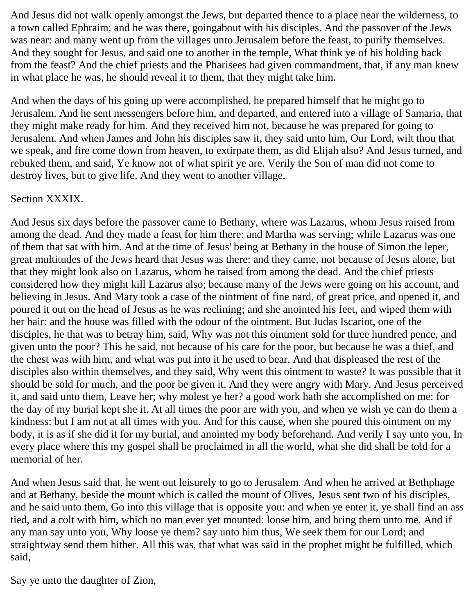And Jesus did not walk openly amongst the Jews, but departed thence to a place near the wilderness, to a town called Ephraim; and he was there, goingabout with his disciples. And the passover of the Jews was near: and many went up from the villages unto Jerusalem before the feast, to purify themselves. And they sought for Jesus, and said one to another in the temple, What think ye of his holding back from the feast? And the chief priests and the Pharisees had given commandment, that, if any man knew in what place he was, he should reveal it to them, that they might take him.

And when the days of his going up were accomplished, he prepared himself that he might go to Jerusalem. And he sent messengers before him, and departed, and entered into a village of Samaria, that they might make ready for him. And they received him not, because he was prepared for going to Jerusalem. And when James and John his disciples saw it, they said unto him, Our Lord, wilt thou that we speak, and fire come down from heaven, to extirpate them, as did Elijah also? And Jesus turned, and rebuked them, and said, Ye know not of what spirit ye are. Verily the Son of man did not come to destroy lives, but to give life. And they went to another village.

## Section XXXIX.

And Jesus six days before the passover came to Bethany, where was Lazarus, whom Jesus raised from among the dead. And they made a feast for him there: and Martha was serving; while Lazarus was one of them that sat with him. And at the time of Jesus' being at Bethany in the house of Simon the leper, great multitudes of the Jews heard that Jesus was there: and they came, not because of Jesus alone, but that they might look also on Lazarus, whom he raised from among the dead. And the chief priests considered how they might kill Lazarus also; because many of the Jews were going on his account, and believing in Jesus. And Mary took a case of the ointment of fine nard, of great price, and opened it, and poured it out on the head of Jesus as he was reclining; and she anointed his feet, and wiped them with her hair: and the house was filled with the odour of the ointment. But Judas Iscariot, one of the disciples, he that was to betray him, said, Why was not this ointment sold for three hundred pence, and given unto the poor? This he said, not because of his care for the poor, but because he was a thief, and the chest was with him, and what was put into it he used to bear. And that displeased the rest of the disciples also within themselves, and they said, Why went this ointment to waste? It was possible that it should be sold for much, and the poor be given it. And they were angry with Mary. And Jesus perceived it, and said unto them, Leave her; why molest ye her? a good work hath she accomplished on me: for the day of my burial kept she it. At all times the poor are with you, and when ye wish ye can do them a kindness: but I am not at all times with you. And for this cause, when she poured this ointment on my body, it is as if she did it for my burial, and anointed my body beforehand. And verily I say unto you, In every place where this my gospel shall be proclaimed in all the world, what she did shall be told for a memorial of her.

And when Jesus said that, he went out leisurely to go to Jerusalem. And when he arrived at Bethphage and at Bethany, beside the mount which is called the mount of Olives, Jesus sent two of his disciples, and he said unto them, Go into this village that is opposite you: and when ye enter it, ye shall find an ass tied, and a colt with him, which no man ever yet mounted: loose him, and bring them unto me. And if any man say unto you, Why loose ye them? say unto him thus, We seek them for our Lord; and straightway send them hither. All this was, that what was said in the prophet might be fulfilled, which said,

Say ye unto the daughter of Zion,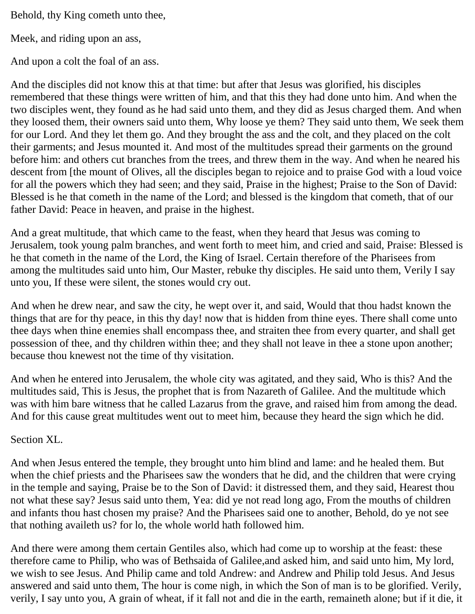Behold, thy King cometh unto thee,

Meek, and riding upon an ass,

And upon a colt the foal of an ass.

And the disciples did not know this at that time: but after that Jesus was glorified, his disciples remembered that these things were written of him, and that this they had done unto him. And when the two disciples went, they found as he had said unto them, and they did as Jesus charged them. And when they loosed them, their owners said unto them, Why loose ye them? They said unto them, We seek them for our Lord. And they let them go. And they brought the ass and the colt, and they placed on the colt their garments; and Jesus mounted it. And most of the multitudes spread their garments on the ground before him: and others cut branches from the trees, and threw them in the way. And when he neared his descent from [the mount of Olives, all the disciples began to rejoice and to praise God with a loud voice for all the powers which they had seen; and they said, Praise in the highest; Praise to the Son of David: Blessed is he that cometh in the name of the Lord; and blessed is the kingdom that cometh, that of our father David: Peace in heaven, and praise in the highest.

And a great multitude, that which came to the feast, when they heard that Jesus was coming to Jerusalem, took young palm branches, and went forth to meet him, and cried and said, Praise: Blessed is he that cometh in the name of the Lord, the King of Israel. Certain therefore of the Pharisees from among the multitudes said unto him, Our Master, rebuke thy disciples. He said unto them, Verily I say unto you, If these were silent, the stones would cry out.

And when he drew near, and saw the city, he wept over it, and said, Would that thou hadst known the things that are for thy peace, in this thy day! now that is hidden from thine eyes. There shall come unto thee days when thine enemies shall encompass thee, and straiten thee from every quarter, and shall get possession of thee, and thy children within thee; and they shall not leave in thee a stone upon another; because thou knewest not the time of thy visitation.

And when he entered into Jerusalem, the whole city was agitated, and they said, Who is this? And the multitudes said, This is Jesus, the prophet that is from Nazareth of Galilee. And the multitude which was with him bare witness that he called Lazarus from the grave, and raised him from among the dead. And for this cause great multitudes went out to meet him, because they heard the sign which he did.

## Section XL.

And when Jesus entered the temple, they brought unto him blind and lame: and he healed them. But when the chief priests and the Pharisees saw the wonders that he did, and the children that were crying in the temple and saying, Praise be to the Son of David: it distressed them, and they said, Hearest thou not what these say? Jesus said unto them, Yea: did ye not read long ago, From the mouths of children and infants thou hast chosen my praise? And the Pharisees said one to another, Behold, do ye not see that nothing availeth us? for lo, the whole world hath followed him.

And there were among them certain Gentiles also, which had come up to worship at the feast: these therefore came to Philip, who was of Bethsaida of Galilee,and asked him, and said unto him, My lord, we wish to see Jesus. And Philip came and told Andrew: and Andrew and Philip told Jesus. And Jesus answered and said unto them, The hour is come nigh, in which the Son of man is to be glorified. Verily, verily, I say unto you, A grain of wheat, if it fall not and die in the earth, remaineth alone; but if it die, it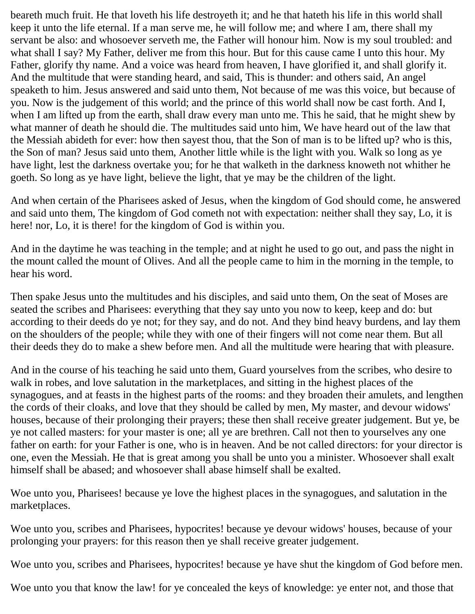beareth much fruit. He that loveth his life destroyeth it; and he that hateth his life in this world shall keep it unto the life eternal. If a man serve me, he will follow me; and where I am, there shall my servant be also: and whosoever serveth me, the Father will honour him. Now is my soul troubled: and what shall I say? My Father, deliver me from this hour. But for this cause came I unto this hour. My Father, glorify thy name. And a voice was heard from heaven, I have glorified it, and shall glorify it. And the multitude that were standing heard, and said, This is thunder: and others said, An angel speaketh to him. Jesus answered and said unto them, Not because of me was this voice, but because of you. Now is the judgement of this world; and the prince of this world shall now be cast forth. And I, when I am lifted up from the earth, shall draw every man unto me. This he said, that he might shew by what manner of death he should die. The multitudes said unto him, We have heard out of the law that the Messiah abideth for ever: how then sayest thou, that the Son of man is to be lifted up? who is this, the Son of man? Jesus said unto them, Another little while is the light with you. Walk so long as ye have light, lest the darkness overtake you; for he that walketh in the darkness knoweth not whither he goeth. So long as ye have light, believe the light, that ye may be the children of the light.

And when certain of the Pharisees asked of Jesus, when the kingdom of God should come, he answered and said unto them, The kingdom of God cometh not with expectation: neither shall they say, Lo, it is here! nor, Lo, it is there! for the kingdom of God is within you.

And in the daytime he was teaching in the temple; and at night he used to go out, and pass the night in the mount called the mount of Olives. And all the people came to him in the morning in the temple, to hear his word.

Then spake Jesus unto the multitudes and his disciples, and said unto them, On the seat of Moses are seated the scribes and Pharisees: everything that they say unto you now to keep, keep and do: but according to their deeds do ye not; for they say, and do not. And they bind heavy burdens, and lay them on the shoulders of the people; while they with one of their fingers will not come near them. But all their deeds they do to make a shew before men. And all the multitude were hearing that with pleasure.

And in the course of his teaching he said unto them, Guard yourselves from the scribes, who desire to walk in robes, and love salutation in the marketplaces, and sitting in the highest places of the synagogues, and at feasts in the highest parts of the rooms: and they broaden their amulets, and lengthen the cords of their cloaks, and love that they should be called by men, My master, and devour widows' houses, because of their prolonging their prayers; these then shall receive greater judgement. But ye, be ye not called masters: for your master is one; all ye are brethren. Call not then to yourselves any one father on earth: for your Father is one, who is in heaven. And be not called directors: for your director is one, even the Messiah. He that is great among you shall be unto you a minister. Whosoever shall exalt himself shall be abased; and whosoever shall abase himself shall be exalted.

Woe unto you, Pharisees! because ye love the highest places in the synagogues, and salutation in the marketplaces.

Woe unto you, scribes and Pharisees, hypocrites! because ye devour widows' houses, because of your prolonging your prayers: for this reason then ye shall receive greater judgement.

Woe unto you, scribes and Pharisees, hypocrites! because ye have shut the kingdom of God before men.

Woe unto you that know the law! for ye concealed the keys of knowledge: ye enter not, and those that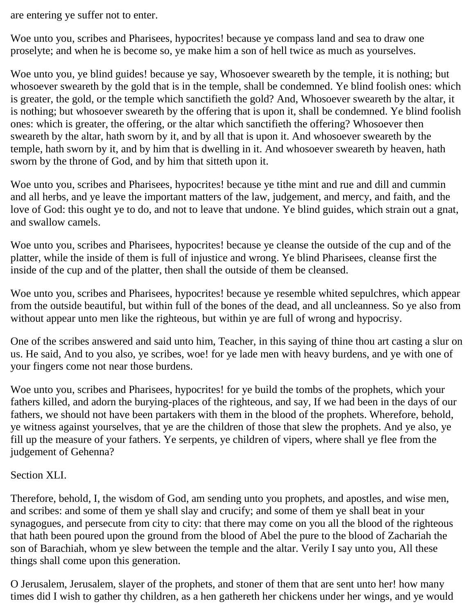are entering ye suffer not to enter.

Woe unto you, scribes and Pharisees, hypocrites! because ye compass land and sea to draw one proselyte; and when he is become so, ye make him a son of hell twice as much as yourselves.

Woe unto you, ye blind guides! because ye say, Whosoever sweareth by the temple, it is nothing; but whosoever sweareth by the gold that is in the temple, shall be condemned. Ye blind foolish ones: which is greater, the gold, or the temple which sanctifieth the gold? And, Whosoever sweareth by the altar, it is nothing; but whosoever sweareth by the offering that is upon it, shall be condemned. Ye blind foolish ones: which is greater, the offering, or the altar which sanctifieth the offering? Whosoever then sweareth by the altar, hath sworn by it, and by all that is upon it. And whosoever sweareth by the temple, hath sworn by it, and by him that is dwelling in it. And whosoever sweareth by heaven, hath sworn by the throne of God, and by him that sitteth upon it.

Woe unto you, scribes and Pharisees, hypocrites! because ye tithe mint and rue and dill and cummin and all herbs, and ye leave the important matters of the law, judgement, and mercy, and faith, and the love of God: this ought ye to do, and not to leave that undone. Ye blind guides, which strain out a gnat, and swallow camels.

Woe unto you, scribes and Pharisees, hypocrites! because ye cleanse the outside of the cup and of the platter, while the inside of them is full of injustice and wrong. Ye blind Pharisees, cleanse first the inside of the cup and of the platter, then shall the outside of them be cleansed.

Woe unto you, scribes and Pharisees, hypocrites! because ye resemble whited sepulchres, which appear from the outside beautiful, but within full of the bones of the dead, and all uncleanness. So ye also from without appear unto men like the righteous, but within ye are full of wrong and hypocrisy.

One of the scribes answered and said unto him, Teacher, in this saying of thine thou art casting a slur on us. He said, And to you also, ye scribes, woe! for ye lade men with heavy burdens, and ye with one of your fingers come not near those burdens.

Woe unto you, scribes and Pharisees, hypocrites! for ye build the tombs of the prophets, which your fathers killed, and adorn the burying-places of the righteous, and say, If we had been in the days of our fathers, we should not have been partakers with them in the blood of the prophets. Wherefore, behold, ye witness against yourselves, that ye are the children of those that slew the prophets. And ye also, ye fill up the measure of your fathers. Ye serpents, ye children of vipers, where shall ye flee from the judgement of Gehenna?

## Section XLI.

Therefore, behold, I, the wisdom of God, am sending unto you prophets, and apostles, and wise men, and scribes: and some of them ye shall slay and crucify; and some of them ye shall beat in your synagogues, and persecute from city to city: that there may come on you all the blood of the righteous that hath been poured upon the ground from the blood of Abel the pure to the blood of Zachariah the son of Barachiah, whom ye slew between the temple and the altar. Verily I say unto you, All these things shall come upon this generation.

O Jerusalem, Jerusalem, slayer of the prophets, and stoner of them that are sent unto her! how many times did I wish to gather thy children, as a hen gathereth her chickens under her wings, and ye would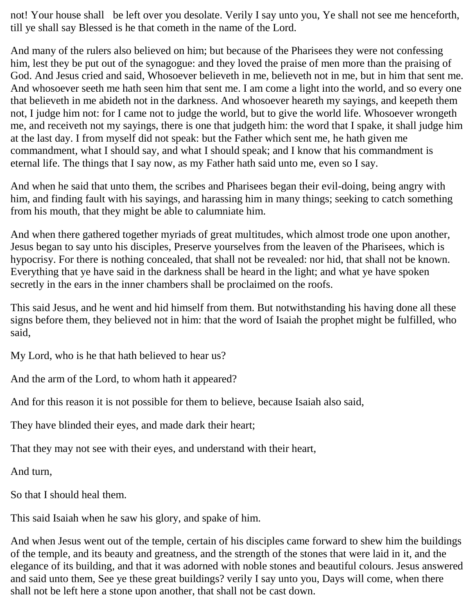not! Your house shall be left over you desolate. Verily I say unto you, Ye shall not see me henceforth, till ye shall say Blessed is he that cometh in the name of the Lord.

And many of the rulers also believed on him; but because of the Pharisees they were not confessing him, lest they be put out of the synagogue: and they loved the praise of men more than the praising of God. And Jesus cried and said, Whosoever believeth in me, believeth not in me, but in him that sent me. And whosoever seeth me hath seen him that sent me. I am come a light into the world, and so every one that believeth in me abideth not in the darkness. And whosoever heareth my sayings, and keepeth them not, I judge him not: for I came not to judge the world, but to give the world life. Whosoever wrongeth me, and receiveth not my sayings, there is one that judgeth him: the word that I spake, it shall judge him at the last day. I from myself did not speak: but the Father which sent me, he hath given me commandment, what I should say, and what I should speak; and I know that his commandment is eternal life. The things that I say now, as my Father hath said unto me, even so I say.

And when he said that unto them, the scribes and Pharisees began their evil-doing, being angry with him, and finding fault with his sayings, and harassing him in many things; seeking to catch something from his mouth, that they might be able to calumniate him.

And when there gathered together myriads of great multitudes, which almost trode one upon another, Jesus began to say unto his disciples, Preserve yourselves from the leaven of the Pharisees, which is hypocrisy. For there is nothing concealed, that shall not be revealed: nor hid, that shall not be known. Everything that ye have said in the darkness shall be heard in the light; and what ye have spoken secretly in the ears in the inner chambers shall be proclaimed on the roofs.

This said Jesus, and he went and hid himself from them. But notwithstanding his having done all these signs before them, they believed not in him: that the word of Isaiah the prophet might be fulfilled, who said,

My Lord, who is he that hath believed to hear us?

And the arm of the Lord, to whom hath it appeared?

And for this reason it is not possible for them to believe, because Isaiah also said,

They have blinded their eyes, and made dark their heart;

That they may not see with their eyes, and understand with their heart,

And turn,

So that I should heal them.

This said Isaiah when he saw his glory, and spake of him.

And when Jesus went out of the temple, certain of his disciples came forward to shew him the buildings of the temple, and its beauty and greatness, and the strength of the stones that were laid in it, and the elegance of its building, and that it was adorned with noble stones and beautiful colours. Jesus answered and said unto them, See ye these great buildings? verily I say unto you, Days will come, when there shall not be left here a stone upon another, that shall not be cast down.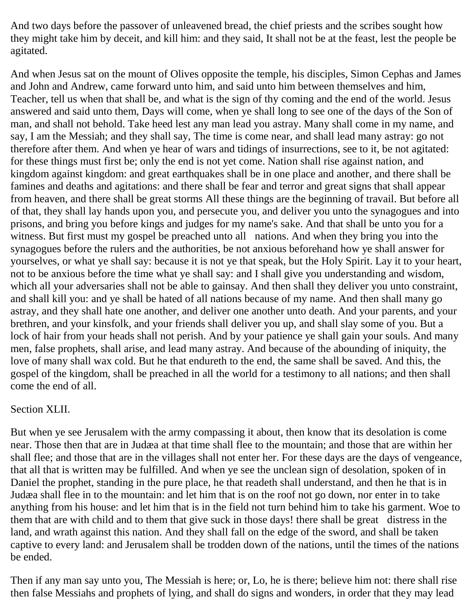And two days before the passover of unleavened bread, the chief priests and the scribes sought how they might take him by deceit, and kill him: and they said, It shall not be at the feast, lest the people be agitated.

And when Jesus sat on the mount of Olives opposite the temple, his disciples, Simon Cephas and James and John and Andrew, came forward unto him, and said unto him between themselves and him, Teacher, tell us when that shall be, and what is the sign of thy coming and the end of the world. Jesus answered and said unto them, Days will come, when ye shall long to see one of the days of the Son of man, and shall not behold. Take heed lest any man lead you astray. Many shall come in my name, and say, I am the Messiah; and they shall say, The time is come near, and shall lead many astray: go not therefore after them. And when ye hear of wars and tidings of insurrections, see to it, be not agitated: for these things must first be; only the end is not yet come. Nation shall rise against nation, and kingdom against kingdom: and great earthquakes shall be in one place and another, and there shall be famines and deaths and agitations: and there shall be fear and terror and great signs that shall appear from heaven, and there shall be great storms All these things are the beginning of travail. But before all of that, they shall lay hands upon you, and persecute you, and deliver you unto the synagogues and into prisons, and bring you before kings and judges for my name's sake. And that shall be unto you for a witness. But first must my gospel be preached unto all nations. And when they bring you into the synagogues before the rulers and the authorities, be not anxious beforehand how ye shall answer for yourselves, or what ye shall say: because it is not ye that speak, but the Holy Spirit. Lay it to your heart, not to be anxious before the time what ye shall say: and I shall give you understanding and wisdom, which all your adversaries shall not be able to gainsay. And then shall they deliver you unto constraint, and shall kill you: and ye shall be hated of all nations because of my name. And then shall many go astray, and they shall hate one another, and deliver one another unto death. And your parents, and your brethren, and your kinsfolk, and your friends shall deliver you up, and shall slay some of you. But a lock of hair from your heads shall not perish. And by your patience ye shall gain your souls. And many men, false prophets, shall arise, and lead many astray. And because of the abounding of iniquity, the love of many shall wax cold. But he that endureth to the end, the same shall be saved. And this, the gospel of the kingdom, shall be preached in all the world for a testimony to all nations; and then shall come the end of all.

## Section XLII.

But when ye see Jerusalem with the army compassing it about, then know that its desolation is come near. Those then that are in Judæa at that time shall flee to the mountain; and those that are within her shall flee; and those that are in the villages shall not enter her. For these days are the days of vengeance, that all that is written may be fulfilled. And when ye see the unclean sign of desolation, spoken of in Daniel the prophet, standing in the pure place, he that readeth shall understand, and then he that is in Judæa shall flee in to the mountain: and let him that is on the roof not go down, nor enter in to take anything from his house: and let him that is in the field not turn behind him to take his garment. Woe to them that are with child and to them that give suck in those days! there shall be great distress in the land, and wrath against this nation. And they shall fall on the edge of the sword, and shall be taken captive to every land: and Jerusalem shall be trodden down of the nations, until the times of the nations be ended.

Then if any man say unto you, The Messiah is here; or, Lo, he is there; believe him not: there shall rise then false Messiahs and prophets of lying, and shall do signs and wonders, in order that they may lead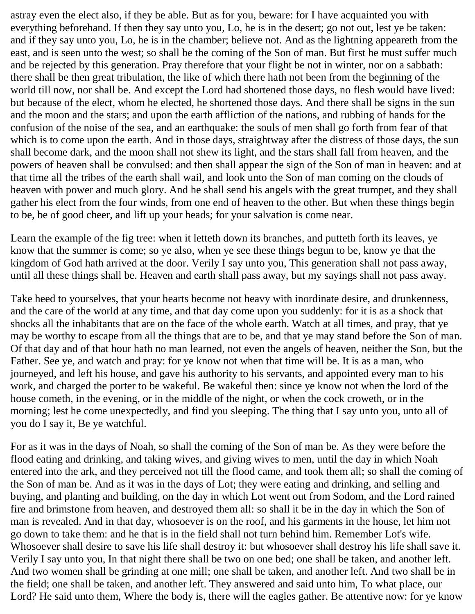astray even the elect also, if they be able. But as for you, beware: for I have acquainted you with everything beforehand. If then they say unto you, Lo, he is in the desert; go not out, lest ye be taken: and if they say unto you, Lo, he is in the chamber; believe not. And as the lightning appeareth from the east, and is seen unto the west; so shall be the coming of the Son of man. But first he must suffer much and be rejected by this generation. Pray therefore that your flight be not in winter, nor on a sabbath: there shall be then great tribulation, the like of which there hath not been from the beginning of the world till now, nor shall be. And except the Lord had shortened those days, no flesh would have lived: but because of the elect, whom he elected, he shortened those days. And there shall be signs in the sun and the moon and the stars; and upon the earth affliction of the nations, and rubbing of hands for the confusion of the noise of the sea, and an earthquake: the souls of men shall go forth from fear of that which is to come upon the earth. And in those days, straightway after the distress of those days, the sun shall become dark, and the moon shall not shew its light, and the stars shall fall from heaven, and the powers of heaven shall be convulsed: and then shall appear the sign of the Son of man in heaven: and at that time all the tribes of the earth shall wail, and look unto the Son of man coming on the clouds of heaven with power and much glory. And he shall send his angels with the great trumpet, and they shall gather his elect from the four winds, from one end of heaven to the other. But when these things begin to be, be of good cheer, and lift up your heads; for your salvation is come near.

Learn the example of the fig tree: when it letteth down its branches, and putteth forth its leaves, ye know that the summer is come; so ye also, when ye see these things begun to be, know ye that the kingdom of God hath arrived at the door. Verily I say unto you, This generation shall not pass away, until all these things shall be. Heaven and earth shall pass away, but my sayings shall not pass away.

Take heed to yourselves, that your hearts become not heavy with inordinate desire, and drunkenness, and the care of the world at any time, and that day come upon you suddenly: for it is as a shock that shocks all the inhabitants that are on the face of the whole earth. Watch at all times, and pray, that ye may be worthy to escape from all the things that are to be, and that ye may stand before the Son of man. Of that day and of that hour hath no man learned, not even the angels of heaven, neither the Son, but the Father. See ye, and watch and pray: for ye know not when that time will be. It is as a man, who journeyed, and left his house, and gave his authority to his servants, and appointed every man to his work, and charged the porter to be wakeful. Be wakeful then: since ye know not when the lord of the house cometh, in the evening, or in the middle of the night, or when the cock croweth, or in the morning; lest he come unexpectedly, and find you sleeping. The thing that I say unto you, unto all of you do I say it, Be ye watchful.

For as it was in the days of Noah, so shall the coming of the Son of man be. As they were before the flood eating and drinking, and taking wives, and giving wives to men, until the day in which Noah entered into the ark, and they perceived not till the flood came, and took them all; so shall the coming of the Son of man be. And as it was in the days of Lot; they were eating and drinking, and selling and buying, and planting and building, on the day in which Lot went out from Sodom, and the Lord rained fire and brimstone from heaven, and destroyed them all: so shall it be in the day in which the Son of man is revealed. And in that day, whosoever is on the roof, and his garments in the house, let him not go down to take them: and he that is in the field shall not turn behind him. Remember Lot's wife. Whosoever shall desire to save his life shall destroy it: but whosoever shall destroy his life shall save it. Verily I say unto you, In that night there shall be two on one bed; one shall be taken, and another left. And two women shall be grinding at one mill; one shall be taken, and another left. And two shall be in the field; one shall be taken, and another left. They answered and said unto him, To what place, our Lord? He said unto them, Where the body is, there will the eagles gather. Be attentive now: for ye know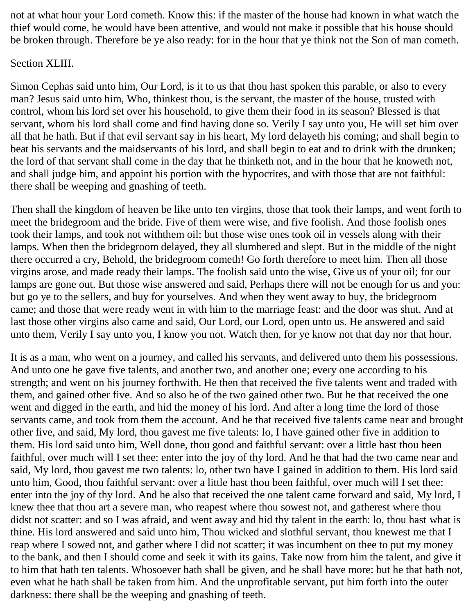not at what hour your Lord cometh. Know this: if the master of the house had known in what watch the thief would come, he would have been attentive, and would not make it possible that his house should be broken through. Therefore be ye also ready: for in the hour that ye think not the Son of man cometh.

## Section XLIII.

Simon Cephas said unto him, Our Lord, is it to us that thou hast spoken this parable, or also to every man? Jesus said unto him, Who, thinkest thou, is the servant, the master of the house, trusted with control, whom his lord set over his household, to give them their food in its season? Blessed is that servant, whom his lord shall come and find having done so. Verily I say unto you, He will set him over all that he hath. But if that evil servant say in his heart, My lord delayeth his coming; and shall begin to beat his servants and the maidservants of his lord, and shall begin to eat and to drink with the drunken; the lord of that servant shall come in the day that he thinketh not, and in the hour that he knoweth not, and shall judge him, and appoint his portion with the hypocrites, and with those that are not faithful: there shall be weeping and gnashing of teeth.

Then shall the kingdom of heaven be like unto ten virgins, those that took their lamps, and went forth to meet the bridegroom and the bride. Five of them were wise, and five foolish. And those foolish ones took their lamps, and took not withthem oil: but those wise ones took oil in vessels along with their lamps. When then the bridegroom delayed, they all slumbered and slept. But in the middle of the night there occurred a cry, Behold, the bridegroom cometh! Go forth therefore to meet him. Then all those virgins arose, and made ready their lamps. The foolish said unto the wise, Give us of your oil; for our lamps are gone out. But those wise answered and said, Perhaps there will not be enough for us and you: but go ye to the sellers, and buy for yourselves. And when they went away to buy, the bridegroom came; and those that were ready went in with him to the marriage feast: and the door was shut. And at last those other virgins also came and said, Our Lord, our Lord, open unto us. He answered and said unto them, Verily I say unto you, I know you not. Watch then, for ye know not that day nor that hour.

It is as a man, who went on a journey, and called his servants, and delivered unto them his possessions. And unto one he gave five talents, and another two, and another one; every one according to his strength; and went on his journey forthwith. He then that received the five talents went and traded with them, and gained other five. And so also he of the two gained other two. But he that received the one went and digged in the earth, and hid the money of his lord. And after a long time the lord of those servants came, and took from them the account. And he that received five talents came near and brought other five, and said, My lord, thou gavest me five talents: lo, I have gained other five in addition to them. His lord said unto him, Well done, thou good and faithful servant: over a little hast thou been faithful, over much will I set thee: enter into the joy of thy lord. And he that had the two came near and said, My lord, thou gavest me two talents: lo, other two have I gained in addition to them. His lord said unto him, Good, thou faithful servant: over a little hast thou been faithful, over much will I set thee: enter into the joy of thy lord. And he also that received the one talent came forward and said, My lord, I knew thee that thou art a severe man, who reapest where thou sowest not, and gatherest where thou didst not scatter: and so I was afraid, and went away and hid thy talent in the earth: lo, thou hast what is thine. His lord answered and said unto him, Thou wicked and slothful servant, thou knewest me that I reap where I sowed not, and gather where I did not scatter; it was incumbent on thee to put my money to the bank, and then I should come and seek it with its gains. Take now from him the talent, and give it to him that hath ten talents. Whosoever hath shall be given, and he shall have more: but he that hath not, even what he hath shall be taken from him. And the unprofitable servant, put him forth into the outer darkness: there shall be the weeping and gnashing of teeth.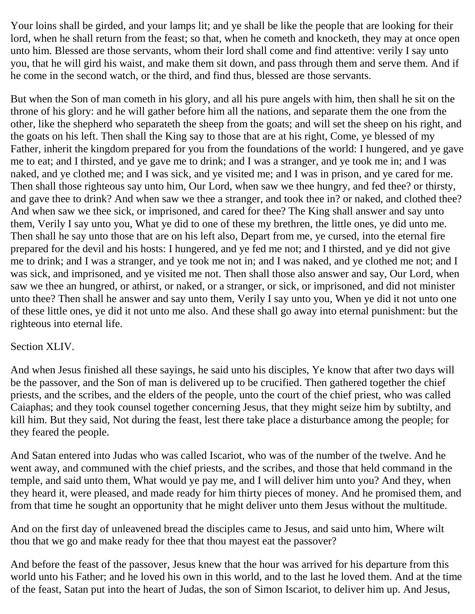Your loins shall be girded, and your lamps lit; and ye shall be like the people that are looking for their lord, when he shall return from the feast; so that, when he cometh and knocketh, they may at once open unto him. Blessed are those servants, whom their lord shall come and find attentive: verily I say unto you, that he will gird his waist, and make them sit down, and pass through them and serve them. And if he come in the second watch, or the third, and find thus, blessed are those servants.

But when the Son of man cometh in his glory, and all his pure angels with him, then shall he sit on the throne of his glory: and he will gather before him all the nations, and separate them the one from the other, like the shepherd who separateth the sheep from the goats; and will set the sheep on his right, and the goats on his left. Then shall the King say to those that are at his right, Come, ye blessed of my Father, inherit the kingdom prepared for you from the foundations of the world: I hungered, and ye gave me to eat; and I thirsted, and ye gave me to drink; and I was a stranger, and ye took me in; and I was naked, and ye clothed me; and I was sick, and ye visited me; and I was in prison, and ye cared for me. Then shall those righteous say unto him, Our Lord, when saw we thee hungry, and fed thee? or thirsty, and gave thee to drink? And when saw we thee a stranger, and took thee in? or naked, and clothed thee? And when saw we thee sick, or imprisoned, and cared for thee? The King shall answer and say unto them, Verily I say unto you, What ye did to one of these my brethren, the little ones, ye did unto me. Then shall he say unto those that are on his left also, Depart from me, ye cursed, into the eternal fire prepared for the devil and his hosts: I hungered, and ye fed me not; and I thirsted, and ye did not give me to drink; and I was a stranger, and ye took me not in; and I was naked, and ye clothed me not; and I was sick, and imprisoned, and ye visited me not. Then shall those also answer and say, Our Lord, when saw we thee an hungred, or athirst, or naked, or a stranger, or sick, or imprisoned, and did not minister unto thee? Then shall he answer and say unto them, Verily I say unto you, When ye did it not unto one of these little ones, ye did it not unto me also. And these shall go away into eternal punishment: but the righteous into eternal life.

## Section XLIV.

And when Jesus finished all these sayings, he said unto his disciples, Ye know that after two days will be the passover, and the Son of man is delivered up to be crucified. Then gathered together the chief priests, and the scribes, and the elders of the people, unto the court of the chief priest, who was called Caiaphas; and they took counsel together concerning Jesus, that they might seize him by subtilty, and kill him. But they said, Not during the feast, lest there take place a disturbance among the people; for they feared the people.

And Satan entered into Judas who was called Iscariot, who was of the number of the twelve. And he went away, and communed with the chief priests, and the scribes, and those that held command in the temple, and said unto them, What would ye pay me, and I will deliver him unto you? And they, when they heard it, were pleased, and made ready for him thirty pieces of money. And he promised them, and from that time he sought an opportunity that he might deliver unto them Jesus without the multitude.

And on the first day of unleavened bread the disciples came to Jesus, and said unto him, Where wilt thou that we go and make ready for thee that thou mayest eat the passover?

And before the feast of the passover, Jesus knew that the hour was arrived for his departure from this world unto his Father; and he loved his own in this world, and to the last he loved them. And at the time of the feast, Satan put into the heart of Judas, the son of Simon Iscariot, to deliver him up. And Jesus,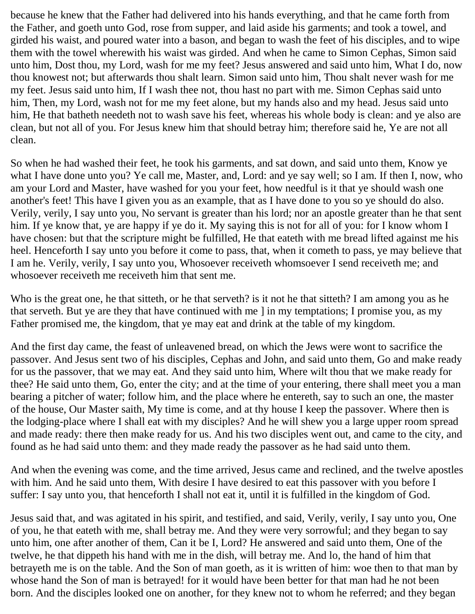because he knew that the Father had delivered into his hands everything, and that he came forth from the Father, and goeth unto God, rose from supper, and laid aside his garments; and took a towel, and girded his waist, and poured water into a bason, and began to wash the feet of his disciples, and to wipe them with the towel wherewith his waist was girded. And when he came to Simon Cephas, Simon said unto him, Dost thou, my Lord, wash for me my feet? Jesus answered and said unto him, What I do, now thou knowest not; but afterwards thou shalt learn. Simon said unto him, Thou shalt never wash for me my feet. Jesus said unto him, If I wash thee not, thou hast no part with me. Simon Cephas said unto him, Then, my Lord, wash not for me my feet alone, but my hands also and my head. Jesus said unto him, He that batheth needeth not to wash save his feet, whereas his whole body is clean: and ye also are clean, but not all of you. For Jesus knew him that should betray him; therefore said he, Ye are not all clean.

So when he had washed their feet, he took his garments, and sat down, and said unto them, Know ye what I have done unto you? Ye call me, Master, and, Lord: and ye say well; so I am. If then I, now, who am your Lord and Master, have washed for you your feet, how needful is it that ye should wash one another's feet! This have I given you as an example, that as I have done to you so ye should do also. Verily, verily, I say unto you, No servant is greater than his lord; nor an apostle greater than he that sent him. If ye know that, ye are happy if ye do it. My saying this is not for all of you: for I know whom I have chosen: but that the scripture might be fulfilled, He that eateth with me bread lifted against me his heel. Henceforth I say unto you before it come to pass, that, when it cometh to pass, ye may believe that I am he. Verily, verily, I say unto you, Whosoever receiveth whomsoever I send receiveth me; and whosoever receiveth me receiveth him that sent me.

Who is the great one, he that sitteth, or he that serveth? is it not he that sitteth? I am among you as he that serveth. But ye are they that have continued with me ] in my temptations; I promise you, as my Father promised me, the kingdom, that ye may eat and drink at the table of my kingdom.

And the first day came, the feast of unleavened bread, on which the Jews were wont to sacrifice the passover. And Jesus sent two of his disciples, Cephas and John, and said unto them, Go and make ready for us the passover, that we may eat. And they said unto him, Where wilt thou that we make ready for thee? He said unto them, Go, enter the city; and at the time of your entering, there shall meet you a man bearing a pitcher of water; follow him, and the place where he entereth, say to such an one, the master of the house, Our Master saith, My time is come, and at thy house I keep the passover. Where then is the lodging-place where I shall eat with my disciples? And he will shew you a large upper room spread and made ready: there then make ready for us. And his two disciples went out, and came to the city, and found as he had said unto them: and they made ready the passover as he had said unto them.

And when the evening was come, and the time arrived, Jesus came and reclined, and the twelve apostles with him. And he said unto them, With desire I have desired to eat this passover with you before I suffer: I say unto you, that henceforth I shall not eat it, until it is fulfilled in the kingdom of God.

Jesus said that, and was agitated in his spirit, and testified, and said, Verily, verily, I say unto you, One of you, he that eateth with me, shall betray me. And they were very sorrowful; and they began to say unto him, one after another of them, Can it be I, Lord? He answered and said unto them, One of the twelve, he that dippeth his hand with me in the dish, will betray me. And lo, the hand of him that betrayeth me is on the table. And the Son of man goeth, as it is written of him: woe then to that man by whose hand the Son of man is betrayed! for it would have been better for that man had he not been born. And the disciples looked one on another, for they knew not to whom he referred; and they began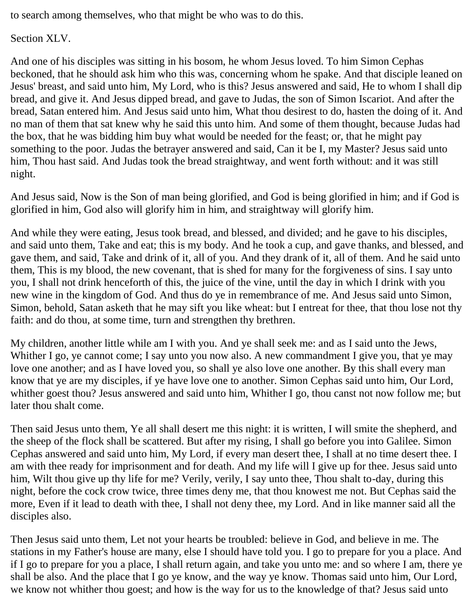to search among themselves, who that might be who was to do this.

## Section XLV.

And one of his disciples was sitting in his bosom, he whom Jesus loved. To him Simon Cephas beckoned, that he should ask him who this was, concerning whom he spake. And that disciple leaned on Jesus' breast, and said unto him, My Lord, who is this? Jesus answered and said, He to whom I shall dip bread, and give it. And Jesus dipped bread, and gave to Judas, the son of Simon Iscariot. And after the bread, Satan entered him. And Jesus said unto him, What thou desirest to do, hasten the doing of it. And no man of them that sat knew why he said this unto him. And some of them thought, because Judas had the box, that he was bidding him buy what would be needed for the feast; or, that he might pay something to the poor. Judas the betrayer answered and said, Can it be I, my Master? Jesus said unto him, Thou hast said. And Judas took the bread straightway, and went forth without: and it was still night.

And Jesus said, Now is the Son of man being glorified, and God is being glorified in him; and if God is glorified in him, God also will glorify him in him, and straightway will glorify him.

And while they were eating, Jesus took bread, and blessed, and divided; and he gave to his disciples, and said unto them, Take and eat; this is my body. And he took a cup, and gave thanks, and blessed, and gave them, and said, Take and drink of it, all of you. And they drank of it, all of them. And he said unto them, This is my blood, the new covenant, that is shed for many for the forgiveness of sins. I say unto you, I shall not drink henceforth of this, the juice of the vine, until the day in which I drink with you new wine in the kingdom of God. And thus do ye in remembrance of me. And Jesus said unto Simon, Simon, behold, Satan asketh that he may sift you like wheat: but I entreat for thee, that thou lose not thy faith: and do thou, at some time, turn and strengthen thy brethren.

My children, another little while am I with you. And ye shall seek me: and as I said unto the Jews, Whither I go, ye cannot come; I say unto you now also. A new commandment I give you, that ye may love one another; and as I have loved you, so shall ye also love one another. By this shall every man know that ye are my disciples, if ye have love one to another. Simon Cephas said unto him, Our Lord, whither goest thou? Jesus answered and said unto him, Whither I go, thou canst not now follow me; but later thou shalt come.

Then said Jesus unto them, Ye all shall desert me this night: it is written, I will smite the shepherd, and the sheep of the flock shall be scattered. But after my rising, I shall go before you into Galilee. Simon Cephas answered and said unto him, My Lord, if every man desert thee, I shall at no time desert thee. I am with thee ready for imprisonment and for death. And my life will I give up for thee. Jesus said unto him, Wilt thou give up thy life for me? Verily, verily, I say unto thee, Thou shalt to-day, during this night, before the cock crow twice, three times deny me, that thou knowest me not. But Cephas said the more, Even if it lead to death with thee, I shall not deny thee, my Lord. And in like manner said all the disciples also.

Then Jesus said unto them, Let not your hearts be troubled: believe in God, and believe in me. The stations in my Father's house are many, else I should have told you. I go to prepare for you a place. And if I go to prepare for you a place, I shall return again, and take you unto me: and so where I am, there ye shall be also. And the place that I go ye know, and the way ye know. Thomas said unto him, Our Lord, we know not whither thou goest; and how is the way for us to the knowledge of that? Jesus said unto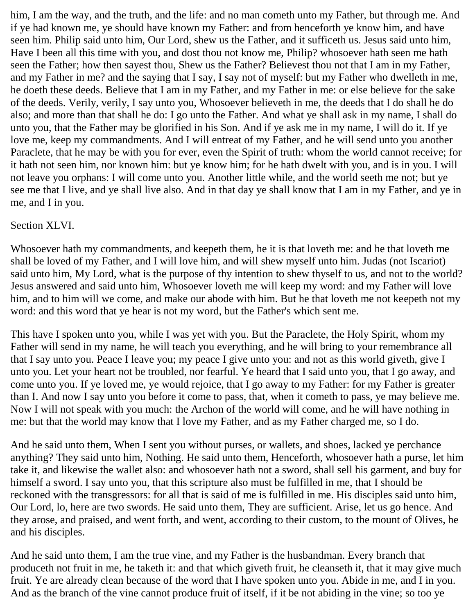him, I am the way, and the truth, and the life: and no man cometh unto my Father, but through me. And if ye had known me, ye should have known my Father: and from henceforth ye know him, and have seen him. Philip said unto him, Our Lord, shew us the Father, and it sufficeth us. Jesus said unto him, Have I been all this time with you, and dost thou not know me, Philip? whosoever hath seen me hath seen the Father; how then sayest thou, Shew us the Father? Believest thou not that I am in my Father, and my Father in me? and the saying that I say, I say not of myself: but my Father who dwelleth in me, he doeth these deeds. Believe that I am in my Father, and my Father in me: or else believe for the sake of the deeds. Verily, verily, I say unto you, Whosoever believeth in me, the deeds that I do shall he do also; and more than that shall he do: I go unto the Father. And what ye shall ask in my name, I shall do unto you, that the Father may be glorified in his Son. And if ye ask me in my name, I will do it. If ye love me, keep my commandments. And I will entreat of my Father, and he will send unto you another Paraclete, that he may be with you for ever, even the Spirit of truth: whom the world cannot receive; for it hath not seen him, nor known him: but ye know him; for he hath dwelt with you, and is in you. I will not leave you orphans: I will come unto you. Another little while, and the world seeth me not; but ye see me that I live, and ye shall live also. And in that day ye shall know that I am in my Father, and ye in me, and I in you.

## Section XLVI.

Whosoever hath my commandments, and keepeth them, he it is that loveth me: and he that loveth me shall be loved of my Father, and I will love him, and will shew myself unto him. Judas (not Iscariot) said unto him, My Lord, what is the purpose of thy intention to shew thyself to us, and not to the world? Jesus answered and said unto him, Whosoever loveth me will keep my word: and my Father will love him, and to him will we come, and make our abode with him. But he that loveth me not keepeth not my word: and this word that ye hear is not my word, but the Father's which sent me.

This have I spoken unto you, while I was yet with you. But the Paraclete, the Holy Spirit, whom my Father will send in my name, he will teach you everything, and he will bring to your remembrance all that I say unto you. Peace I leave you; my peace I give unto you: and not as this world giveth, give I unto you. Let your heart not be troubled, nor fearful. Ye heard that I said unto you, that I go away, and come unto you. If ye loved me, ye would rejoice, that I go away to my Father: for my Father is greater than I. And now I say unto you before it come to pass, that, when it cometh to pass, ye may believe me. Now I will not speak with you much: the Archon of the world will come, and he will have nothing in me: but that the world may know that I love my Father, and as my Father charged me, so I do.

And he said unto them, When I sent you without purses, or wallets, and shoes, lacked ye perchance anything? They said unto him, Nothing. He said unto them, Henceforth, whosoever hath a purse, let him take it, and likewise the wallet also: and whosoever hath not a sword, shall sell his garment, and buy for himself a sword. I say unto you, that this scripture also must be fulfilled in me, that I should be reckoned with the transgressors: for all that is said of me is fulfilled in me. His disciples said unto him, Our Lord, lo, here are two swords. He said unto them, They are sufficient. Arise, let us go hence. And they arose, and praised, and went forth, and went, according to their custom, to the mount of Olives, he and his disciples.

And he said unto them, I am the true vine, and my Father is the husbandman. Every branch that produceth not fruit in me, he taketh it: and that which giveth fruit, he cleanseth it, that it may give much fruit. Ye are already clean because of the word that I have spoken unto you. Abide in me, and I in you. And as the branch of the vine cannot produce fruit of itself, if it be not abiding in the vine; so too ye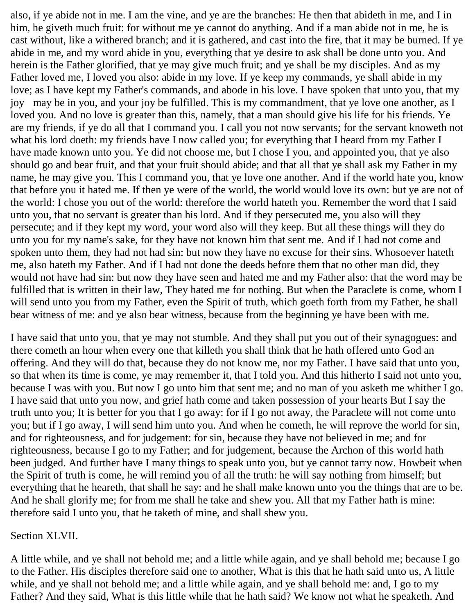also, if ye abide not in me. I am the vine, and ye are the branches: He then that abideth in me, and I in him, he giveth much fruit: for without me ye cannot do anything. And if a man abide not in me, he is cast without, like a withered branch; and it is gathered, and cast into the fire, that it may be burned. If ye abide in me, and my word abide in you, everything that ye desire to ask shall be done unto you. And herein is the Father glorified, that ye may give much fruit; and ye shall be my disciples. And as my Father loved me, I loved you also: abide in my love. If ye keep my commands, ye shall abide in my love; as I have kept my Father's commands, and abode in his love. I have spoken that unto you, that my joy may be in you, and your joy be fulfilled. This is my commandment, that ye love one another, as I loved you. And no love is greater than this, namely, that a man should give his life for his friends. Ye are my friends, if ye do all that I command you. I call you not now servants; for the servant knoweth not what his lord doeth: my friends have I now called you; for everything that I heard from my Father I have made known unto you. Ye did not choose me, but I chose I you, and appointed you, that ye also should go and bear fruit, and that your fruit should abide; and that all that ye shall ask my Father in my name, he may give you. This I command you, that ye love one another. And if the world hate you, know that before you it hated me. If then ye were of the world, the world would love its own: but ye are not of the world: I chose you out of the world: therefore the world hateth you. Remember the word that I said unto you, that no servant is greater than his lord. And if they persecuted me, you also will they persecute; and if they kept my word, your word also will they keep. But all these things will they do unto you for my name's sake, for they have not known him that sent me. And if I had not come and spoken unto them, they had not had sin: but now they have no excuse for their sins. Whosoever hateth me, also hateth my Father. And if I had not done the deeds before them that no other man did, they would not have had sin: but now they have seen and hated me and my Father also: that the word may be fulfilled that is written in their law, They hated me for nothing. But when the Paraclete is come, whom I will send unto you from my Father, even the Spirit of truth, which goeth forth from my Father, he shall bear witness of me: and ye also bear witness, because from the beginning ye have been with me.

I have said that unto you, that ye may not stumble. And they shall put you out of their synagogues: and there cometh an hour when every one that killeth you shall think that he hath offered unto God an offering. And they will do that, because they do not know me, nor my Father. I have said that unto you, so that when its time is come, ye may remember it, that I told you. And this hitherto I said not unto you, because I was with you. But now I go unto him that sent me; and no man of you asketh me whither I go. I have said that unto you now, and grief hath come and taken possession of your hearts But I say the truth unto you; It is better for you that I go away: for if I go not away, the Paraclete will not come unto you; but if I go away, I will send him unto you. And when he cometh, he will reprove the world for sin, and for righteousness, and for judgement: for sin, because they have not believed in me; and for righteousness, because I go to my Father; and for judgement, because the Archon of this world hath been judged. And further have I many things to speak unto you, but ye cannot tarry now. Howbeit when the Spirit of truth is come, he will remind you of all the truth: he will say nothing from himself; but everything that he heareth, that shall he say: and he shall make known unto you the things that are to be. And he shall glorify me; for from me shall he take and shew you. All that my Father hath is mine: therefore said I unto you, that he taketh of mine, and shall shew you.

### Section XLVII.

A little while, and ye shall not behold me; and a little while again, and ye shall behold me; because I go to the Father. His disciples therefore said one to another, What is this that he hath said unto us, A little while, and ye shall not behold me; and a little while again, and ye shall behold me: and, I go to my Father? And they said, What is this little while that he hath said? We know not what he speaketh. And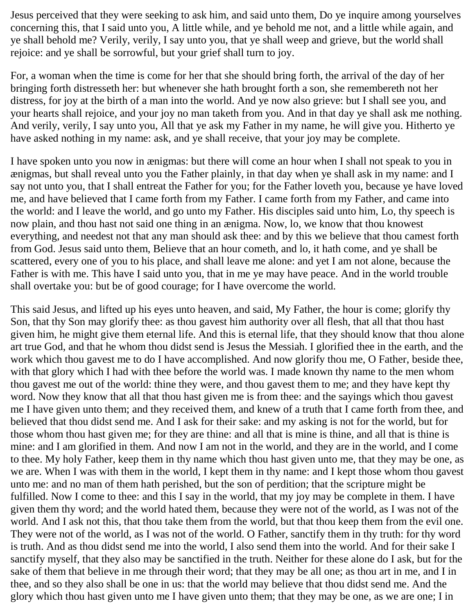Jesus perceived that they were seeking to ask him, and said unto them, Do ye inquire among yourselves concerning this, that I said unto you, A little while, and ye behold me not, and a little while again, and ye shall behold me? Verily, verily, I say unto you, that ye shall weep and grieve, but the world shall rejoice: and ye shall be sorrowful, but your grief shall turn to joy.

For, a woman when the time is come for her that she should bring forth, the arrival of the day of her bringing forth distresseth her: but whenever she hath brought forth a son, she remembereth not her distress, for joy at the birth of a man into the world. And ye now also grieve: but I shall see you, and your hearts shall rejoice, and your joy no man taketh from you. And in that day ye shall ask me nothing. And verily, verily, I say unto you, All that ye ask my Father in my name, he will give you. Hitherto ye have asked nothing in my name: ask, and ye shall receive, that your joy may be complete.

I have spoken unto you now in ænigmas: but there will come an hour when I shall not speak to you in ænigmas, but shall reveal unto you the Father plainly, in that day when ye shall ask in my name: and I say not unto you, that I shall entreat the Father for you; for the Father loveth you, because ye have loved me, and have believed that I came forth from my Father. I came forth from my Father, and came into the world: and I leave the world, and go unto my Father. His disciples said unto him, Lo, thy speech is now plain, and thou hast not said one thing in an ænigma. Now, lo, we know that thou knowest everything, and needest not that any man should ask thee: and by this we believe that thou camest forth from God. Jesus said unto them, Believe that an hour cometh, and lo, it hath come, and ye shall be scattered, every one of you to his place, and shall leave me alone: and yet I am not alone, because the Father is with me. This have I said unto you, that in me ye may have peace. And in the world trouble shall overtake you: but be of good courage; for I have overcome the world.

This said Jesus, and lifted up his eyes unto heaven, and said, My Father, the hour is come; glorify thy Son, that thy Son may glorify thee: as thou gavest him authority over all flesh, that all that thou hast given him, he might give them eternal life. And this is eternal life, that they should know that thou alone art true God, and that he whom thou didst send is Jesus the Messiah. I glorified thee in the earth, and the work which thou gavest me to do I have accomplished. And now glorify thou me, O Father, beside thee, with that glory which I had with thee before the world was. I made known thy name to the men whom thou gavest me out of the world: thine they were, and thou gavest them to me; and they have kept thy word. Now they know that all that thou hast given me is from thee: and the sayings which thou gavest me I have given unto them; and they received them, and knew of a truth that I came forth from thee, and believed that thou didst send me. And I ask for their sake: and my asking is not for the world, but for those whom thou hast given me; for they are thine: and all that is mine is thine, and all that is thine is mine: and I am glorified in them. And now I am not in the world, and they are in the world, and I come to thee. My holy Father, keep them in thy name which thou hast given unto me, that they may be one, as we are. When I was with them in the world, I kept them in thy name: and I kept those whom thou gavest unto me: and no man of them hath perished, but the son of perdition; that the scripture might be fulfilled. Now I come to thee: and this I say in the world, that my joy may be complete in them. I have given them thy word; and the world hated them, because they were not of the world, as I was not of the world. And I ask not this, that thou take them from the world, but that thou keep them from the evil one. They were not of the world, as I was not of the world. O Father, sanctify them in thy truth: for thy word is truth. And as thou didst send me into the world, I also send them into the world. And for their sake I sanctify myself, that they also may be sanctified in the truth. Neither for these alone do I ask, but for the sake of them that believe in me through their word; that they may be all one; as thou art in me, and I in thee, and so they also shall be one in us: that the world may believe that thou didst send me. And the glory which thou hast given unto me I have given unto them; that they may be one, as we are one; I in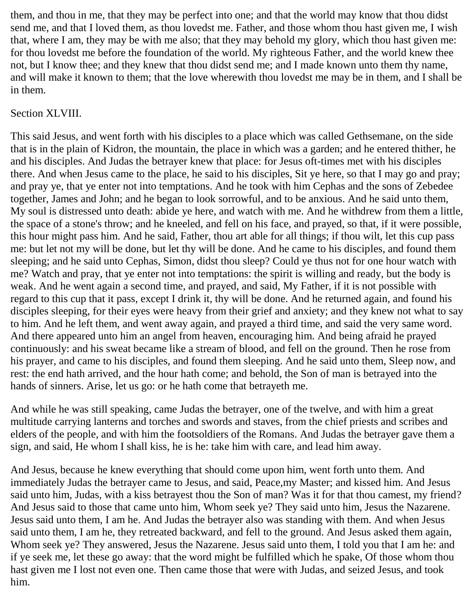them, and thou in me, that they may be perfect into one; and that the world may know that thou didst send me, and that I loved them, as thou lovedst me. Father, and those whom thou hast given me, I wish that, where I am, they may be with me also; that they may behold my glory, which thou hast given me: for thou lovedst me before the foundation of the world. My righteous Father, and the world knew thee not, but I know thee; and they knew that thou didst send me; and I made known unto them thy name, and will make it known to them; that the love wherewith thou lovedst me may be in them, and I shall be in them.

## Section XLVIII.

This said Jesus, and went forth with his disciples to a place which was called Gethsemane, on the side that is in the plain of Kidron, the mountain, the place in which was a garden; and he entered thither, he and his disciples. And Judas the betrayer knew that place: for Jesus oft-times met with his disciples there. And when Jesus came to the place, he said to his disciples, Sit ye here, so that I may go and pray; and pray ye, that ye enter not into temptations. And he took with him Cephas and the sons of Zebedee together, James and John; and he began to look sorrowful, and to be anxious. And he said unto them, My soul is distressed unto death: abide ye here, and watch with me. And he withdrew from them a little, the space of a stone's throw; and he kneeled, and fell on his face, and prayed, so that, if it were possible, this hour might pass him. And he said, Father, thou art able for all things; if thou wilt, let this cup pass me: but let not my will be done, but let thy will be done. And he came to his disciples, and found them sleeping; and he said unto Cephas, Simon, didst thou sleep? Could ye thus not for one hour watch with me? Watch and pray, that ye enter not into temptations: the spirit is willing and ready, but the body is weak. And he went again a second time, and prayed, and said, My Father, if it is not possible with regard to this cup that it pass, except I drink it, thy will be done. And he returned again, and found his disciples sleeping, for their eyes were heavy from their grief and anxiety; and they knew not what to say to him. And he left them, and went away again, and prayed a third time, and said the very same word. And there appeared unto him an angel from heaven, encouraging him. And being afraid he prayed continuously: and his sweat became like a stream of blood, and fell on the ground. Then he rose from his prayer, and came to his disciples, and found them sleeping. And he said unto them, Sleep now, and rest: the end hath arrived, and the hour hath come; and behold, the Son of man is betrayed into the hands of sinners. Arise, let us go: or he hath come that betrayeth me.

And while he was still speaking, came Judas the betrayer, one of the twelve, and with him a great multitude carrying lanterns and torches and swords and staves, from the chief priests and scribes and elders of the people, and with him the footsoldiers of the Romans. And Judas the betrayer gave them a sign, and said, He whom I shall kiss, he is he: take him with care, and lead him away.

And Jesus, because he knew everything that should come upon him, went forth unto them. And immediately Judas the betrayer came to Jesus, and said, Peace,my Master; and kissed him. And Jesus said unto him, Judas, with a kiss betrayest thou the Son of man? Was it for that thou camest, my friend? And Jesus said to those that came unto him, Whom seek ye? They said unto him, Jesus the Nazarene. Jesus said unto them, I am he. And Judas the betrayer also was standing with them. And when Jesus said unto them, I am he, they retreated backward, and fell to the ground. And Jesus asked them again, Whom seek ye? They answered, Jesus the Nazarene. Jesus said unto them, I told you that I am he: and if ye seek me, let these go away: that the word might be fulfilled which he spake, Of those whom thou hast given me I lost not even one. Then came those that were with Judas, and seized Jesus, and took him.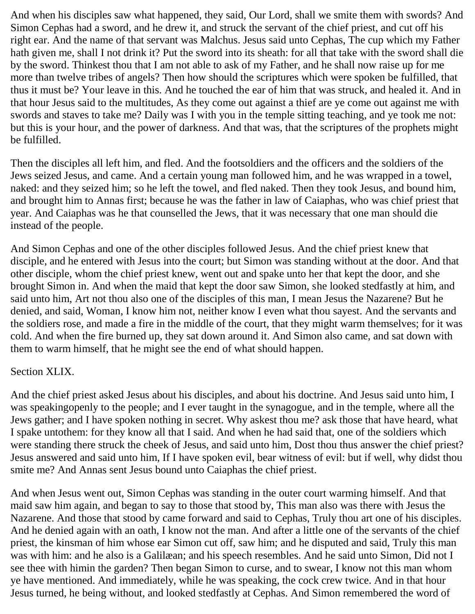And when his disciples saw what happened, they said, Our Lord, shall we smite them with swords? And Simon Cephas had a sword, and he drew it, and struck the servant of the chief priest, and cut off his right ear. And the name of that servant was Malchus. Jesus said unto Cephas, The cup which my Father hath given me, shall I not drink it? Put the sword into its sheath: for all that take with the sword shall die by the sword. Thinkest thou that I am not able to ask of my Father, and he shall now raise up for me more than twelve tribes of angels? Then how should the scriptures which were spoken be fulfilled, that thus it must be? Your leave in this. And he touched the ear of him that was struck, and healed it. And in that hour Jesus said to the multitudes, As they come out against a thief are ye come out against me with swords and staves to take me? Daily was I with you in the temple sitting teaching, and ye took me not: but this is your hour, and the power of darkness. And that was, that the scriptures of the prophets might be fulfilled.

Then the disciples all left him, and fled. And the footsoldiers and the officers and the soldiers of the Jews seized Jesus, and came. And a certain young man followed him, and he was wrapped in a towel, naked: and they seized him; so he left the towel, and fled naked. Then they took Jesus, and bound him, and brought him to Annas first; because he was the father in law of Caiaphas, who was chief priest that year. And Caiaphas was he that counselled the Jews, that it was necessary that one man should die instead of the people.

And Simon Cephas and one of the other disciples followed Jesus. And the chief priest knew that disciple, and he entered with Jesus into the court; but Simon was standing without at the door. And that other disciple, whom the chief priest knew, went out and spake unto her that kept the door, and she brought Simon in. And when the maid that kept the door saw Simon, she looked stedfastly at him, and said unto him, Art not thou also one of the disciples of this man, I mean Jesus the Nazarene? But he denied, and said, Woman, I know him not, neither know I even what thou sayest. And the servants and the soldiers rose, and made a fire in the middle of the court, that they might warm themselves; for it was cold. And when the fire burned up, they sat down around it. And Simon also came, and sat down with them to warm himself, that he might see the end of what should happen.

## Section XLIX.

And the chief priest asked Jesus about his disciples, and about his doctrine. And Jesus said unto him, I was speakingopenly to the people; and I ever taught in the synagogue, and in the temple, where all the Jews gather; and I have spoken nothing in secret. Why askest thou me? ask those that have heard, what I spake untothem: for they know all that I said. And when he had said that, one of the soldiers which were standing there struck the cheek of Jesus, and said unto him, Dost thou thus answer the chief priest? Jesus answered and said unto him, If I have spoken evil, bear witness of evil: but if well, why didst thou smite me? And Annas sent Jesus bound unto Caiaphas the chief priest.

And when Jesus went out, Simon Cephas was standing in the outer court warming himself. And that maid saw him again, and began to say to those that stood by, This man also was there with Jesus the Nazarene. And those that stood by came forward and said to Cephas, Truly thou art one of his disciples. And he denied again with an oath, I know not the man. And after a little one of the servants of the chief priest, the kinsman of him whose ear Simon cut off, saw him; and he disputed and said, Truly this man was with him: and he also is a Galilæan; and his speech resembles. And he said unto Simon, Did not I see thee with himin the garden? Then began Simon to curse, and to swear, I know not this man whom ye have mentioned. And immediately, while he was speaking, the cock crew twice. And in that hour Jesus turned, he being without, and looked stedfastly at Cephas. And Simon remembered the word of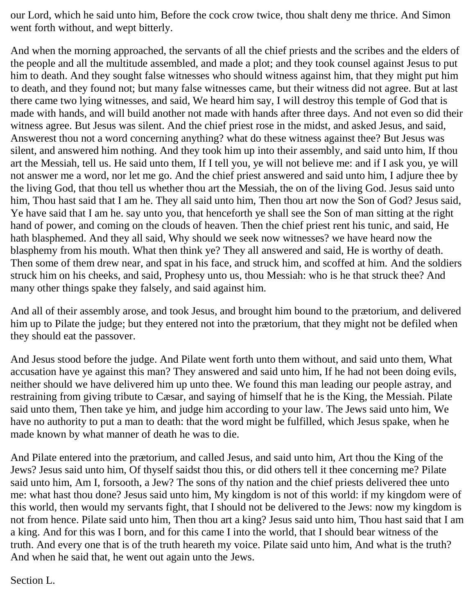our Lord, which he said unto him, Before the cock crow twice, thou shalt deny me thrice. And Simon went forth without, and wept bitterly.

And when the morning approached, the servants of all the chief priests and the scribes and the elders of the people and all the multitude assembled, and made a plot; and they took counsel against Jesus to put him to death. And they sought false witnesses who should witness against him, that they might put him to death, and they found not; but many false witnesses came, but their witness did not agree. But at last there came two lying witnesses, and said, We heard him say, I will destroy this temple of God that is made with hands, and will build another not made with hands after three days. And not even so did their witness agree. But Jesus was silent. And the chief priest rose in the midst, and asked Jesus, and said, Answerest thou not a word concerning anything? what do these witness against thee? But Jesus was silent, and answered him nothing. And they took him up into their assembly, and said unto him, If thou art the Messiah, tell us. He said unto them, If I tell you, ye will not believe me: and if I ask you, ye will not answer me a word, nor let me go. And the chief priest answered and said unto him, I adjure thee by the living God, that thou tell us whether thou art the Messiah, the on of the living God. Jesus said unto him, Thou hast said that I am he. They all said unto him, Then thou art now the Son of God? Jesus said, Ye have said that I am he. say unto you, that henceforth ye shall see the Son of man sitting at the right hand of power, and coming on the clouds of heaven. Then the chief priest rent his tunic, and said, He hath blasphemed. And they all said, Why should we seek now witnesses? we have heard now the blasphemy from his mouth. What then think ye? They all answered and said, He is worthy of death. Then some of them drew near, and spat in his face, and struck him, and scoffed at him. And the soldiers struck him on his cheeks, and said, Prophesy unto us, thou Messiah: who is he that struck thee? And many other things spake they falsely, and said against him.

And all of their assembly arose, and took Jesus, and brought him bound to the prætorium, and delivered him up to Pilate the judge; but they entered not into the prætorium, that they might not be defiled when they should eat the passover.

And Jesus stood before the judge. And Pilate went forth unto them without, and said unto them, What accusation have ye against this man? They answered and said unto him, If he had not been doing evils, neither should we have delivered him up unto thee. We found this man leading our people astray, and restraining from giving tribute to Cæsar, and saying of himself that he is the King, the Messiah. Pilate said unto them, Then take ye him, and judge him according to your law. The Jews said unto him, We have no authority to put a man to death: that the word might be fulfilled, which Jesus spake, when he made known by what manner of death he was to die.

And Pilate entered into the prætorium, and called Jesus, and said unto him, Art thou the King of the Jews? Jesus said unto him, Of thyself saidst thou this, or did others tell it thee concerning me? Pilate said unto him, Am I, forsooth, a Jew? The sons of thy nation and the chief priests delivered thee unto me: what hast thou done? Jesus said unto him, My kingdom is not of this world: if my kingdom were of this world, then would my servants fight, that I should not be delivered to the Jews: now my kingdom is not from hence. Pilate said unto him, Then thou art a king? Jesus said unto him, Thou hast said that I am a king. And for this was I born, and for this came I into the world, that I should bear witness of the truth. And every one that is of the truth heareth my voice. Pilate said unto him, And what is the truth? And when he said that, he went out again unto the Jews.

Section L.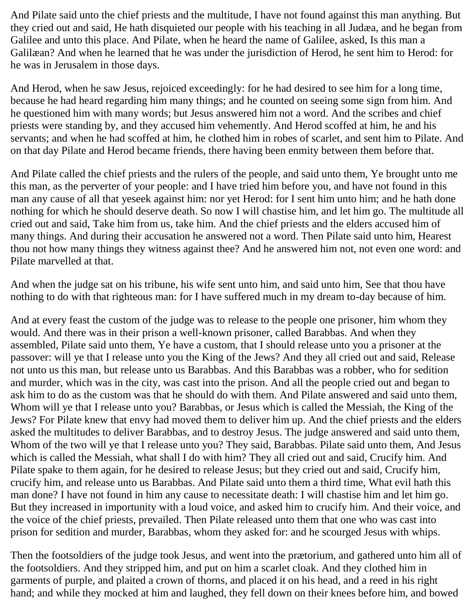And Pilate said unto the chief priests and the multitude, I have not found against this man anything. But they cried out and said, He hath disquieted our people with his teaching in all Judæa, and he began from Galilee and unto this place. And Pilate, when he heard the name of Galilee, asked, Is this man a Galilæan? And when he learned that he was under the jurisdiction of Herod, he sent him to Herod: for he was in Jerusalem in those days.

And Herod, when he saw Jesus, rejoiced exceedingly: for he had desired to see him for a long time, because he had heard regarding him many things; and he counted on seeing some sign from him. And he questioned him with many words; but Jesus answered him not a word. And the scribes and chief priests were standing by, and they accused him vehemently. And Herod scoffed at him, he and his servants; and when he had scoffed at him, he clothed him in robes of scarlet, and sent him to Pilate. And on that day Pilate and Herod became friends, there having been enmity between them before that.

And Pilate called the chief priests and the rulers of the people, and said unto them, Ye brought unto me this man, as the perverter of your people: and I have tried him before you, and have not found in this man any cause of all that yeseek against him: nor yet Herod: for I sent him unto him; and he hath done nothing for which he should deserve death. So now I will chastise him, and let him go. The multitude all cried out and said, Take him from us, take him. And the chief priests and the elders accused him of many things. And during their accusation he answered not a word. Then Pilate said unto him, Hearest thou not how many things they witness against thee? And he answered him not, not even one word: and Pilate marvelled at that.

And when the judge sat on his tribune, his wife sent unto him, and said unto him, See that thou have nothing to do with that righteous man: for I have suffered much in my dream to-day because of him.

And at every feast the custom of the judge was to release to the people one prisoner, him whom they would. And there was in their prison a well-known prisoner, called Barabbas. And when they assembled, Pilate said unto them, Ye have a custom, that I should release unto you a prisoner at the passover: will ye that I release unto you the King of the Jews? And they all cried out and said, Release not unto us this man, but release unto us Barabbas. And this Barabbas was a robber, who for sedition and murder, which was in the city, was cast into the prison. And all the people cried out and began to ask him to do as the custom was that he should do with them. And Pilate answered and said unto them, Whom will ye that I release unto you? Barabbas, or Jesus which is called the Messiah, the King of the Jews? For Pilate knew that envy had moved them to deliver him up. And the chief priests and the elders asked the multitudes to deliver Barabbas, and to destroy Jesus. The judge answered and said unto them, Whom of the two will ye that I release unto you? They said, Barabbas. Pilate said unto them, And Jesus which is called the Messiah, what shall I do with him? They all cried out and said, Crucify him. And Pilate spake to them again, for he desired to release Jesus; but they cried out and said, Crucify him, crucify him, and release unto us Barabbas. And Pilate said unto them a third time, What evil hath this man done? I have not found in him any cause to necessitate death: I will chastise him and let him go. But they increased in importunity with a loud voice, and asked him to crucify him. And their voice, and the voice of the chief priests, prevailed. Then Pilate released unto them that one who was cast into prison for sedition and murder, Barabbas, whom they asked for: and he scourged Jesus with whips.

Then the footsoldiers of the judge took Jesus, and went into the prætorium, and gathered unto him all of the footsoldiers. And they stripped him, and put on him a scarlet cloak. And they clothed him in garments of purple, and plaited a crown of thorns, and placed it on his head, and a reed in his right hand; and while they mocked at him and laughed, they fell down on their knees before him, and bowed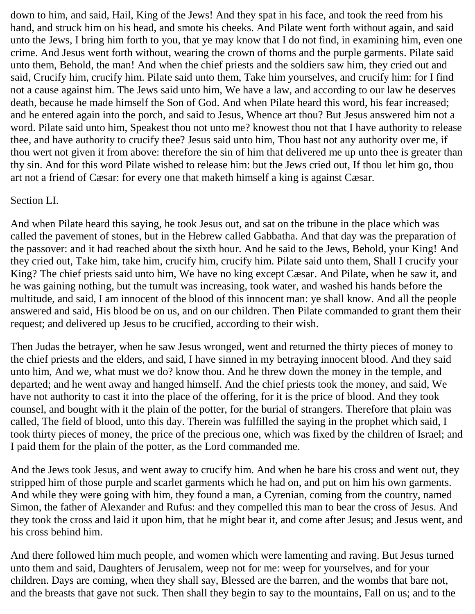down to him, and said, Hail, King of the Jews! And they spat in his face, and took the reed from his hand, and struck him on his head, and smote his cheeks. And Pilate went forth without again, and said unto the Jews, I bring him forth to you, that ye may know that I do not find, in examining him, even one crime. And Jesus went forth without, wearing the crown of thorns and the purple garments. Pilate said unto them, Behold, the man! And when the chief priests and the soldiers saw him, they cried out and said, Crucify him, crucify him. Pilate said unto them, Take him yourselves, and crucify him: for I find not a cause against him. The Jews said unto him, We have a law, and according to our law he deserves death, because he made himself the Son of God. And when Pilate heard this word, his fear increased; and he entered again into the porch, and said to Jesus, Whence art thou? But Jesus answered him not a word. Pilate said unto him, Speakest thou not unto me? knowest thou not that I have authority to release thee, and have authority to crucify thee? Jesus said unto him, Thou hast not any authority over me, if thou wert not given it from above: therefore the sin of him that delivered me up unto thee is greater than thy sin. And for this word Pilate wished to release him: but the Jews cried out, If thou let him go, thou art not a friend of Cæsar: for every one that maketh himself a king is against Cæsar.

## Section LI.

And when Pilate heard this saying, he took Jesus out, and sat on the tribune in the place which was called the pavement of stones, but in the Hebrew called Gabbatha. And that day was the preparation of the passover: and it had reached about the sixth hour. And he said to the Jews, Behold, your King! And they cried out, Take him, take him, crucify him, crucify him. Pilate said unto them, Shall I crucify your King? The chief priests said unto him, We have no king except Cæsar. And Pilate, when he saw it, and he was gaining nothing, but the tumult was increasing, took water, and washed his hands before the multitude, and said, I am innocent of the blood of this innocent man: ye shall know. And all the people answered and said, His blood be on us, and on our children. Then Pilate commanded to grant them their request; and delivered up Jesus to be crucified, according to their wish.

Then Judas the betrayer, when he saw Jesus wronged, went and returned the thirty pieces of money to the chief priests and the elders, and said, I have sinned in my betraying innocent blood. And they said unto him, And we, what must we do? know thou. And he threw down the money in the temple, and departed; and he went away and hanged himself. And the chief priests took the money, and said, We have not authority to cast it into the place of the offering, for it is the price of blood. And they took counsel, and bought with it the plain of the potter, for the burial of strangers. Therefore that plain was called, The field of blood, unto this day. Therein was fulfilled the saying in the prophet which said, I took thirty pieces of money, the price of the precious one, which was fixed by the children of Israel; and I paid them for the plain of the potter, as the Lord commanded me.

And the Jews took Jesus, and went away to crucify him. And when he bare his cross and went out, they stripped him of those purple and scarlet garments which he had on, and put on him his own garments. And while they were going with him, they found a man, a Cyrenian, coming from the country, named Simon, the father of Alexander and Rufus: and they compelled this man to bear the cross of Jesus. And they took the cross and laid it upon him, that he might bear it, and come after Jesus; and Jesus went, and his cross behind him.

And there followed him much people, and women which were lamenting and raving. But Jesus turned unto them and said, Daughters of Jerusalem, weep not for me: weep for yourselves, and for your children. Days are coming, when they shall say, Blessed are the barren, and the wombs that bare not, and the breasts that gave not suck. Then shall they begin to say to the mountains, Fall on us; and to the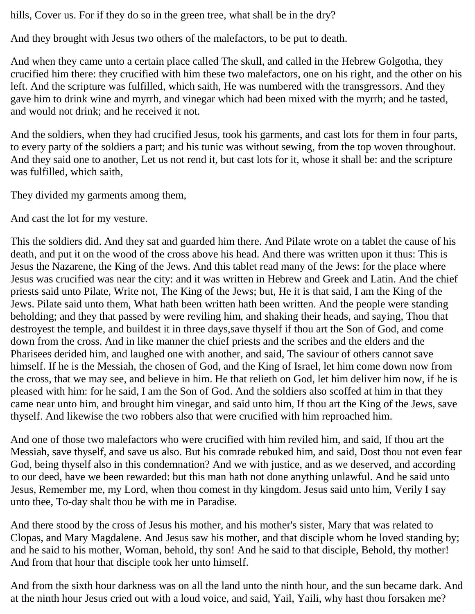hills, Cover us. For if they do so in the green tree, what shall be in the dry?

And they brought with Jesus two others of the malefactors, to be put to death.

And when they came unto a certain place called The skull, and called in the Hebrew Golgotha, they crucified him there: they crucified with him these two malefactors, one on his right, and the other on his left. And the scripture was fulfilled, which saith, He was numbered with the transgressors. And they gave him to drink wine and myrrh, and vinegar which had been mixed with the myrrh; and he tasted, and would not drink; and he received it not.

And the soldiers, when they had crucified Jesus, took his garments, and cast lots for them in four parts, to every party of the soldiers a part; and his tunic was without sewing, from the top woven throughout. And they said one to another, Let us not rend it, but cast lots for it, whose it shall be: and the scripture was fulfilled, which saith,

They divided my garments among them,

And cast the lot for my vesture.

This the soldiers did. And they sat and guarded him there. And Pilate wrote on a tablet the cause of his death, and put it on the wood of the cross above his head. And there was written upon it thus: This is Jesus the Nazarene, the King of the Jews. And this tablet read many of the Jews: for the place where Jesus was crucified was near the city: and it was written in Hebrew and Greek and Latin. And the chief priests said unto Pilate, Write not, The King of the Jews; but, He it is that said, I am the King of the Jews. Pilate said unto them, What hath been written hath been written. And the people were standing beholding; and they that passed by were reviling him, and shaking their heads, and saying, Thou that destroyest the temple, and buildest it in three days,save thyself if thou art the Son of God, and come down from the cross. And in like manner the chief priests and the scribes and the elders and the Pharisees derided him, and laughed one with another, and said, The saviour of others cannot save himself. If he is the Messiah, the chosen of God, and the King of Israel, let him come down now from the cross, that we may see, and believe in him. He that relieth on God, let him deliver him now, if he is pleased with him: for he said, I am the Son of God. And the soldiers also scoffed at him in that they came near unto him, and brought him vinegar, and said unto him, If thou art the King of the Jews, save thyself. And likewise the two robbers also that were crucified with him reproached him.

And one of those two malefactors who were crucified with him reviled him, and said, If thou art the Messiah, save thyself, and save us also. But his comrade rebuked him, and said, Dost thou not even fear God, being thyself also in this condemnation? And we with justice, and as we deserved, and according to our deed, have we been rewarded: but this man hath not done anything unlawful. And he said unto Jesus, Remember me, my Lord, when thou comest in thy kingdom. Jesus said unto him, Verily I say unto thee, To-day shalt thou be with me in Paradise.

And there stood by the cross of Jesus his mother, and his mother's sister, Mary that was related to Clopas, and Mary Magdalene. And Jesus saw his mother, and that disciple whom he loved standing by; and he said to his mother, Woman, behold, thy son! And he said to that disciple, Behold, thy mother! And from that hour that disciple took her unto himself.

And from the sixth hour darkness was on all the land unto the ninth hour, and the sun became dark. And at the ninth hour Jesus cried out with a loud voice, and said, Yail, Yaili, why hast thou forsaken me?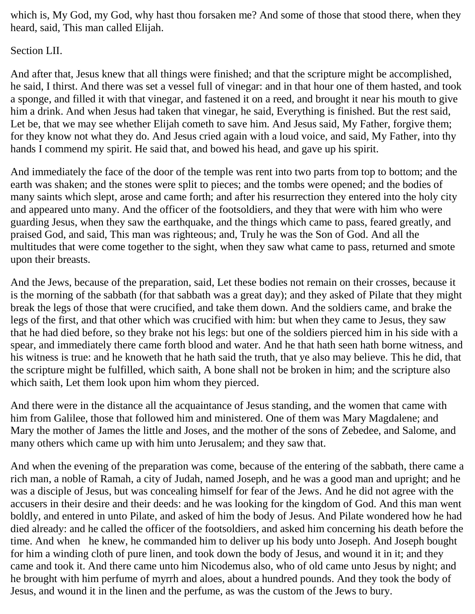which is, My God, my God, why hast thou forsaken me? And some of those that stood there, when they heard, said, This man called Elijah.

# Section LII.

And after that, Jesus knew that all things were finished; and that the scripture might be accomplished, he said, I thirst. And there was set a vessel full of vinegar: and in that hour one of them hasted, and took a sponge, and filled it with that vinegar, and fastened it on a reed, and brought it near his mouth to give him a drink. And when Jesus had taken that vinegar, he said, Everything is finished. But the rest said, Let be, that we may see whether Elijah cometh to save him. And Jesus said, My Father, forgive them; for they know not what they do. And Jesus cried again with a loud voice, and said, My Father, into thy hands I commend my spirit. He said that, and bowed his head, and gave up his spirit.

And immediately the face of the door of the temple was rent into two parts from top to bottom; and the earth was shaken; and the stones were split to pieces; and the tombs were opened; and the bodies of many saints which slept, arose and came forth; and after his resurrection they entered into the holy city and appeared unto many. And the officer of the footsoldiers, and they that were with him who were guarding Jesus, when they saw the earthquake, and the things which came to pass, feared greatly, and praised God, and said, This man was righteous; and, Truly he was the Son of God. And all the multitudes that were come together to the sight, when they saw what came to pass, returned and smote upon their breasts.

And the Jews, because of the preparation, said, Let these bodies not remain on their crosses, because it is the morning of the sabbath (for that sabbath was a great day); and they asked of Pilate that they might break the legs of those that were crucified, and take them down. And the soldiers came, and brake the legs of the first, and that other which was crucified with him: but when they came to Jesus, they saw that he had died before, so they brake not his legs: but one of the soldiers pierced him in his side with a spear, and immediately there came forth blood and water. And he that hath seen hath borne witness, and his witness is true: and he knoweth that he hath said the truth, that ye also may believe. This he did, that the scripture might be fulfilled, which saith, A bone shall not be broken in him; and the scripture also which saith, Let them look upon him whom they pierced.

And there were in the distance all the acquaintance of Jesus standing, and the women that came with him from Galilee, those that followed him and ministered. One of them was Mary Magdalene; and Mary the mother of James the little and Joses, and the mother of the sons of Zebedee, and Salome, and many others which came up with him unto Jerusalem; and they saw that.

And when the evening of the preparation was come, because of the entering of the sabbath, there came a rich man, a noble of Ramah, a city of Judah, named Joseph, and he was a good man and upright; and he was a disciple of Jesus, but was concealing himself for fear of the Jews. And he did not agree with the accusers in their desire and their deeds: and he was looking for the kingdom of God. And this man went boldly, and entered in unto Pilate, and asked of him the body of Jesus. And Pilate wondered how he had died already: and he called the officer of the footsoldiers, and asked him concerning his death before the time. And when he knew, he commanded him to deliver up his body unto Joseph. And Joseph bought for him a winding cloth of pure linen, and took down the body of Jesus, and wound it in it; and they came and took it. And there came unto him Nicodemus also, who of old came unto Jesus by night; and he brought with him perfume of myrrh and aloes, about a hundred pounds. And they took the body of Jesus, and wound it in the linen and the perfume, as was the custom of the Jews to bury.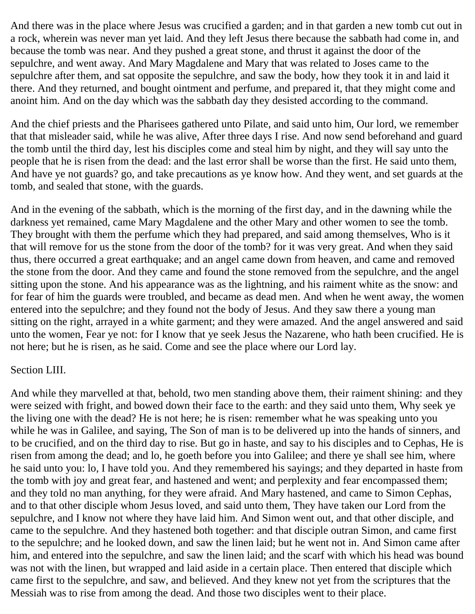And there was in the place where Jesus was crucified a garden; and in that garden a new tomb cut out in a rock, wherein was never man yet laid. And they left Jesus there because the sabbath had come in, and because the tomb was near. And they pushed a great stone, and thrust it against the door of the sepulchre, and went away. And Mary Magdalene and Mary that was related to Joses came to the sepulchre after them, and sat opposite the sepulchre, and saw the body, how they took it in and laid it there. And they returned, and bought ointment and perfume, and prepared it, that they might come and anoint him. And on the day which was the sabbath day they desisted according to the command.

And the chief priests and the Pharisees gathered unto Pilate, and said unto him, Our lord, we remember that that misleader said, while he was alive, After three days I rise. And now send beforehand and guard the tomb until the third day, lest his disciples come and steal him by night, and they will say unto the people that he is risen from the dead: and the last error shall be worse than the first. He said unto them, And have ye not guards? go, and take precautions as ye know how. And they went, and set guards at the tomb, and sealed that stone, with the guards.

And in the evening of the sabbath, which is the morning of the first day, and in the dawning while the darkness yet remained, came Mary Magdalene and the other Mary and other women to see the tomb. They brought with them the perfume which they had prepared, and said among themselves, Who is it that will remove for us the stone from the door of the tomb? for it was very great. And when they said thus, there occurred a great earthquake; and an angel came down from heaven, and came and removed the stone from the door. And they came and found the stone removed from the sepulchre, and the angel sitting upon the stone. And his appearance was as the lightning, and his raiment white as the snow: and for fear of him the guards were troubled, and became as dead men. And when he went away, the women entered into the sepulchre; and they found not the body of Jesus. And they saw there a young man sitting on the right, arrayed in a white garment; and they were amazed. And the angel answered and said unto the women, Fear ye not: for I know that ye seek Jesus the Nazarene, who hath been crucified. He is not here; but he is risen, as he said. Come and see the place where our Lord lay.

### Section LIII.

And while they marvelled at that, behold, two men standing above them, their raiment shining: and they were seized with fright, and bowed down their face to the earth: and they said unto them, Why seek ye the living one with the dead? He is not here; he is risen: remember what he was speaking unto you while he was in Galilee, and saying, The Son of man is to be delivered up into the hands of sinners, and to be crucified, and on the third day to rise. But go in haste, and say to his disciples and to Cephas, He is risen from among the dead; and lo, he goeth before you into Galilee; and there ye shall see him, where he said unto you: lo, I have told you. And they remembered his sayings; and they departed in haste from the tomb with joy and great fear, and hastened and went; and perplexity and fear encompassed them; and they told no man anything, for they were afraid. And Mary hastened, and came to Simon Cephas, and to that other disciple whom Jesus loved, and said unto them, They have taken our Lord from the sepulchre, and I know not where they have laid him. And Simon went out, and that other disciple, and came to the sepulchre. And they hastened both together: and that disciple outran Simon, and came first to the sepulchre; and he looked down, and saw the linen laid; but he went not in. And Simon came after him, and entered into the sepulchre, and saw the linen laid; and the scarf with which his head was bound was not with the linen, but wrapped and laid aside in a certain place. Then entered that disciple which came first to the sepulchre, and saw, and believed. And they knew not yet from the scriptures that the Messiah was to rise from among the dead. And those two disciples went to their place.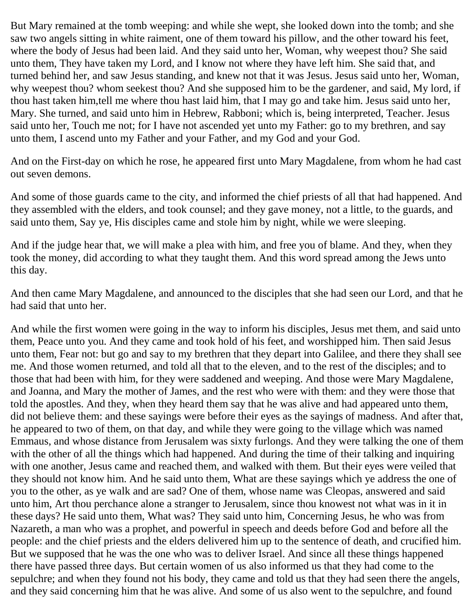But Mary remained at the tomb weeping: and while she wept, she looked down into the tomb; and she saw two angels sitting in white raiment, one of them toward his pillow, and the other toward his feet, where the body of Jesus had been laid. And they said unto her, Woman, why weepest thou? She said unto them, They have taken my Lord, and I know not where they have left him. She said that, and turned behind her, and saw Jesus standing, and knew not that it was Jesus. Jesus said unto her, Woman, why weepest thou? whom seekest thou? And she supposed him to be the gardener, and said, My lord, if thou hast taken him,tell me where thou hast laid him, that I may go and take him. Jesus said unto her, Mary. She turned, and said unto him in Hebrew, Rabboni; which is, being interpreted, Teacher. Jesus said unto her, Touch me not; for I have not ascended yet unto my Father: go to my brethren, and say unto them, I ascend unto my Father and your Father, and my God and your God.

And on the First-day on which he rose, he appeared first unto Mary Magdalene, from whom he had cast out seven demons.

And some of those guards came to the city, and informed the chief priests of all that had happened. And they assembled with the elders, and took counsel; and they gave money, not a little, to the guards, and said unto them, Say ye, His disciples came and stole him by night, while we were sleeping.

And if the judge hear that, we will make a plea with him, and free you of blame. And they, when they took the money, did according to what they taught them. And this word spread among the Jews unto this day.

And then came Mary Magdalene, and announced to the disciples that she had seen our Lord, and that he had said that unto her.

And while the first women were going in the way to inform his disciples, Jesus met them, and said unto them, Peace unto you. And they came and took hold of his feet, and worshipped him. Then said Jesus unto them, Fear not: but go and say to my brethren that they depart into Galilee, and there they shall see me. And those women returned, and told all that to the eleven, and to the rest of the disciples; and to those that had been with him, for they were saddened and weeping. And those were Mary Magdalene, and Joanna, and Mary the mother of James, and the rest who were with them: and they were those that told the apostles. And they, when they heard them say that he was alive and had appeared unto them, did not believe them: and these sayings were before their eyes as the sayings of madness. And after that, he appeared to two of them, on that day, and while they were going to the village which was named Emmaus, and whose distance from Jerusalem was sixty furlongs. And they were talking the one of them with the other of all the things which had happened. And during the time of their talking and inquiring with one another, Jesus came and reached them, and walked with them. But their eyes were veiled that they should not know him. And he said unto them, What are these sayings which ye address the one of you to the other, as ye walk and are sad? One of them, whose name was Cleopas, answered and said unto him, Art thou perchance alone a stranger to Jerusalem, since thou knowest not what was in it in these days? He said unto them, What was? They said unto him, Concerning Jesus, he who was from Nazareth, a man who was a prophet, and powerful in speech and deeds before God and before all the people: and the chief priests and the elders delivered him up to the sentence of death, and crucified him. But we supposed that he was the one who was to deliver Israel. And since all these things happened there have passed three days. But certain women of us also informed us that they had come to the sepulchre; and when they found not his body, they came and told us that they had seen there the angels, and they said concerning him that he was alive. And some of us also went to the sepulchre, and found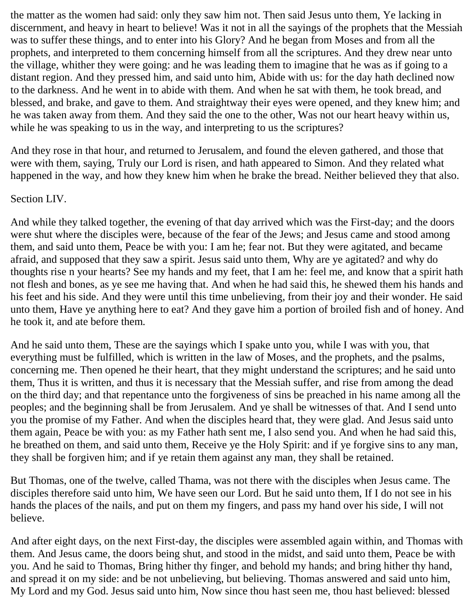the matter as the women had said: only they saw him not. Then said Jesus unto them, Ye lacking in discernment, and heavy in heart to believe! Was it not in all the sayings of the prophets that the Messiah was to suffer these things, and to enter into his Glory? And he began from Moses and from all the prophets, and interpreted to them concerning himself from all the scriptures. And they drew near unto the village, whither they were going: and he was leading them to imagine that he was as if going to a distant region. And they pressed him, and said unto him, Abide with us: for the day hath declined now to the darkness. And he went in to abide with them. And when he sat with them, he took bread, and blessed, and brake, and gave to them. And straightway their eyes were opened, and they knew him; and he was taken away from them. And they said the one to the other, Was not our heart heavy within us, while he was speaking to us in the way, and interpreting to us the scriptures?

And they rose in that hour, and returned to Jerusalem, and found the eleven gathered, and those that were with them, saying, Truly our Lord is risen, and hath appeared to Simon. And they related what happened in the way, and how they knew him when he brake the bread. Neither believed they that also.

## Section LIV.

And while they talked together, the evening of that day arrived which was the First-day; and the doors were shut where the disciples were, because of the fear of the Jews; and Jesus came and stood among them, and said unto them, Peace be with you: I am he; fear not. But they were agitated, and became afraid, and supposed that they saw a spirit. Jesus said unto them, Why are ye agitated? and why do thoughts rise n your hearts? See my hands and my feet, that I am he: feel me, and know that a spirit hath not flesh and bones, as ye see me having that. And when he had said this, he shewed them his hands and his feet and his side. And they were until this time unbelieving, from their joy and their wonder. He said unto them, Have ye anything here to eat? And they gave him a portion of broiled fish and of honey. And he took it, and ate before them.

And he said unto them, These are the sayings which I spake unto you, while I was with you, that everything must be fulfilled, which is written in the law of Moses, and the prophets, and the psalms, concerning me. Then opened he their heart, that they might understand the scriptures; and he said unto them, Thus it is written, and thus it is necessary that the Messiah suffer, and rise from among the dead on the third day; and that repentance unto the forgiveness of sins be preached in his name among all the peoples; and the beginning shall be from Jerusalem. And ye shall be witnesses of that. And I send unto you the promise of my Father. And when the disciples heard that, they were glad. And Jesus said unto them again, Peace be with you: as my Father hath sent me, I also send you. And when he had said this, he breathed on them, and said unto them, Receive ye the Holy Spirit: and if ye forgive sins to any man, they shall be forgiven him; and if ye retain them against any man, they shall be retained.

But Thomas, one of the twelve, called Thama, was not there with the disciples when Jesus came. The disciples therefore said unto him, We have seen our Lord. But he said unto them, If I do not see in his hands the places of the nails, and put on them my fingers, and pass my hand over his side, I will not believe.

And after eight days, on the next First-day, the disciples were assembled again within, and Thomas with them. And Jesus came, the doors being shut, and stood in the midst, and said unto them, Peace be with you. And he said to Thomas, Bring hither thy finger, and behold my hands; and bring hither thy hand, and spread it on my side: and be not unbelieving, but believing. Thomas answered and said unto him, My Lord and my God. Jesus said unto him, Now since thou hast seen me, thou hast believed: blessed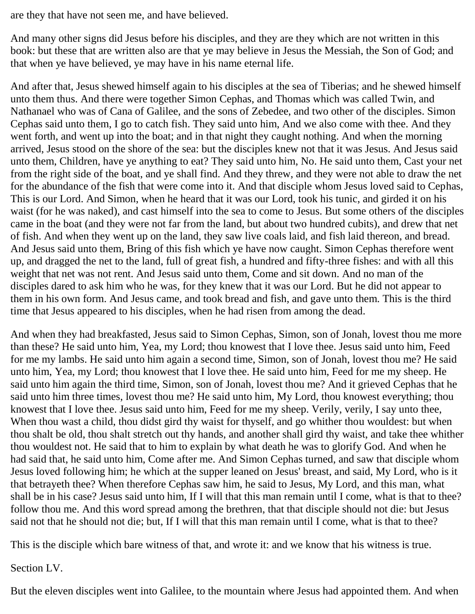are they that have not seen me, and have believed.

And many other signs did Jesus before his disciples, and they are they which are not written in this book: but these that are written also are that ye may believe in Jesus the Messiah, the Son of God; and that when ye have believed, ye may have in his name eternal life.

And after that, Jesus shewed himself again to his disciples at the sea of Tiberias; and he shewed himself unto them thus. And there were together Simon Cephas, and Thomas which was called Twin, and Nathanael who was of Cana of Galilee, and the sons of Zebedee, and two other of the disciples. Simon Cephas said unto them, I go to catch fish. They said unto him, And we also come with thee. And they went forth, and went up into the boat; and in that night they caught nothing. And when the morning arrived, Jesus stood on the shore of the sea: but the disciples knew not that it was Jesus. And Jesus said unto them, Children, have ye anything to eat? They said unto him, No. He said unto them, Cast your net from the right side of the boat, and ye shall find. And they threw, and they were not able to draw the net for the abundance of the fish that were come into it. And that disciple whom Jesus loved said to Cephas, This is our Lord. And Simon, when he heard that it was our Lord, took his tunic, and girded it on his waist (for he was naked), and cast himself into the sea to come to Jesus. But some others of the disciples came in the boat (and they were not far from the land, but about two hundred cubits), and drew that net of fish. And when they went up on the land, they saw live coals laid, and fish laid thereon, and bread. And Jesus said unto them, Bring of this fish which ye have now caught. Simon Cephas therefore went up, and dragged the net to the land, full of great fish, a hundred and fifty-three fishes: and with all this weight that net was not rent. And Jesus said unto them, Come and sit down. And no man of the disciples dared to ask him who he was, for they knew that it was our Lord. But he did not appear to them in his own form. And Jesus came, and took bread and fish, and gave unto them. This is the third time that Jesus appeared to his disciples, when he had risen from among the dead.

And when they had breakfasted, Jesus said to Simon Cephas, Simon, son of Jonah, lovest thou me more than these? He said unto him, Yea, my Lord; thou knowest that I love thee. Jesus said unto him, Feed for me my lambs. He said unto him again a second time, Simon, son of Jonah, lovest thou me? He said unto him, Yea, my Lord; thou knowest that I love thee. He said unto him, Feed for me my sheep. He said unto him again the third time, Simon, son of Jonah, lovest thou me? And it grieved Cephas that he said unto him three times, lovest thou me? He said unto him, My Lord, thou knowest everything; thou knowest that I love thee. Jesus said unto him, Feed for me my sheep. Verily, verily, I say unto thee, When thou wast a child, thou didst gird thy waist for thyself, and go whither thou wouldest: but when thou shalt be old, thou shalt stretch out thy hands, and another shall gird thy waist, and take thee whither thou wouldest not. He said that to him to explain by what death he was to glorify God. And when he had said that, he said unto him, Come after me. And Simon Cephas turned, and saw that disciple whom Jesus loved following him; he which at the supper leaned on Jesus' breast, and said, My Lord, who is it that betrayeth thee? When therefore Cephas saw him, he said to Jesus, My Lord, and this man, what shall be in his case? Jesus said unto him, If I will that this man remain until I come, what is that to thee? follow thou me. And this word spread among the brethren, that that disciple should not die: but Jesus said not that he should not die; but, If I will that this man remain until I come, what is that to thee?

This is the disciple which bare witness of that, and wrote it: and we know that his witness is true.

### Section LV.

But the eleven disciples went into Galilee, to the mountain where Jesus had appointed them. And when